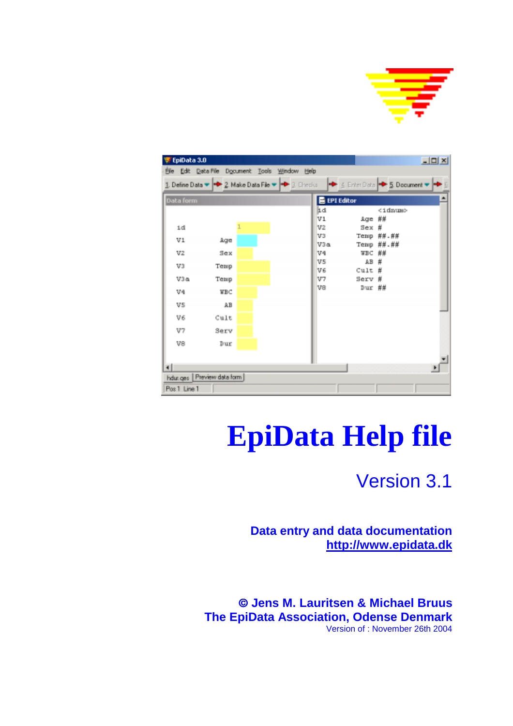

| 更 EpiData 3.0  |                                                                                                                                                                |  |                     |                  |                 | $-101 \times$ |
|----------------|----------------------------------------------------------------------------------------------------------------------------------------------------------------|--|---------------------|------------------|-----------------|---------------|
|                | File Edit Data File Document Tools Window Help                                                                                                                 |  |                     |                  |                 |               |
|                | 1. Define Data $\blacktriangleright$ 2. Make Data File $\blacktriangleright$ 1. Checks $\blacktriangleright$ 4. Enter Data $\blacktriangleright$ 5. Document 1 |  |                     |                  |                 |               |
| Data form      |                                                                                                                                                                |  | <b>E</b> EPI Editor |                  |                 |               |
|                |                                                                                                                                                                |  | lid                 |                  | <idnum></idnum> |               |
| id             |                                                                                                                                                                |  | VI<br>V2            | Age ##<br>Sex #  |                 |               |
|                |                                                                                                                                                                |  | V3                  |                  | Temp ##.##      |               |
| V1             | Age                                                                                                                                                            |  | V3a                 |                  | Temp ##.##      |               |
| v <sub>2</sub> | Sex                                                                                                                                                            |  | V <sub>4</sub>      | WBC ##           |                 |               |
| V3             | Temp                                                                                                                                                           |  | V5                  | $AB \#$          |                 |               |
|                |                                                                                                                                                                |  | V6                  | $Cut1t$ #        |                 |               |
| V3a            | Temp                                                                                                                                                           |  | V7<br>V8            | Serv #<br>Dur ## |                 |               |
| V4             | WBC                                                                                                                                                            |  |                     |                  |                 |               |
| V5             | AB                                                                                                                                                             |  |                     |                  |                 |               |
| V6             | Cult                                                                                                                                                           |  |                     |                  |                 |               |
| V7             | Serv                                                                                                                                                           |  |                     |                  |                 |               |
| V8             | Dur                                                                                                                                                            |  |                     |                  |                 |               |
|                |                                                                                                                                                                |  |                     |                  |                 |               |
|                |                                                                                                                                                                |  |                     |                  |                 |               |
|                | hdur.ges Preview data form                                                                                                                                     |  |                     |                  |                 |               |
| Pos 1 Line 1   |                                                                                                                                                                |  |                     |                  |                 |               |

# **EpiData Help file**

## Version 3.1

**Data entry and data documentation http://www.epidata.dk**

 **Jens M. Lauritsen & Michael Bruus The EpiData Association, Odense Denmark** Version of : November 26th 2004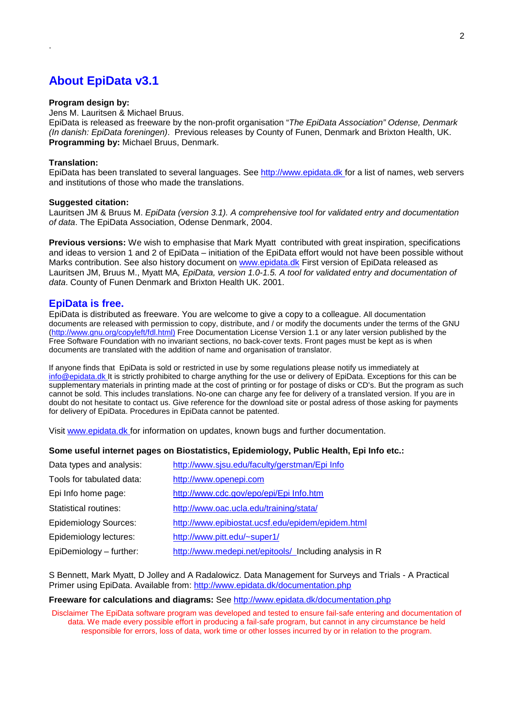## **About EpiData v3.1**

#### **Program design by:**

Jens M. Lauritsen & Michael Bruus.

EpiData is released as freeware by the non-profit organisation "*The EpiData Association" Odense, Denmark (In danish: EpiData foreningen)*. Previous releases by County of Funen, Denmark and Brixton Health, UK. **Programming by:** Michael Bruus, Denmark.

#### **Translation:**

<span id="page-1-0"></span>.

EpiData has been translated to several languages. See http://www.epidata.dk for a list of names, web servers and institutions of those who made the translations.

#### **Suggested citation:**

Lauritsen JM & Bruus M. *EpiData (version 3.1). A comprehensive tool for validated entry and documentation of data*. The EpiData Association, Odense Denmark, 2004.

**Previous versions:** We wish to emphasise that Mark Myatt contributed with great inspiration, specifications and ideas to version 1 and 2 of EpiData – initiation of the EpiData effort would not have been possible without Marks contribution. See also history document on www.epidata.dk First version of EpiData released as Lauritsen JM, Bruus M., Myatt MA*, EpiData, version 1.0-1.5. A tool for validated entry and documentation of data*. County of Funen Denmark and Brixton Health UK. 2001.

## **EpiData is free.**

EpiData is distributed as freeware. You are welcome to give a copy to a colleague. All documentation documents are released with permission to copy, distribute, and / or modify the documents under the terms of the GNU (http://www.gnu.org/copyleft/fdl.html) Free Documentation License Version 1.1 or any later version published by the Free Software Foundation with no invariant sections, no back-cover texts. Front pages must be kept as is when documents are translated with the addition of name and organisation of translator.

If anyone finds that EpiData is sold or restricted in use by some regulations please notify us immediately at info@epidata.dk It is strictly prohibited to charge anything for the use or delivery of EpiData. Exceptions for this can be supplementary materials in printing made at the cost of printing or for postage of disks or CD's. But the program as such cannot be sold. This includes translations. No-one can charge any fee for delivery of a translated version. If you are in doubt do not hesitate to contact us. Give reference for the download site or postal adress of those asking for payments for delivery of EpiData. Procedures in EpiData cannot be patented.

Visit www.epidata.dk for information on updates, known bugs and further documentation.

#### **Some useful internet pages on Biostatistics, Epidemiology, Public Health, Epi Info etc.:**

| Data types and analysis:     | http://www.sjsu.edu/faculty/gerstman/Epi Info           |
|------------------------------|---------------------------------------------------------|
| Tools for tabulated data:    | http://www.openepi.com                                  |
| Epi Info home page:          | http://www.cdc.gov/epo/epi/Epi Info.htm                 |
| Statistical routines:        | http://www.oac.ucla.edu/training/stata/                 |
| <b>Epidemiology Sources:</b> | http://www.epibiostat.ucsf.edu/epidem/epidem.html       |
| Epidemiology lectures:       | http://www.pitt.edu/~super1/                            |
| EpiDemiology - further:      | http://www.medepi.net/epitools/ Including analysis in R |

S Bennett, Mark Myatt, D Jolley and A Radalowicz. Data Management for Surveys and Trials - A Practical Primer using EpiData. Available from: http://www.epidata.dk/documentation.php

#### **Freeware for calculations and diagrams:** See http://www.epidata.dk/documentation.php

Disclaimer The EpiData software program was developed and tested to ensure fail-safe entering and documentation of data. We made every possible effort in producing a fail-safe program, but cannot in any circumstance be held responsible for errors, loss of data, work time or other losses incurred by or in relation to the program.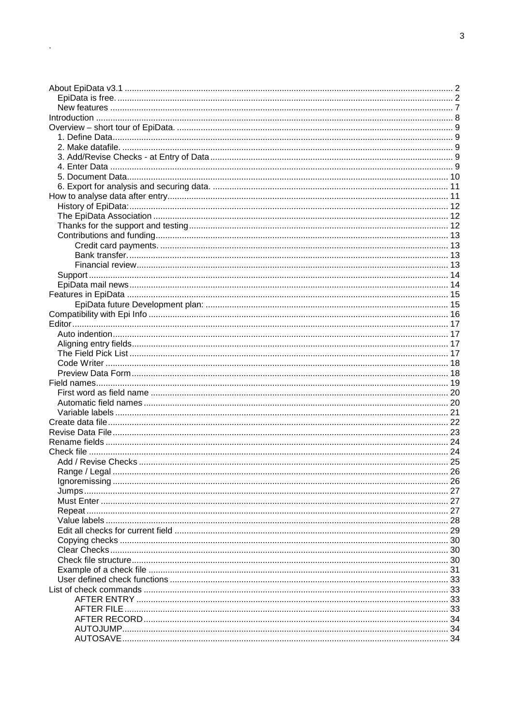$\Delta\phi$  and  $\phi$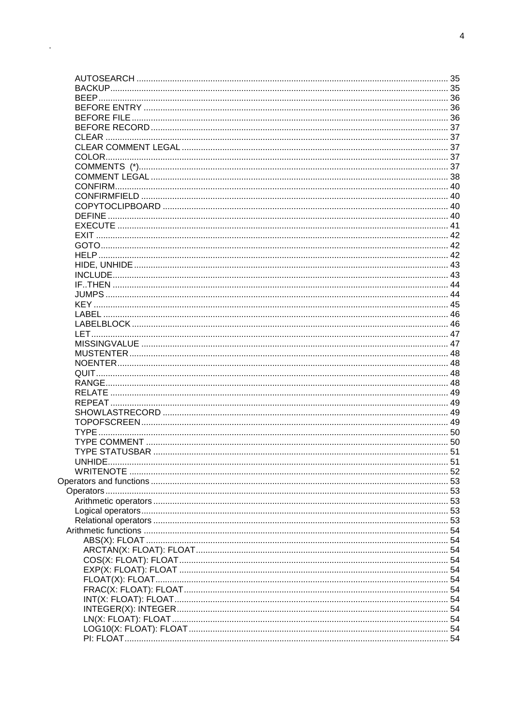$\mathcal{L}_{\text{max}}$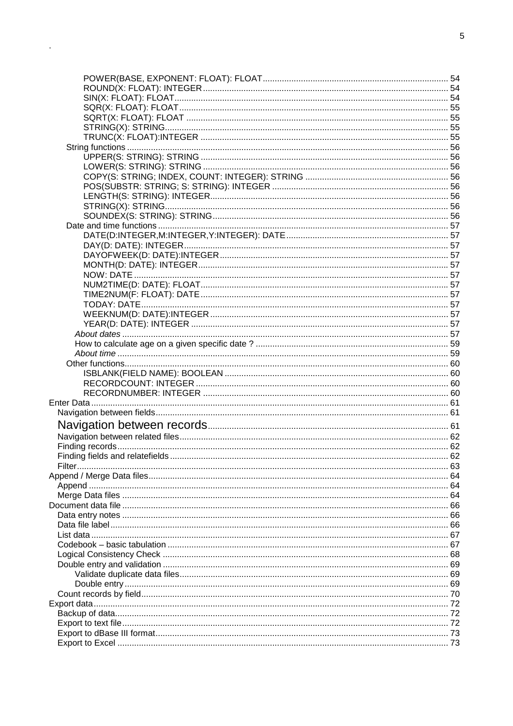$\mathcal{L}(\mathcal{L})$  .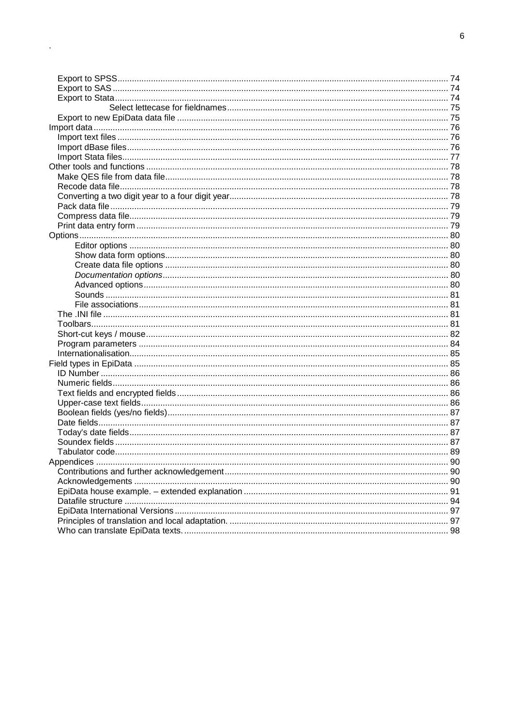$\mathcal{A}^{\mathcal{A}}$  and  $\mathcal{A}^{\mathcal{A}}$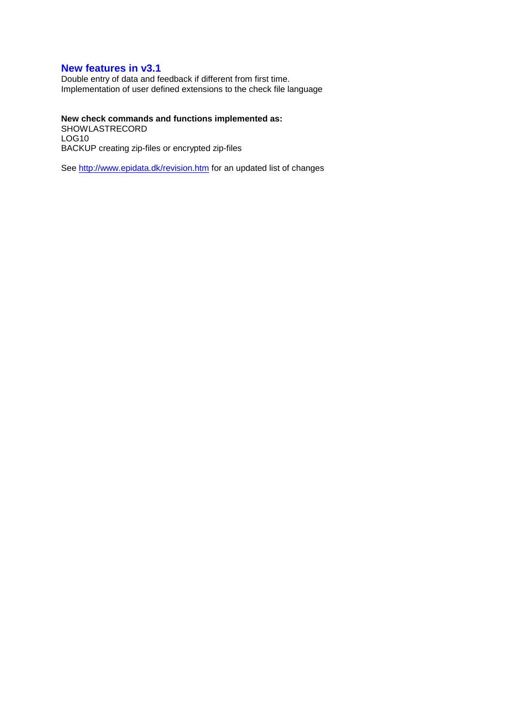## <span id="page-6-0"></span>**New features in v3.1**

Double entry of data and feedback if different from first time. Implementation of user defined extensions to the check file language

## **New check commands and functions implemented as:**

SHOWLASTRECORD LOG10 BACKUP creating zip-files or encrypted zip-files

See http://www.epidata.dk/revision.htm for an updated list of changes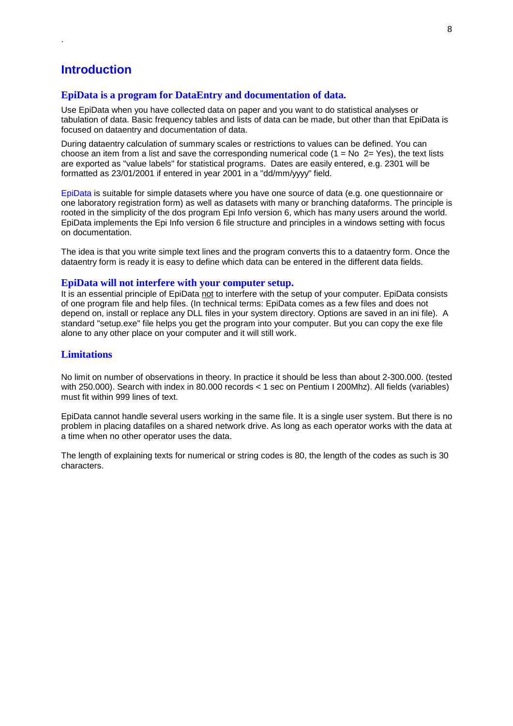## **Introduction**

<span id="page-7-0"></span>.

## **EpiData is a program for DataEntry and documentation of data.**

Use EpiData when you have collected data on paper and you want to do statistical analyses or tabulation of data. Basic frequency tables and lists of data can be made, but other than that EpiData is focused on dataentry and documentation of data.

During dataentry calculation of summary scales or restrictions to values can be defined. You can choose an item from a list and save the corresponding numerical code  $(1 = No 2 = Yes)$ , the text lists are exported as "value labels" for statistical programs. Dates are easily entered, e.g. 2301 will be formatted as 23/01/2001 if entered in year 2001 in a "dd/mm/yyyy" field.

EpiData is suitable for simple datasets where you have one source of data (e.g. one questionnaire or one laboratory registration form) as well as datasets with many or branching dataforms. The principle is rooted in the simplicity of the dos program Epi Info version 6, which has many users around the world. EpiData implements the Epi Info version 6 file structure and principles in a windows setting with focus on documentation.

The idea is that you write simple text lines and the program converts this to a dataentry form. Once the dataentry form is ready it is easy to define which data can be entered in the different data fields.

#### **EpiData will not interfere with your computer setup.**

It is an essential principle of EpiData not to interfere with the setup of your computer. EpiData consists of one program file and help files. (In technical terms: EpiData comes as a few files and does not depend on, install or replace any DLL files in your system directory. Options are saved in an ini file). A standard "setup.exe" file helps you get the program into your computer. But you can copy the exe file alone to any other place on your computer and it will still work.

## **Limitations**

No limit on number of observations in theory. In practice it should be less than about 2-300.000. (tested with 250.000). Search with index in 80.000 records < 1 sec on Pentium I 200Mhz). All fields (variables) must fit within 999 lines of text.

EpiData cannot handle several users working in the same file. It is a single user system. But there is no problem in placing datafiles on a shared network drive. As long as each operator works with the data at a time when no other operator uses the data.

The length of explaining texts for numerical or string codes is 80, the length of the codes as such is 30 characters.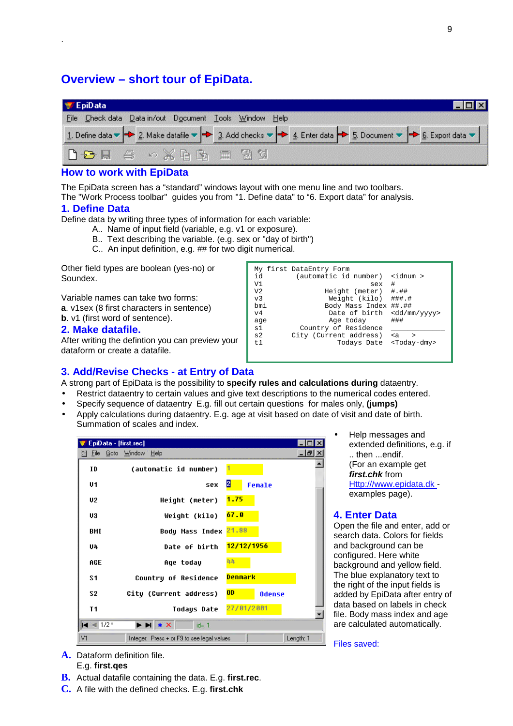## **Overview – short tour of EpiData.**

| 三 EpiData                                              |                                                                                                                                                                                                                              |  |
|--------------------------------------------------------|------------------------------------------------------------------------------------------------------------------------------------------------------------------------------------------------------------------------------|--|
| File Check data Data in/out Document Tools Window Help |                                                                                                                                                                                                                              |  |
|                                                        | 1. Define data $\blacktriangleright$ 2. Make datafile $\blacktriangleright$ 3. Add checks $\blacktriangleright$ 4. Enter data $\blacktriangleright$ 5. Document $\blacktriangleright$ 6. Export data $\blacktriangleright$ 1 |  |
|                                                        |                                                                                                                                                                                                                              |  |

## **How to work with EpiData**

The EpiData screen has a "standard" windows layout with one menu line and two toolbars. The "Work Process toolbar" guides you from "1. Define data" to "6. Export data" for analysis.

## **1. Define Data**

<span id="page-8-0"></span>.

Define data by writing three types of information for each variable:

- A.. Name of input field (variable, e.g. v1 or exposure).
- B.. Text describing the variable. (e.g. sex or "day of birth")
- C.. An input definition, e.g. ## for two digit numerical.

Other field types are boolean (yes-no) or Soundex.

Variable names can take two forms: **a**. v1sex (8 first characters in sentence) **b**. v1 (first word of sentence).

## **2. Make datafile.**

After writing the defintion you can preview your dataform or create a datafile.

| id<br>V <sub>1</sub><br>V <sub>2</sub><br>v <sub>3</sub><br>bmi<br>V <sub>4</sub><br>age<br>s1<br>s2<br>t.1 | My first DataEntry Form<br>(automatic id number)<br>sex<br>Height (meter) #.##<br>Weight (kilo) ###.#<br>Body Mass Index ##.##<br>Date of birth<br>Age today<br>Country of Residence<br>City (Current address)<br>Todays Date | $\langle$ idnum $\rangle$<br>#<br><dd mm="" yyyy=""><br/>###<br/><math>\leq a</math><br/><math>\rightarrow</math><br/><today-dmy></today-dmy></dd> |
|-------------------------------------------------------------------------------------------------------------|-------------------------------------------------------------------------------------------------------------------------------------------------------------------------------------------------------------------------------|----------------------------------------------------------------------------------------------------------------------------------------------------|
|                                                                                                             |                                                                                                                                                                                                                               |                                                                                                                                                    |

## **3. Add/Revise Checks - at Entry of Data**

A strong part of EpiData is the possibility to **specify rules and calculations during** dataentry.

- Restrict dataentry to certain values and give text descriptions to the numerical codes entered.
- Specify sequence of dataentry E.g. fill out certain questions for males only, **(jumps)**
- Apply calculations during dataentry. E.g. age at visit based on date of visit and date of birth. Summation of scales and index.

| EpiData - [first.rec]      |                                                                                                                                                 |           |
|----------------------------|-------------------------------------------------------------------------------------------------------------------------------------------------|-----------|
| Eile<br>闛                  | Goto Window<br>Help                                                                                                                             | - I品I ×   |
| ID                         | (automatic id number)                                                                                                                           |           |
| U1                         | 2<br>Female<br>sex                                                                                                                              |           |
| U2                         | 1.75<br>Height (meter)                                                                                                                          |           |
| U3                         | 67.0<br>Weight (kilo)                                                                                                                           |           |
| BMI                        | 21.88<br>Body Mass Index                                                                                                                        |           |
| U4                         | 12/12/1956<br>Date of birth                                                                                                                     |           |
| AGE                        | 44<br>Aqe today                                                                                                                                 |           |
| S1                         | Denmark<br>Country of Residence                                                                                                                 |           |
| S2                         | 0 <sub>D</sub><br>City (Current address)<br><b>Odense</b>                                                                                       |           |
| T <sub>1</sub>             | 27/01/2001<br>Todays Date                                                                                                                       |           |
| <b>H</b> <sup>*</sup> 1/2* | $\blacktriangleright$ $\blacktriangleright$ $\blacktriangleright$ $\blacktriangleright$ $\blacktriangleright$ $\blacktriangleright$<br>$id = 4$ |           |
| V1                         | Integer: Press + or F9 to see legal values                                                                                                      | Length: 1 |

• Help messages and extended definitions, e.g. if .. then ...endif. (For an example get *first.chk* from Http:///www.epidata.dk examples page).

## **4. Enter Data**

Open the file and enter, add or search data. Colors for fields and background can be configured. Here white background and yellow field. The blue explanatory text to the right of the input fields is added by EpiData after entry of data based on labels in check file. Body mass index and age are calculated automatically.

Files saved:

- **A.** Dataform definition file. E.g. **first.qes**
- **B.** Actual datafile containing the data. E.g. **first.rec**.
- **C.** A file with the defined checks. E.g. **first.chk**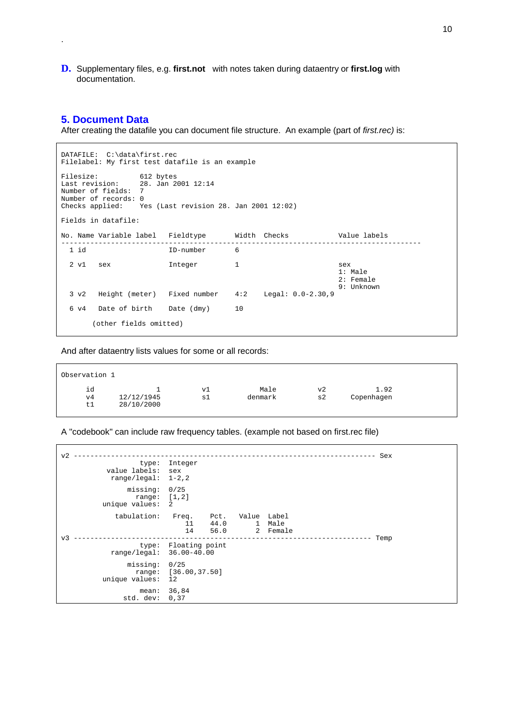**D.** Supplementary files, e.g. **first.not** with notes taken during dataentry or **first.log** with documentation.

## **5. Document Data**

<span id="page-9-0"></span>.

 $\Gamma$ 

After creating the datafile you can document file structure. An example (part of *first.rec)* is:

| DATAFILE: C:\data\first.rec<br>Filelabel: My first test datafile is an example                                                                                      |                        |                                  |              |                                                             |                                               |  |  |  |  |
|---------------------------------------------------------------------------------------------------------------------------------------------------------------------|------------------------|----------------------------------|--------------|-------------------------------------------------------------|-----------------------------------------------|--|--|--|--|
| Filesize: 612 bytes<br>Last revision: $28.$ Jan 2001 12:14<br>Number of fields: 7<br>Number of records: 0<br>Checks applied: Yes (Last revision 28. Jan 2001 12:02) |                        |                                  |              |                                                             |                                               |  |  |  |  |
| Fields in datafile:                                                                                                                                                 |                        |                                  |              |                                                             |                                               |  |  |  |  |
|                                                                                                                                                                     |                        |                                  |              | No. Name Variable label Fieldtype Midth Checks Nalue labels |                                               |  |  |  |  |
| 1 id                                                                                                                                                                |                        | ID-number                        | -6           |                                                             |                                               |  |  |  |  |
| 2 v1 sex                                                                                                                                                            |                        | Integer                          | $\mathbf{1}$ |                                                             | sex<br>$1:$ Male<br>$2:$ Female<br>9: Unknown |  |  |  |  |
|                                                                                                                                                                     |                        |                                  |              | 3 v2 Height (meter) Fixed number 4:2 Legal: 0.0-2.30,9      |                                               |  |  |  |  |
|                                                                                                                                                                     |                        | 6 v4 Date of birth Date (dmy) 10 |              |                                                             |                                               |  |  |  |  |
|                                                                                                                                                                     | (other fields omitted) |                                  |              |                                                             |                                               |  |  |  |  |

And after dataentry lists values for some or all records:

| Observation 1  |                          |          |                 |          |                    |  |
|----------------|--------------------------|----------|-----------------|----------|--------------------|--|
| id<br>v4<br>t1 | 12/12/1945<br>28/10/2000 | vl<br>sl | Male<br>denmark | v2<br>s2 | 1.92<br>Copenhagen |  |

## A "codebook" can include raw frequency tables. (example not based on first.rec file)

| $\rm v2$ | type:<br>value labels:<br>range/legal: $1-2, 2$ | Integer<br>sex                     |                      |                             |                  | Sex  |  |
|----------|-------------------------------------------------|------------------------------------|----------------------|-----------------------------|------------------|------|--|
| v?       | missing:<br>range: $[1,2]$<br>unique values:    | 0/25<br>2                          |                      |                             |                  |      |  |
|          | tabulation:                                     | Freq.<br>11<br>14                  | Pct.<br>44.0<br>56.0 | Value Label<br>$\mathbf{1}$ | Male<br>2 Female |      |  |
|          | range/legal: 36.00-40.00                        | type: Floating point               |                      |                             |                  | Temp |  |
|          | missing:<br>unique values:                      | 0/25<br>range: [36.00,37.50]<br>12 |                      |                             |                  |      |  |
|          | std. dev:                                       | mean: 36,84<br>0,37                |                      |                             |                  |      |  |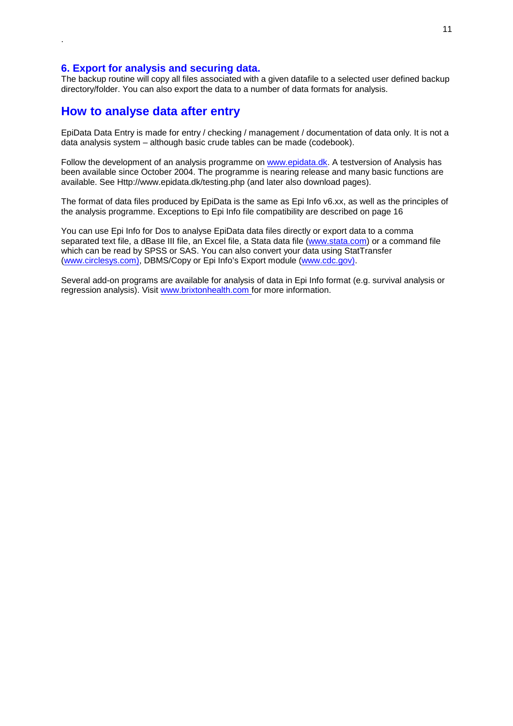## **6. Export for analysis and securing data.**

The backup routine will copy all files associated with a given datafile to a selected user defined backup directory/folder. You can also export the data to a number of data formats for analysis.

## **How to analyse data after entry**

<span id="page-10-0"></span>.

EpiData Data Entry is made for entry / checking / management / documentation of data only. It is not a data analysis system – although basic crude tables can be made (codebook).

Follow the development of an analysis programme on www.epidata.dk. A testversion of Analysis has been available since October 2004. The programme is nearing release and many basic functions are available. See Http://www.epidata.dk/testing.php (and later also download pages).

The format of data files produced by EpiData is the same as Epi Info v6.xx, as well as the principles of the analysis programme. Exceptions to Epi Info file compatibility are described on page [16](#page-15-0) 

You can use Epi Info for Dos to analyse EpiData data files directly or export data to a comma separated text file, a dBase III file, an Excel file, a Stata data file (www.stata.com) or a command file which can be read by SPSS or SAS. You can also convert your data using StatTransfer (www.circlesys.com), DBMS/Copy or Epi Info's Export module (www.cdc.gov).

Several add-on programs are available for analysis of data in Epi Info format (e.g. survival analysis or regression analysis). Visit www.brixtonhealth.com for more information.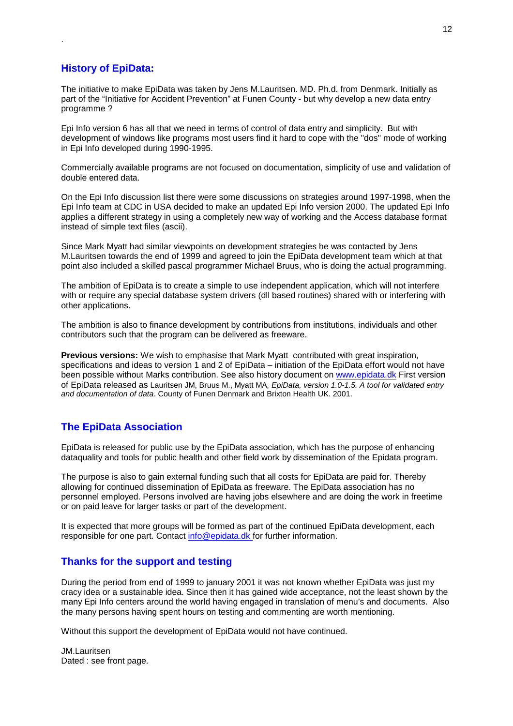## **History of EpiData:**

<span id="page-11-0"></span>.

The initiative to make EpiData was taken by Jens M.Lauritsen. MD. Ph.d. from Denmark. Initially as part of the "Initiative for Accident Prevention" at Funen County - but why develop a new data entry programme ?

Epi Info version 6 has all that we need in terms of control of data entry and simplicity. But with development of windows like programs most users find it hard to cope with the "dos" mode of working in Epi Info developed during 1990-1995.

Commercially available programs are not focused on documentation, simplicity of use and validation of double entered data.

On the Epi Info discussion list there were some discussions on strategies around 1997-1998, when the Epi Info team at CDC in USA decided to make an updated Epi Info version 2000. The updated Epi Info applies a different strategy in using a completely new way of working and the Access database format instead of simple text files (ascii).

Since Mark Myatt had similar viewpoints on development strategies he was contacted by Jens M.Lauritsen towards the end of 1999 and agreed to join the EpiData development team which at that point also included a skilled pascal programmer Michael Bruus, who is doing the actual programming.

The ambition of EpiData is to create a simple to use independent application, which will not interfere with or require any special database system drivers (dll based routines) shared with or interfering with other applications.

The ambition is also to finance development by contributions from institutions, individuals and other contributors such that the program can be delivered as freeware.

**Previous versions:** We wish to emphasise that Mark Myatt contributed with great inspiration, specifications and ideas to version 1 and 2 of EpiData – initiation of the EpiData effort would not have been possible without Marks contribution. See also history document on www.epidata.dk First version of EpiData released as Lauritsen JM, Bruus M., Myatt MA*, EpiData, version 1.0-1.5. A tool for validated entry and documentation of data*. County of Funen Denmark and Brixton Health UK. 2001.

## **The EpiData Association**

EpiData is released for public use by the EpiData association, which has the purpose of enhancing dataquality and tools for public health and other field work by dissemination of the Epidata program.

The purpose is also to gain external funding such that all costs for EpiData are paid for. Thereby allowing for continued dissemination of EpiData as freeware. The EpiData association has no personnel employed. Persons involved are having jobs elsewhere and are doing the work in freetime or on paid leave for larger tasks or part of the development.

It is expected that more groups will be formed as part of the continued EpiData development, each responsible for one part. Contact info@epidata.dk for further information.

## **Thanks for the support and testing**

During the period from end of 1999 to january 2001 it was not known whether EpiData was just my cracy idea or a sustainable idea. Since then it has gained wide acceptance, not the least shown by the many Epi Info centers around the world having engaged in translation of menu's and documents. Also the many persons having spent hours on testing and commenting are worth mentioning.

Without this support the development of EpiData would not have continued.

JM.Lauritsen Dated : see front page.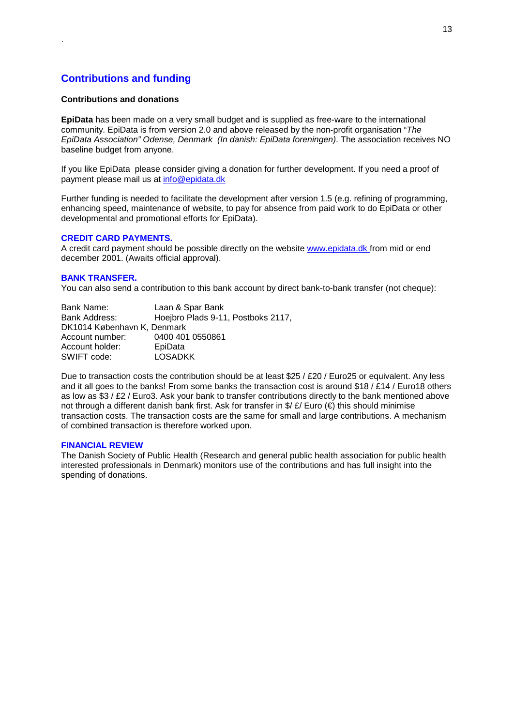## **Contributions and funding**

#### **Contributions and donations**

<span id="page-12-0"></span>.

**EpiData** has been made on a very small budget and is supplied as free-ware to the international community. EpiData is from version 2.0 and above released by the non-profit organisation "*The EpiData Association" Odense, Denmark (In danish: EpiData foreningen)*. The association receives NO baseline budget from anyone.

If you like EpiData please consider giving a donation for further development. If you need a proof of payment please mail us at info@epidata.dk

Further funding is needed to facilitate the development after version 1.5 (e.g. refining of programming, enhancing speed, maintenance of website, to pay for absence from paid work to do EpiData or other developmental and promotional efforts for EpiData).

#### **CREDIT CARD PAYMENTS.**

A credit card payment should be possible directly on the website www.epidata.dk from mid or end december 2001. (Awaits official approval).

#### **BANK TRANSFER.**

You can also send a contribution to this bank account by direct bank-to-bank transfer (not cheque):

| Bank Name:                  | Laan & Spar Bank                   |
|-----------------------------|------------------------------------|
| Bank Address:               | Hoejbro Plads 9-11, Postboks 2117, |
| DK1014 København K. Denmark |                                    |
| Account number:             | 0400 401 0550861                   |
| Account holder:             | EpiData                            |
| SWIFT code:                 | <b>LOSADKK</b>                     |

Due to transaction costs the contribution should be at least \$25 / £20 / Euro25 or equivalent. Any less and it all goes to the banks! From some banks the transaction cost is around \$18 / £14 / Euro18 others as low as  $$3 / £2 / E$ uro3. Ask your bank to transfer contributions directly to the bank mentioned above not through a different danish bank first. Ask for transfer in  $\frac{f}{f}$  Euro ( $\in$ ) this should minimise transaction costs. The transaction costs are the same for small and large contributions. A mechanism of combined transaction is therefore worked upon.

#### **FINANCIAL REVIEW**

The Danish Society of Public Health (Research and general public health association for public health interested professionals in Denmark) monitors use of the contributions and has full insight into the spending of donations.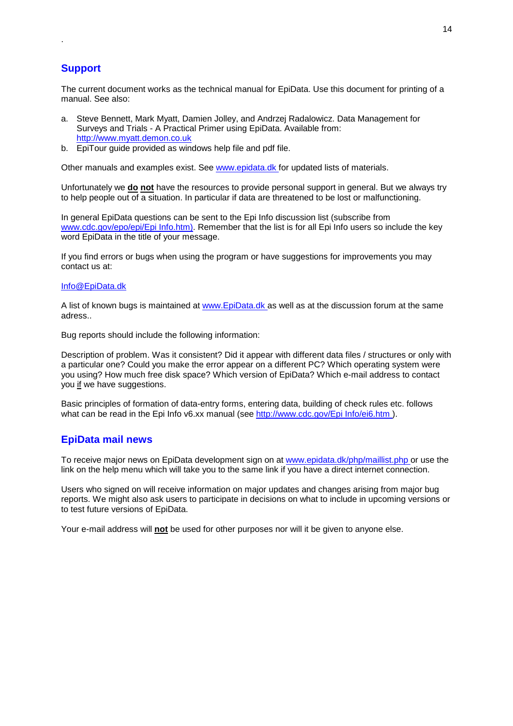## **Support**

<span id="page-13-0"></span>.

The current document works as the technical manual for EpiData. Use this document for printing of a manual. See also:

- a. Steve Bennett, Mark Myatt, Damien Jolley, and Andrzej Radalowicz. Data Management for Surveys and Trials - A Practical Primer using EpiData. Available from: http://www.myatt.demon.co.uk
- b. EpiTour guide provided as windows help file and pdf file.

Other manuals and examples exist. See www.epidata.dk for updated lists of materials.

Unfortunately we **do not** have the resources to provide personal support in general. But we always try to help people out of a situation. In particular if data are threatened to be lost or malfunctioning.

In general EpiData questions can be sent to the Epi Info discussion list (subscribe from www.cdc.gov/epo/epi/Epi Info.htm). Remember that the list is for all Epi Info users so include the key word EpiData in the title of your message.

If you find errors or bugs when using the program or have suggestions for improvements you may contact us at:

#### Info@EpiData.dk

A list of known bugs is maintained at www. EpiData.dk as well as at the discussion forum at the same adress..

Bug reports should include the following information:

Description of problem. Was it consistent? Did it appear with different data files / structures or only with a particular one? Could you make the error appear on a different PC? Which operating system were you using? How much free disk space? Which version of EpiData? Which e-mail address to contact you if we have suggestions.

Basic principles of formation of data-entry forms, entering data, building of check rules etc. follows what can be read in the Epi Info v6.xx manual (see http://www.cdc.gov/Epi Info/ei6.htm ).

## **EpiData mail news**

To receive major news on EpiData development sign on at www.epidata.dk/php/maillist.php or use the link on the help menu which will take you to the same link if you have a direct internet connection.

Users who signed on will receive information on major updates and changes arising from major bug reports. We might also ask users to participate in decisions on what to include in upcoming versions or to test future versions of EpiData.

Your e-mail address will **not** be used for other purposes nor will it be given to anyone else.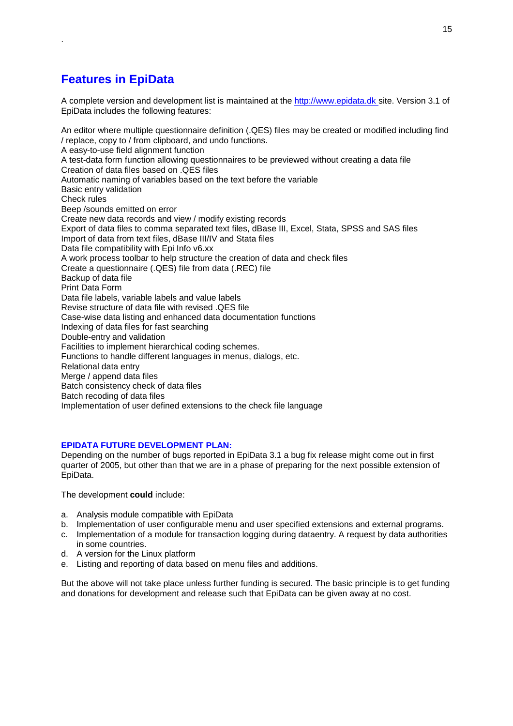## **Features in EpiData**

<span id="page-14-0"></span>.

A complete version and development list is maintained at the http://www.epidata.dk site. Version 3.1 of EpiData includes the following features:

An editor where multiple questionnaire definition (.QES) files may be created or modified including find / replace, copy to / from clipboard, and undo functions. A easy-to-use field alignment function A test-data form function allowing questionnaires to be previewed without creating a data file Creation of data files based on .QES files Automatic naming of variables based on the text before the variable Basic entry validation Check rules Beep /sounds emitted on error Create new data records and view / modify existing records Export of data files to comma separated text files, dBase III, Excel, Stata, SPSS and SAS files Import of data from text files, dBase III/IV and Stata files Data file compatibility with Epi Info v6.xx A work process toolbar to help structure the creation of data and check files Create a questionnaire (.QES) file from data (.REC) file Backup of data file Print Data Form Data file labels, variable labels and value labels Revise structure of data file with revised .QES file Case-wise data listing and enhanced data documentation functions Indexing of data files for fast searching Double-entry and validation Facilities to implement hierarchical coding schemes. Functions to handle different languages in menus, dialogs, etc. Relational data entry Merge / append data files Batch consistency check of data files Batch recoding of data files Implementation of user defined extensions to the check file language

## **EPIDATA FUTURE DEVELOPMENT PLAN:**

Depending on the number of bugs reported in EpiData 3.1 a bug fix release might come out in first quarter of 2005, but other than that we are in a phase of preparing for the next possible extension of EpiData.

The development **could** include:

- a. Analysis module compatible with EpiData
- b. Implementation of user configurable menu and user specified extensions and external programs.
- c. Implementation of a module for transaction logging during dataentry. A request by data authorities in some countries.
- d. A version for the Linux platform
- e. Listing and reporting of data based on menu files and additions.

But the above will not take place unless further funding is secured. The basic principle is to get funding and donations for development and release such that EpiData can be given away at no cost.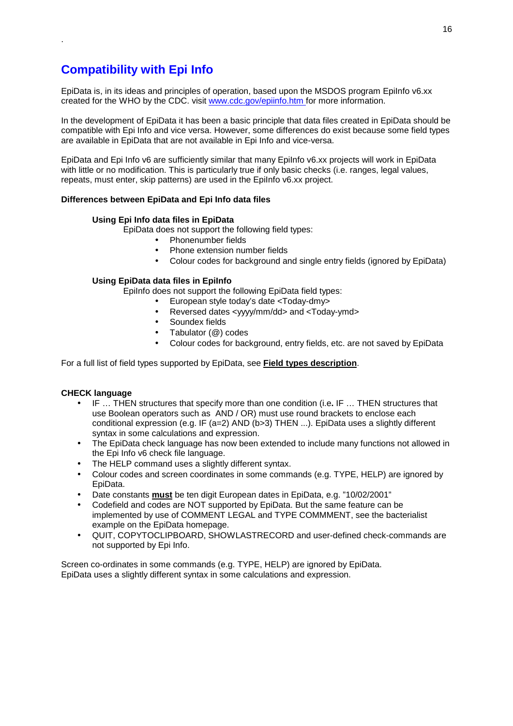## **Compatibility with Epi Info**

<span id="page-15-0"></span>.

EpiData is, in its ideas and principles of operation, based upon the MSDOS program EpiInfo v6.xx created for the WHO by the CDC. visit www.cdc.gov/epiinfo.htm for more information.

In the development of EpiData it has been a basic principle that data files created in EpiData should be compatible with Epi Info and vice versa. However, some differences do exist because some field types are available in EpiData that are not available in Epi Info and vice-versa.

EpiData and Epi Info v6 are sufficiently similar that many EpiInfo v6.xx projects will work in EpiData with little or no modification. This is particularly true if only basic checks (i.e. ranges, legal values, repeats, must enter, skip patterns) are used in the EpiInfo v6.xx project.

#### **Differences between EpiData and Epi Info data files**

#### **Using Epi Info data files in EpiData**

EpiData does not support the following field types:

- Phonenumber fields
- Phone extension number fields
- Colour codes for background and single entry fields (ignored by EpiData)

#### **Using EpiData data files in EpiInfo**

EpiInfo does not support the following EpiData field types:

- European style today's date <Today-dmy>
- Reversed dates <yyyy/mm/dd> and <Today-ymd>
- Soundex fields
- Tabulator (@) codes
- Colour codes for background, entry fields, etc. are not saved by EpiData

For a full list of field types supported by EpiData, see **Field types description**.

#### **CHECK language**

- IF … THEN structures that specify more than one condition (i.e**.** IF … THEN structures that use Boolean operators such as AND / OR) must use round brackets to enclose each conditional expression (e.g. IF (a=2) AND (b>3) THEN ...). EpiData uses a slightly different syntax in some calculations and expression.
- The EpiData check language has now been extended to include many functions not allowed in the Epi Info v6 check file language.
- The HELP command uses a slightly different syntax.
- Colour codes and screen coordinates in some commands (e.g. TYPE, HELP) are ignored by EpiData.
- Date constants **must** be ten digit European dates in EpiData, e.g. "10/02/2001"
- Codefield and codes are NOT supported by EpiData. But the same feature can be implemented by use of COMMENT LEGAL and TYPE COMMMENT, see the bacterialist example on the EpiData homepage.
- QUIT, COPYTOCLIPBOARD, SHOWLASTRECORD and user-defined check-commands are not supported by Epi Info.

Screen co-ordinates in some commands (e.g. TYPE, HELP) are ignored by EpiData. EpiData uses a slightly different syntax in some calculations and expression.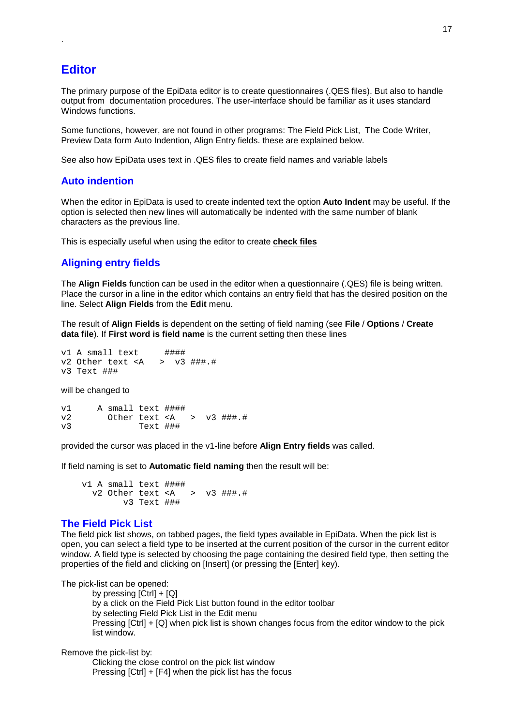## **Editor**

<span id="page-16-0"></span>.

The primary purpose of the EpiData editor is to create questionnaires (.QES files). But also to handle output from documentation procedures. The user-interface should be familiar as it uses standard Windows functions.

Some functions, however, are not found in other programs: The Field Pick List, The Code Writer, Preview Data form Auto Indention, Align Entry fields. these are explained below.

See also how EpiData uses text in .QES files to create field names and variable labels

## **Auto indention**

When the editor in EpiData is used to create indented text the option **Auto Indent** may be useful. If the option is selected then new lines will automatically be indented with the same number of blank characters as the previous line.

This is especially useful when using the editor to create **check files**

## **Aligning entry fields**

The **Align Fields** function can be used in the editor when a questionnaire (.QES) file is being written. Place the cursor in a line in the editor which contains an entry field that has the desired position on the line. Select **Align Fields** from the **Edit** menu.

The result of **Align Fields** is dependent on the setting of field naming (see **File** / **Options** / **Create data file**). If **First word is field name** is the current setting then these lines

```
v1 A small text ####
v2 Other text <A > v3 ###.#
v3 Text ###
```
will be changed to

v1 A small text ####  $v2$  Other text <A >  $v3$  ###.#<br> $v3$  Text ### Text ###

provided the cursor was placed in the v1-line before **Align Entry fields** was called.

If field naming is set to **Automatic field naming** then the result will be:

```
v1 A small text ####
 v2 Other text <A > v3 ###.#
       v3 Text ###
```
#### **The Field Pick List**

The field pick list shows, on tabbed pages, the field types available in EpiData. When the pick list is open, you can select a field type to be inserted at the current position of the cursor in the current editor window. A field type is selected by choosing the page containing the desired field type, then setting the properties of the field and clicking on [Insert] (or pressing the [Enter] key).

The pick-list can be opened:

by pressing [Ctrl] + [Q] by a click on the Field Pick List button found in the editor toolbar by selecting Field Pick List in the Edit menu Pressing [Ctrl] + [Q] when pick list is shown changes focus from the editor window to the pick list window.

Remove the pick-list by:

Clicking the close control on the pick list window Pressing [Ctrl] + [F4] when the pick list has the focus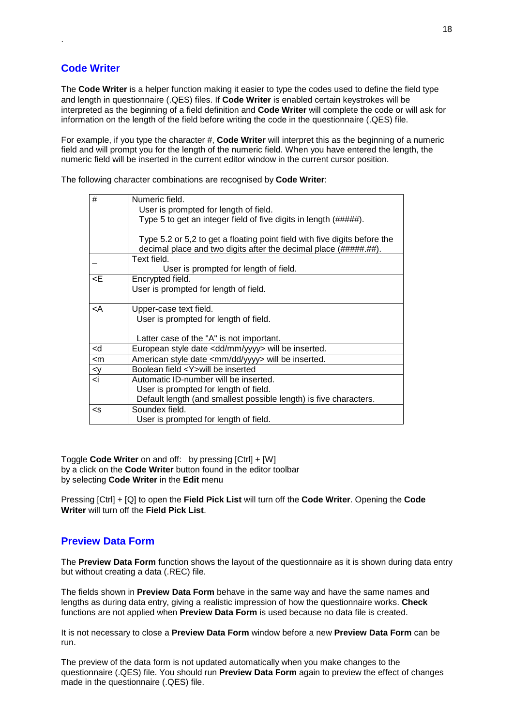## **Code Writer**

<span id="page-17-0"></span>.

The **Code Writer** is a helper function making it easier to type the codes used to define the field type and length in questionnaire (.QES) files. If **Code Writer** is enabled certain keystrokes will be interpreted as the beginning of a field definition and **Code Writer** will complete the code or will ask for information on the length of the field before writing the code in the questionnaire (.QES) file.

For example, if you type the character #, **Code Writer** will interpret this as the beginning of a numeric field and will prompt you for the length of the numeric field. When you have entered the length, the numeric field will be inserted in the current editor window in the current cursor position.

The following character combinations are recognised by **Code Writer**:

| #                                                                                     | Numeric field.                                                                                                                                |
|---------------------------------------------------------------------------------------|-----------------------------------------------------------------------------------------------------------------------------------------------|
|                                                                                       | User is prompted for length of field.                                                                                                         |
|                                                                                       | Type 5 to get an integer field of five digits in length (#####).                                                                              |
|                                                                                       |                                                                                                                                               |
|                                                                                       | Type 5.2 or 5,2 to get a floating point field with five digits before the<br>decimal place and two digits after the decimal place (#####.##). |
|                                                                                       |                                                                                                                                               |
|                                                                                       | Text field.                                                                                                                                   |
|                                                                                       | User is prompted for length of field.                                                                                                         |
| <e< td=""><td>Encrypted field.</td></e<>                                              | Encrypted field.                                                                                                                              |
|                                                                                       | User is prompted for length of field.                                                                                                         |
|                                                                                       |                                                                                                                                               |
| <a< td=""><td>Upper-case text field.</td></a<>                                        | Upper-case text field.                                                                                                                        |
|                                                                                       | User is prompted for length of field.                                                                                                         |
|                                                                                       |                                                                                                                                               |
|                                                                                       | Latter case of the "A" is not important.                                                                                                      |
| <d< td=""><td>European style date <dd mm="" yyyy=""> will be inserted.</dd></td></d<> | European style date <dd mm="" yyyy=""> will be inserted.</dd>                                                                                 |
| $<$ m                                                                                 | American style date <mm dd="" yyyy=""> will be inserted.</mm>                                                                                 |
| <v< td=""><td>Boolean field <y>will be inserted</y></td></v<>                         | Boolean field <y>will be inserted</y>                                                                                                         |
| $\overline{<}$ i                                                                      | Automatic ID-number will be inserted.                                                                                                         |
|                                                                                       | User is prompted for length of field.                                                                                                         |
|                                                                                       | Default length (and smallest possible length) is five characters.                                                                             |
| <s< td=""><td>Soundex field.</td></s<>                                                | Soundex field.                                                                                                                                |
|                                                                                       | User is prompted for length of field.                                                                                                         |
|                                                                                       |                                                                                                                                               |

Toggle **Code Writer** on and off: by pressing [Ctrl] + [W] by a click on the **Code Writer** button found in the editor toolbar by selecting **Code Writer** in the **Edit** menu

Pressing [Ctrl] + [Q] to open the **Field Pick List** will turn off the **Code Writer**. Opening the **Code Writer** will turn off the **Field Pick List**.

## **Preview Data Form**

The **Preview Data Form** function shows the layout of the questionnaire as it is shown during data entry but without creating a data (.REC) file.

The fields shown in **Preview Data Form** behave in the same way and have the same names and lengths as during data entry, giving a realistic impression of how the questionnaire works. **Check** functions are not applied when **Preview Data Form** is used because no data file is created.

It is not necessary to close a **Preview Data Form** window before a new **Preview Data Form** can be run.

The preview of the data form is not updated automatically when you make changes to the questionnaire (.QES) file. You should run **Preview Data Form** again to preview the effect of changes made in the questionnaire (.QES) file.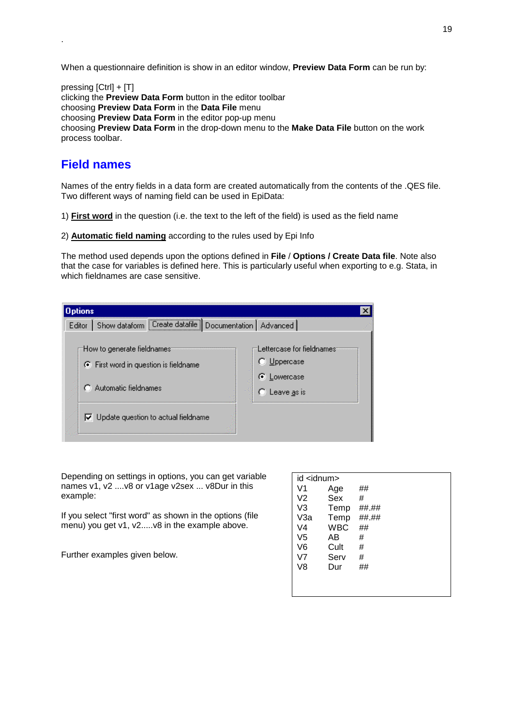When a questionnaire definition is show in an editor window, **Preview Data Form** can be run by:

pressing [Ctrl] + [T] clicking the **Preview Data Form** button in the editor toolbar choosing **Preview Data Form** in the **Data File** menu choosing **Preview Data Form** in the editor pop-up menu choosing **Preview Data Form** in the drop-down menu to the **Make Data File** button on the work process toolbar.

## **Field names**

<span id="page-18-0"></span>.

Names of the entry fields in a data form are created automatically from the contents of the .QES file. Two different ways of naming field can be used in EpiData:

1) **First word** in the question (i.e. the text to the left of the field) is used as the field name

2) **Automatic field naming** according to the rules used by Epi Info

The method used depends upon the options defined in **File** / **Options / Create Data file**. Note also that the case for variables is defined here. This is particularly useful when exporting to e.g. Stata, in which fieldnames are case sensitive.

| <b>Options</b> |                                                                                                                                           |                                                                                   |  |
|----------------|-------------------------------------------------------------------------------------------------------------------------------------------|-----------------------------------------------------------------------------------|--|
| Editor         | Show dataform   Create datafile   Documentation   Advanced                                                                                |                                                                                   |  |
|                | How to generate fieldnames:<br>.● First word in question is fieldname<br>Automatic fieldnames<br>Update question to actual fieldname<br>⊽ | Lettercase for fieldnames<br>$\bigcirc$ Uppercase<br>C Lowercase<br>C Leave as is |  |

Depending on settings in options, you can get variable names v1, v2 ....v8 or v1age v2sex ... v8Dur in this example:

If you select "first word" as shown in the options (file menu) you get v1, v2.....v8 in the example above.

Further examples given below.

| id <idnum></idnum> |            |       |
|--------------------|------------|-------|
| V1                 | Age        | ##    |
| V2                 | Sex        | #     |
| V3                 | Temp       | ##.## |
| V3a                | Temp       | ##.## |
| V4                 | <b>WBC</b> | ##    |
| V5                 | AB         | #     |
| V6                 | Cult       | #     |
| V7                 | Serv       | #     |
| V8                 | Dur        | ##    |
|                    |            |       |
|                    |            |       |
|                    |            |       |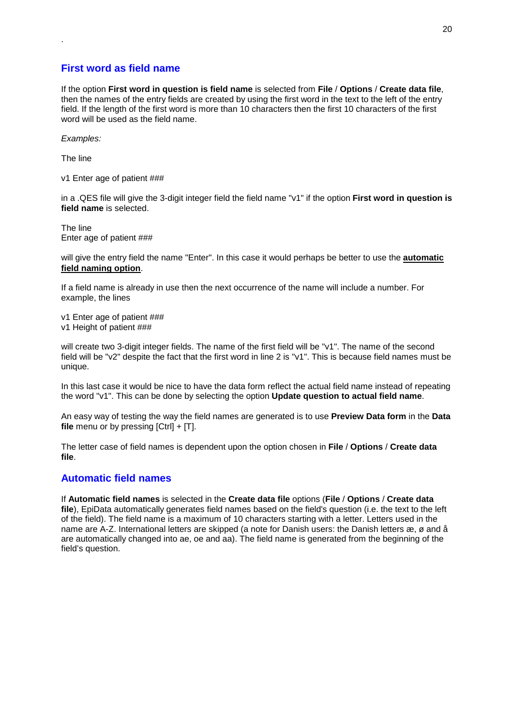## **First word as field name**

If the option **First word in question is field name** is selected from **File** / **Options** / **Create data file**, then the names of the entry fields are created by using the first word in the text to the left of the entry field. If the length of the first word is more than 10 characters then the first 10 characters of the first word will be used as the field name.

*Examples:* 

The line

<span id="page-19-0"></span>.

v1 Enter age of patient ###

in a .QES file will give the 3-digit integer field the field name "v1" if the option **First word in question is field name** is selected.

The line Enter age of patient ###

will give the entry field the name "Enter". In this case it would perhaps be better to use the **automatic field naming option**.

If a field name is already in use then the next occurrence of the name will include a number. For example, the lines

v1 Enter age of patient ### v1 Height of patient ###

will create two 3-digit integer fields. The name of the first field will be "v1". The name of the second field will be "v2" despite the fact that the first word in line 2 is "v1". This is because field names must be unique.

In this last case it would be nice to have the data form reflect the actual field name instead of repeating the word "v1". This can be done by selecting the option **Update question to actual field name**.

An easy way of testing the way the field names are generated is to use **Preview Data form** in the **Data file** menu or by pressing [Ctrl] + [T].

The letter case of field names is dependent upon the option chosen in **File** / **Options** / **Create data file**.

## **Automatic field names**

If **Automatic field names** is selected in the **Create data file** options (**File** / **Options** / **Create data file**), EpiData automatically generates field names based on the field's question (i.e. the text to the left of the field). The field name is a maximum of 10 characters starting with a letter. Letters used in the name are A-Z. International letters are skipped (a note for Danish users: the Danish letters æ, ø and å are automatically changed into ae, oe and aa). The field name is generated from the beginning of the field's question.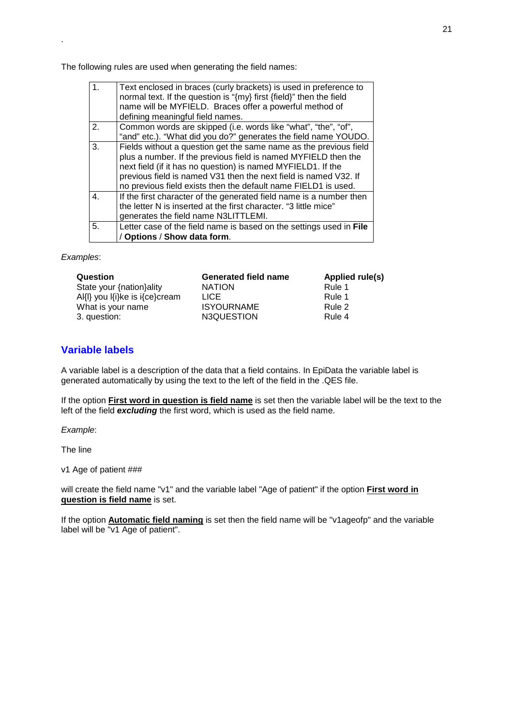The following rules are used when generating the field names:

| $\overline{1}$ . | Text enclosed in braces (curly brackets) is used in preference to<br>normal text. If the question is "{my} first {field}" then the field<br>name will be MYFIELD. Braces offer a powerful method of<br>defining meaningful field names.                                                                                                   |
|------------------|-------------------------------------------------------------------------------------------------------------------------------------------------------------------------------------------------------------------------------------------------------------------------------------------------------------------------------------------|
| 2.               | Common words are skipped (i.e. words like "what", "the", "of",<br>"and" etc.). "What did you do?" generates the field name YOUDO.                                                                                                                                                                                                         |
| 3.               | Fields without a question get the same name as the previous field<br>plus a number. If the previous field is named MYFIELD then the<br>next field (if it has no question) is named MYFIELD1. If the<br>previous field is named V31 then the next field is named V32. If<br>no previous field exists then the default name FIELD1 is used. |
| $\overline{4}$ . | If the first character of the generated field name is a number then<br>the letter N is inserted at the first character. "3 little mice"<br>generates the field name N3LITTLEMI.                                                                                                                                                           |
| 5.               | Letter case of the field name is based on the settings used in File<br>/ Options / Show data form.                                                                                                                                                                                                                                        |

*Examples*:

<span id="page-20-0"></span>.

| Question                       | <b>Generated field name</b> | Applied rule(s) |
|--------------------------------|-----------------------------|-----------------|
| State your {nation}ality       | <b>NATION</b>               | Rule 1          |
| Al{l} you l{i}ke is i{ce}cream | <b>LICE</b>                 | Rule 1          |
| What is your name              | <b>ISYOURNAME</b>           | Rule 2          |
| 3. question:                   | N3QUESTION                  | Rule 4          |

## **Variable labels**

A variable label is a description of the data that a field contains. In EpiData the variable label is generated automatically by using the text to the left of the field in the .QES file.

If the option **First word in question is field name** is set then the variable label will be the text to the left of the field *excluding* the first word, which is used as the field name.

*Example*:

The line

v1 Age of patient ###

will create the field name "v1" and the variable label "Age of patient" if the option **First word in question is field name** is set.

If the option **Automatic field naming** is set then the field name will be "v1ageofp" and the variable label will be "v1 Age of patient".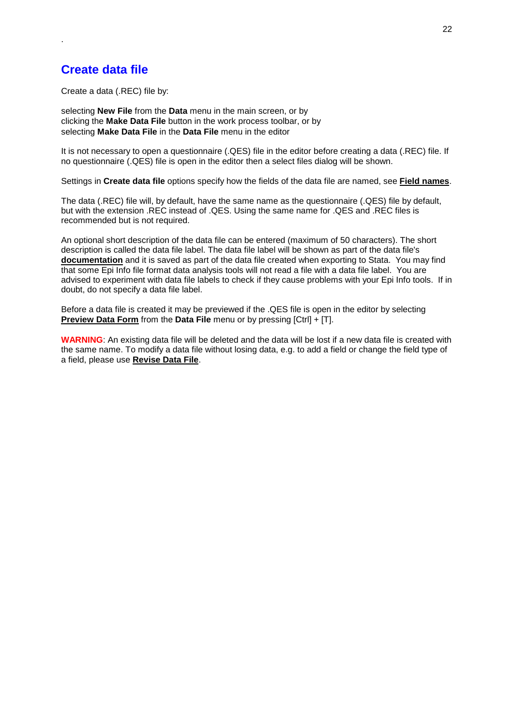## **Create data file**

<span id="page-21-0"></span>.

Create a data (.REC) file by:

selecting **New File** from the **Data** menu in the main screen, or by clicking the **Make Data File** button in the work process toolbar, or by selecting **Make Data File** in the **Data File** menu in the editor

It is not necessary to open a questionnaire (.QES) file in the editor before creating a data (.REC) file. If no questionnaire (.QES) file is open in the editor then a select files dialog will be shown.

Settings in **Create data file** options specify how the fields of the data file are named, see **Field names**.

The data (.REC) file will, by default, have the same name as the questionnaire (.QES) file by default, but with the extension .REC instead of .QES. Using the same name for .QES and .REC files is recommended but is not required.

An optional short description of the data file can be entered (maximum of 50 characters). The short description is called the data file label. The data file label will be shown as part of the data file's **documentation** and it is saved as part of the data file created when exporting to Stata. You may find that some Epi Info file format data analysis tools will not read a file with a data file label. You are advised to experiment with data file labels to check if they cause problems with your Epi Info tools. If in doubt, do not specify a data file label.

Before a data file is created it may be previewed if the .QES file is open in the editor by selecting **Preview Data Form** from the **Data File** menu or by pressing [Ctrl] + [T].

**WARNING**: An existing data file will be deleted and the data will be lost if a new data file is created with the same name. To modify a data file without losing data, e.g. to add a field or change the field type of a field, please use **Revise Data File**.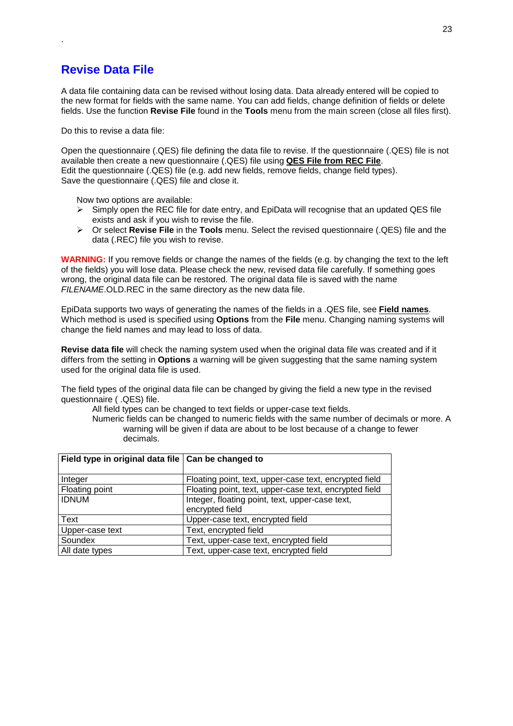## **Revise Data File**

<span id="page-22-0"></span>.

A data file containing data can be revised without losing data. Data already entered will be copied to the new format for fields with the same name. You can add fields, change definition of fields or delete fields. Use the function **Revise File** found in the **Tools** menu from the main screen (close all files first).

Do this to revise a data file:

Open the questionnaire (.QES) file defining the data file to revise. If the questionnaire (.QES) file is not available then create a new questionnaire (.QES) file using **QES File from REC File**. Edit the questionnaire (.QES) file (e.g. add new fields, remove fields, change field types). Save the questionnaire (.QES) file and close it.

Now two options are available:

- $\triangleright$  Simply open the REC file for date entry, and EpiData will recognise that an updated QES file exists and ask if you wish to revise the file.
- Or select **Revise File** in the **Tools** menu. Select the revised questionnaire (.QES) file and the data (.REC) file you wish to revise.

**WARNING:** If you remove fields or change the names of the fields (e.g. by changing the text to the left of the fields) you will lose data. Please check the new, revised data file carefully. If something goes wrong, the original data file can be restored. The original data file is saved with the name *FILENAME*.OLD.REC in the same directory as the new data file.

EpiData supports two ways of generating the names of the fields in a .QES file, see **Field names**. Which method is used is specified using **Options** from the **File** menu. Changing naming systems will change the field names and may lead to loss of data.

**Revise data file** will check the naming system used when the original data file was created and if it differs from the setting in **Options** a warning will be given suggesting that the same naming system used for the original data file is used.

The field types of the original data file can be changed by giving the field a new type in the revised questionnaire ( .QES) file.

All field types can be changed to text fields or upper-case text fields.

Numeric fields can be changed to numeric fields with the same number of decimals or more. A warning will be given if data are about to be lost because of a change to fewer decimals.

| Field type in original data file   Can be changed to |                                                        |
|------------------------------------------------------|--------------------------------------------------------|
| Integer                                              | Floating point, text, upper-case text, encrypted field |
| Floating point                                       | Floating point, text, upper-case text, encrypted field |
| <b>IDNUM</b>                                         | Integer, floating point, text, upper-case text,        |
|                                                      | encrypted field                                        |
| Text                                                 | Upper-case text, encrypted field                       |
| Upper-case text                                      | Text, encrypted field                                  |
| Soundex                                              | Text, upper-case text, encrypted field                 |
| All date types                                       | Text, upper-case text, encrypted field                 |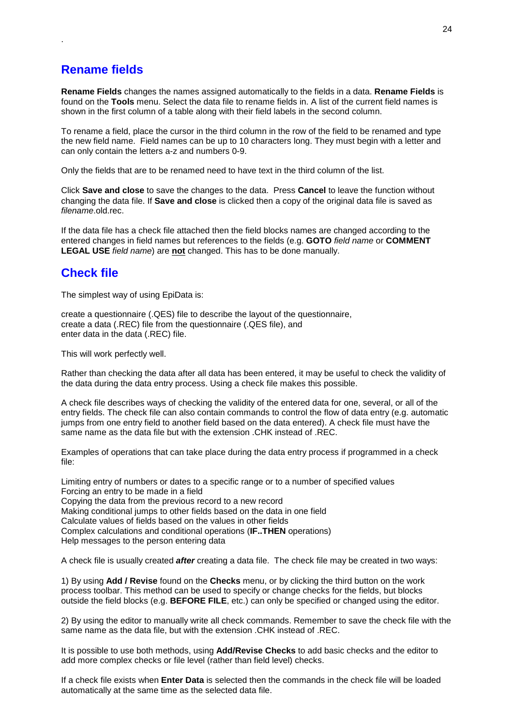## **Rename fields**

<span id="page-23-0"></span>.

**Rename Fields** changes the names assigned automatically to the fields in a data. **Rename Fields** is found on the **Tools** menu. Select the data file to rename fields in. A list of the current field names is shown in the first column of a table along with their field labels in the second column.

To rename a field, place the cursor in the third column in the row of the field to be renamed and type the new field name. Field names can be up to 10 characters long. They must begin with a letter and can only contain the letters a-z and numbers 0-9.

Only the fields that are to be renamed need to have text in the third column of the list.

Click **Save and close** to save the changes to the data. Press **Cancel** to leave the function without changing the data file. If **Save and close** is clicked then a copy of the original data file is saved as *filename*.old.rec.

If the data file has a check file attached then the field blocks names are changed according to the entered changes in field names but references to the fields (e.g. **GOTO** *field name* or **COMMENT LEGAL USE** *field name*) are **not** changed. This has to be done manually.

## **Check file**

The simplest way of using EpiData is:

create a questionnaire (.QES) file to describe the layout of the questionnaire, create a data (.REC) file from the questionnaire (.QES file), and enter data in the data (.REC) file.

This will work perfectly well.

Rather than checking the data after all data has been entered, it may be useful to check the validity of the data during the data entry process. Using a check file makes this possible.

A check file describes ways of checking the validity of the entered data for one, several, or all of the entry fields. The check file can also contain commands to control the flow of data entry (e.g. automatic jumps from one entry field to another field based on the data entered). A check file must have the same name as the data file but with the extension .CHK instead of .REC.

Examples of operations that can take place during the data entry process if programmed in a check file:

Limiting entry of numbers or dates to a specific range or to a number of specified values Forcing an entry to be made in a field Copying the data from the previous record to a new record Making conditional jumps to other fields based on the data in one field Calculate values of fields based on the values in other fields Complex calculations and conditional operations (**IF..THEN** operations) Help messages to the person entering data

A check file is usually created *after* creating a data file. The check file may be created in two ways:

1) By using **Add / Revise** found on the **Checks** menu, or by clicking the third button on the work process toolbar. This method can be used to specify or change checks for the fields, but blocks outside the field blocks (e.g. **BEFORE FILE**, etc.) can only be specified or changed using the editor.

2) By using the editor to manually write all check commands. Remember to save the check file with the same name as the data file, but with the extension .CHK instead of .REC.

It is possible to use both methods, using **Add/Revise Checks** to add basic checks and the editor to add more complex checks or file level (rather than field level) checks.

If a check file exists when **Enter Data** is selected then the commands in the check file will be loaded automatically at the same time as the selected data file.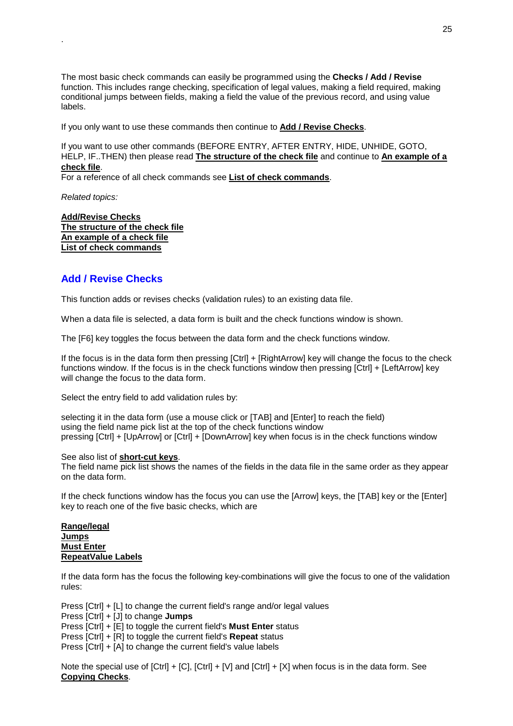The most basic check commands can easily be programmed using the **Checks / Add / Revise**  function. This includes range checking, specification of legal values, making a field required, making conditional jumps between fields, making a field the value of the previous record, and using value labels.

If you only want to use these commands then continue to **Add / Revise Checks**.

If you want to use other commands (BEFORE ENTRY, AFTER ENTRY, HIDE, UNHIDE, GOTO, HELP, IF..THEN) then please read **The structure of the check file** and continue to **An example of a check file**.

For a reference of all check commands see **List of check commands**.

*Related topics:* 

<span id="page-24-0"></span>.

**Add/Revise Checks The structure of the check file An example of a check file List of check commands**

## **Add / Revise Checks**

This function adds or revises checks (validation rules) to an existing data file.

When a data file is selected, a data form is built and the check functions window is shown.

The [F6] key toggles the focus between the data form and the check functions window.

If the focus is in the data form then pressing [Ctrl] + [RightArrow] key will change the focus to the check functions window. If the focus is in the check functions window then pressing [Ctrl] + [LeftArrow] key will change the focus to the data form.

Select the entry field to add validation rules by:

selecting it in the data form (use a mouse click or [TAB] and [Enter] to reach the field) using the field name pick list at the top of the check functions window pressing [Ctrl] + [UpArrow] or [Ctrl] + [DownArrow] key when focus is in the check functions window

See also list of **short-cut keys**.

The field name pick list shows the names of the fields in the data file in the same order as they appear on the data form.

If the check functions window has the focus you can use the [Arrow] keys, the [TAB] key or the [Enter] key to reach one of the five basic checks, which are

**Range/legal Jumps Must Enter RepeatValue Labels**

If the data form has the focus the following key-combinations will give the focus to one of the validation rules:

Press [Ctrl] + [L] to change the current field's range and/or legal values Press [Ctrl] + [J] to change **Jumps** Press [Ctrl] + [E] to toggle the current field's **Must Enter** status Press [Ctrl] + [R] to toggle the current field's **Repeat** status

Press [Ctrl] + [A] to change the current field's value labels

Note the special use of [Ctrl] + [C], [Ctrl] + [V] and [Ctrl] + [X] when focus is in the data form. See **Copying Checks**.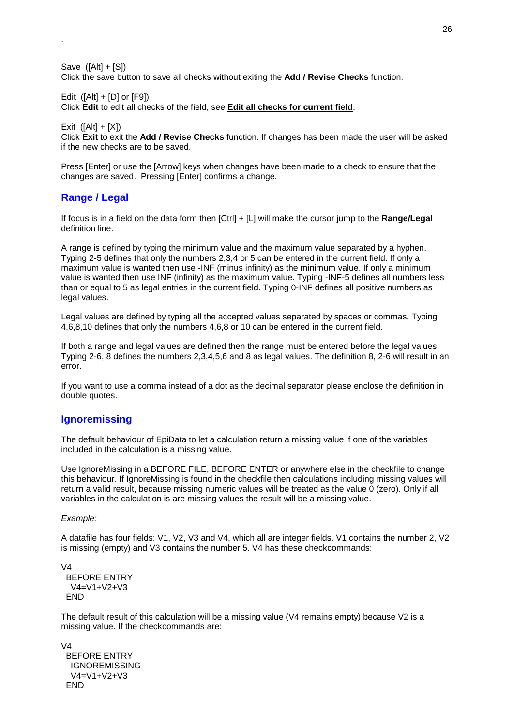Save  $([Alt] + [S])$ Click the save button to save all checks without exiting the **Add / Revise Checks** function.

Edit  $([Alt] + [D]$  or  $[F9]$ )

Click **Edit** to edit all checks of the field, see **Edit all checks for current field**.

Exit  $([Alt] + [X])$ 

<span id="page-25-0"></span>.

Click **Exit** to exit the **Add / Revise Checks** function. If changes has been made the user will be asked if the new checks are to be saved.

Press [Enter] or use the [Arrow] keys when changes have been made to a check to ensure that the changes are saved. Pressing [Enter] confirms a change.

## **Range / Legal**

If focus is in a field on the data form then [Ctrl] + [L] will make the cursor jump to the **Range/Legal** definition line.

A range is defined by typing the minimum value and the maximum value separated by a hyphen. Typing 2-5 defines that only the numbers 2,3,4 or 5 can be entered in the current field. If only a maximum value is wanted then use -INF (minus infinity) as the minimum value. If only a minimum value is wanted then use INF (infinity) as the maximum value. Typing -INF-5 defines all numbers less than or equal to 5 as legal entries in the current field. Typing 0-INF defines all positive numbers as legal values.

Legal values are defined by typing all the accepted values separated by spaces or commas. Typing 4,6,8,10 defines that only the numbers 4,6,8 or 10 can be entered in the current field.

If both a range and legal values are defined then the range must be entered before the legal values. Typing 2-6, 8 defines the numbers 2,3,4,5,6 and 8 as legal values. The definition 8, 2-6 will result in an error.

If you want to use a comma instead of a dot as the decimal separator please enclose the definition in double quotes.

## **Ignoremissing**

The default behaviour of EpiData to let a calculation return a missing value if one of the variables included in the calculation is a missing value.

Use IgnoreMissing in a BEFORE FILE, BEFORE ENTER or anywhere else in the checkfile to change this behaviour. If IgnoreMissing is found in the checkfile then calculations including missing values will return a valid result, because missing numeric values will be treated as the value 0 (zero). Only if all variables in the calculation is are missing values the result will be a missing value.

## *Example:*

A datafile has four fields: V1, V2, V3 and V4, which all are integer fields. V1 contains the number 2, V2 is missing (empty) and V3 contains the number 5. V4 has these checkcommands:

```
V4 
  BEFORE ENTRY 
   V4=V1+V2+V3 
  END
```
The default result of this calculation will be a missing value (V4 remains empty) because V2 is a missing value. If the checkcommands are:

V4 BEFORE ENTRY IGNOREMISSING V4=V1+V2+V3 END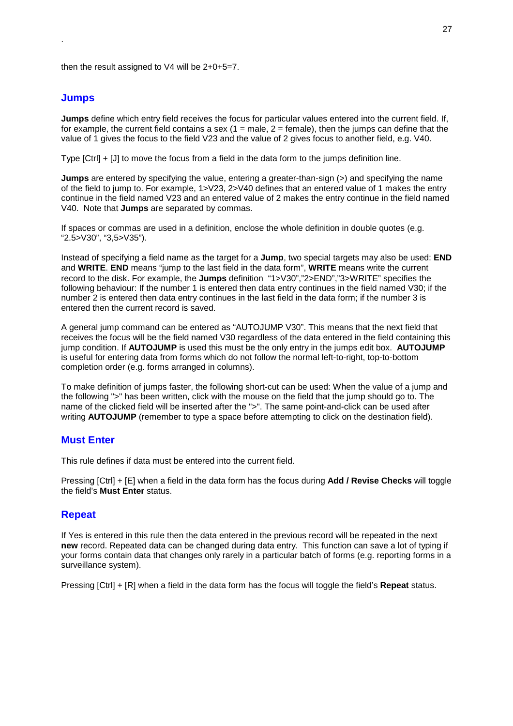then the result assigned to V4 will be 2+0+5=7.

#### **Jumps**

<span id="page-26-0"></span>.

**Jumps** define which entry field receives the focus for particular values entered into the current field. If, for example, the current field contains a sex (1 = male, 2 = female), then the jumps can define that the value of 1 gives the focus to the field V23 and the value of 2 gives focus to another field, e.g. V40.

Type [Ctrl] + [J] to move the focus from a field in the data form to the jumps definition line.

**Jumps** are entered by specifying the value, entering a greater-than-sign (>) and specifying the name of the field to jump to. For example, 1>V23, 2>V40 defines that an entered value of 1 makes the entry continue in the field named V23 and an entered value of 2 makes the entry continue in the field named V40. Note that **Jumps** are separated by commas.

If spaces or commas are used in a definition, enclose the whole definition in double quotes (e.g. "2.5>V30", "3,5>V35").

Instead of specifying a field name as the target for a **Jump**, two special targets may also be used: **END** and **WRITE**. **END** means "jump to the last field in the data form", **WRITE** means write the current record to the disk. For example, the **Jumps** definition "1>V30","2>END","3>WRITE" specifies the following behaviour: If the number 1 is entered then data entry continues in the field named V30; if the number 2 is entered then data entry continues in the last field in the data form; if the number 3 is entered then the current record is saved.

A general jump command can be entered as "AUTOJUMP V30". This means that the next field that receives the focus will be the field named V30 regardless of the data entered in the field containing this jump condition. If **AUTOJUMP** is used this must be the only entry in the jumps edit box. **AUTOJUMP** is useful for entering data from forms which do not follow the normal left-to-right, top-to-bottom completion order (e.g. forms arranged in columns).

To make definition of jumps faster, the following short-cut can be used: When the value of a jump and the following ">" has been written, click with the mouse on the field that the jump should go to. The name of the clicked field will be inserted after the ">". The same point-and-click can be used after writing **AUTOJUMP** (remember to type a space before attempting to click on the destination field).

#### **Must Enter**

This rule defines if data must be entered into the current field.

Pressing [Ctrl] + [E] when a field in the data form has the focus during **Add / Revise Checks** will toggle the field's **Must Enter** status.

## **Repeat**

If Yes is entered in this rule then the data entered in the previous record will be repeated in the next **new** record. Repeated data can be changed during data entry. This function can save a lot of typing if your forms contain data that changes only rarely in a particular batch of forms (e.g. reporting forms in a surveillance system).

Pressing [Ctrl] + [R] when a field in the data form has the focus will toggle the field's **Repeat** status.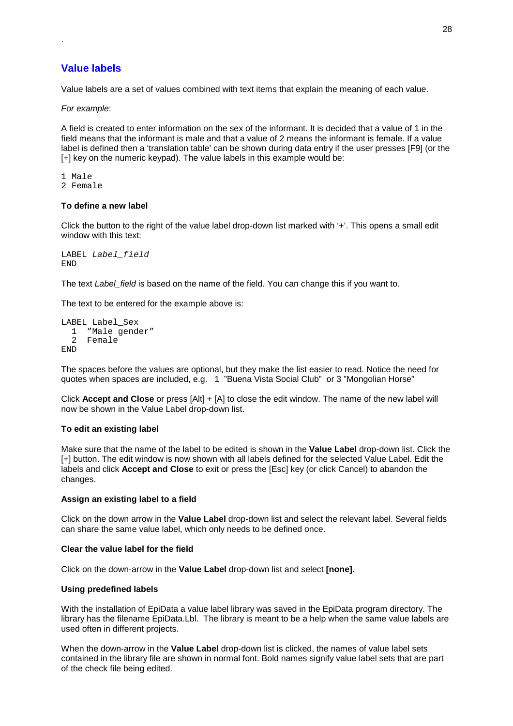## **Value labels**

<span id="page-27-0"></span>.

Value labels are a set of values combined with text items that explain the meaning of each value.

*For example*:

A field is created to enter information on the sex of the informant. It is decided that a value of 1 in the field means that the informant is male and that a value of 2 means the informant is female. If a value label is defined then a 'translation table' can be shown during data entry if the user presses [F9] (or the [+] key on the numeric keypad). The value labels in this example would be:

- 1 Male 2 Female
- 

## **To define a new label**

Click the button to the right of the value label drop-down list marked with '+'. This opens a small edit window with this text:

```
LABEL Label_field
END
```
The text *Label field* is based on the name of the field. You can change this if you want to.

The text to be entered for the example above is:

```
LABEL Label_Sex
 1 "Male gender"
  2 Female
END
```
The spaces before the values are optional, but they make the list easier to read. Notice the need for quotes when spaces are included, e.g. 1 "Buena Vista Social Club" or 3 "Mongolian Horse"

Click **Accept and Close** or press [Alt] + [A] to close the edit window. The name of the new label will now be shown in the Value Label drop-down list.

## **To edit an existing label**

Make sure that the name of the label to be edited is shown in the **Value Label** drop-down list. Click the [+] button. The edit window is now shown with all labels defined for the selected Value Label. Edit the labels and click **Accept and Close** to exit or press the [Esc] key (or click Cancel) to abandon the changes.

## **Assign an existing label to a field**

Click on the down arrow in the **Value Label** drop-down list and select the relevant label. Several fields can share the same value label, which only needs to be defined once.

#### **Clear the value label for the field**

Click on the down-arrow in the **Value Label** drop-down list and select **[none]**.

## **Using predefined labels**

With the installation of EpiData a value label library was saved in the EpiData program directory. The library has the filename EpiData.Lbl. The library is meant to be a help when the same value labels are used often in different projects.

When the down-arrow in the **Value Label** drop-down list is clicked, the names of value label sets contained in the library file are shown in normal font. Bold names signify value label sets that are part of the check file being edited.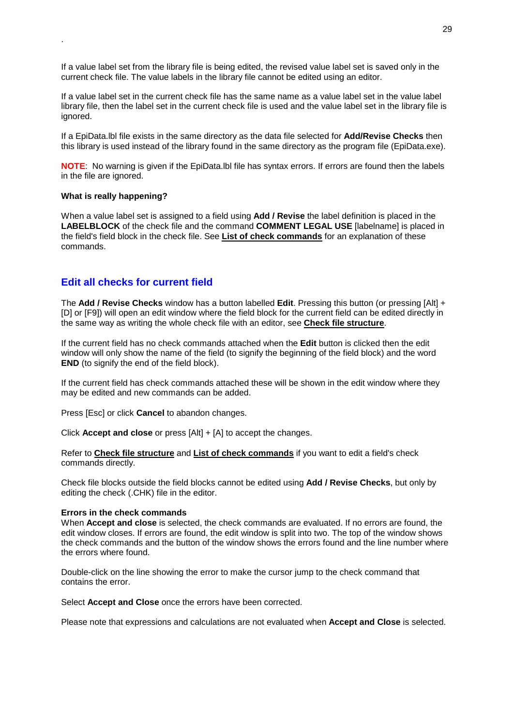If a value label set from the library file is being edited, the revised value label set is saved only in the current check file. The value labels in the library file cannot be edited using an editor.

If a value label set in the current check file has the same name as a value label set in the value label library file, then the label set in the current check file is used and the value label set in the library file is ignored.

If a EpiData.lbl file exists in the same directory as the data file selected for **Add/Revise Checks** then this library is used instead of the library found in the same directory as the program file (EpiData.exe).

**NOTE**: No warning is given if the EpiData.lbl file has syntax errors. If errors are found then the labels in the file are ignored.

#### **What is really happening?**

<span id="page-28-0"></span>.

When a value label set is assigned to a field using **Add / Revise** the label definition is placed in the **LABELBLOCK** of the check file and the command **COMMENT LEGAL USE** [labelname] is placed in the field's field block in the check file. See **List of check commands** for an explanation of these commands.

## **Edit all checks for current field**

The **Add / Revise Checks** window has a button labelled **Edit**. Pressing this button (or pressing [Alt] + [D] or [F9]) will open an edit window where the field block for the current field can be edited directly in the same way as writing the whole check file with an editor, see **Check file structure**.

If the current field has no check commands attached when the **Edit** button is clicked then the edit window will only show the name of the field (to signify the beginning of the field block) and the word **END** (to signify the end of the field block).

If the current field has check commands attached these will be shown in the edit window where they may be edited and new commands can be added.

Press [Esc] or click **Cancel** to abandon changes.

Click **Accept and close** or press [Alt] + [A] to accept the changes.

Refer to **Check file structure** and **List of check commands** if you want to edit a field's check commands directly.

Check file blocks outside the field blocks cannot be edited using **Add / Revise Checks**, but only by editing the check (.CHK) file in the editor.

#### **Errors in the check commands**

When **Accept and close** is selected, the check commands are evaluated. If no errors are found, the edit window closes. If errors are found, the edit window is split into two. The top of the window shows the check commands and the button of the window shows the errors found and the line number where the errors where found.

Double-click on the line showing the error to make the cursor jump to the check command that contains the error.

Select **Accept and Close** once the errors have been corrected.

Please note that expressions and calculations are not evaluated when **Accept and Close** is selected.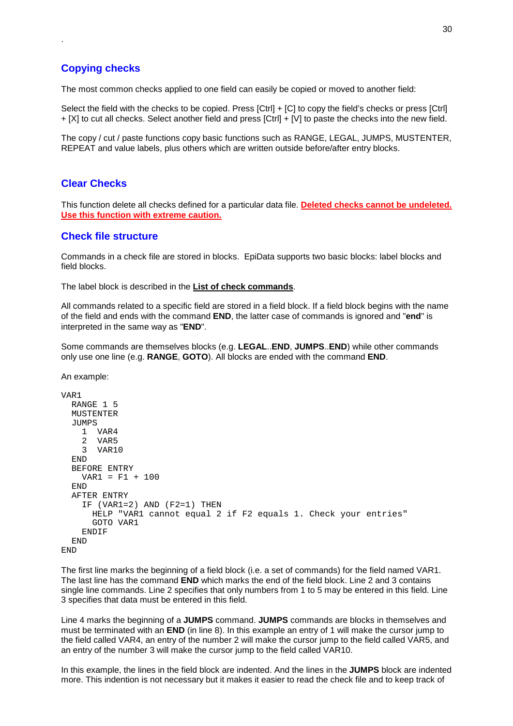## **Copying checks**

<span id="page-29-0"></span>.

The most common checks applied to one field can easily be copied or moved to another field:

Select the field with the checks to be copied. Press [Ctrl] + [C] to copy the field's checks or press [Ctrl] + [X] to cut all checks. Select another field and press [Ctrl] + [V] to paste the checks into the new field.

The copy / cut / paste functions copy basic functions such as RANGE, LEGAL, JUMPS, MUSTENTER, REPEAT and value labels, plus others which are written outside before/after entry blocks.

## **Clear Checks**

This function delete all checks defined for a particular data file. **Deleted checks cannot be undeleted. Use this function with extreme caution.**

## **Check file structure**

Commands in a check file are stored in blocks. EpiData supports two basic blocks: label blocks and field blocks.

The label block is described in the **List of check commands**.

All commands related to a specific field are stored in a field block. If a field block begins with the name of the field and ends with the command **END**, the latter case of commands is ignored and "**end**" is interpreted in the same way as "**END**".

Some commands are themselves blocks (e.g. **LEGAL**..**END**, **JUMPS**..**END**) while other commands only use one line (e.g. **RANGE**, **GOTO**). All blocks are ended with the command **END**.

An example:

```
VAP1RANGE 1 5
  MUSTENTER
  JUMPS<sub>S</sub>
    1 VAR4<br>2 VAR5
    2 VAR5<br>3 VAR1
       VAR10
  END
  BEFORE ENTRY
    VAR1 = F1 + 100END
  AFTER ENTRY
    IF (VAR1=2) AND (F2=1) THEN
      HELP "VAR1 cannot equal 2 if F2 equals 1. Check your entries"
      GOTO VAR1
    ENDIF
  END
END
```
The first line marks the beginning of a field block (i.e. a set of commands) for the field named VAR1. The last line has the command **END** which marks the end of the field block. Line 2 and 3 contains single line commands. Line 2 specifies that only numbers from 1 to 5 may be entered in this field. Line 3 specifies that data must be entered in this field.

Line 4 marks the beginning of a **JUMPS** command. **JUMPS** commands are blocks in themselves and must be terminated with an **END** (in line 8). In this example an entry of 1 will make the cursor jump to the field called VAR4, an entry of the number 2 will make the cursor jump to the field called VAR5, and an entry of the number 3 will make the cursor jump to the field called VAR10.

In this example, the lines in the field block are indented. And the lines in the **JUMPS** block are indented more. This indention is not necessary but it makes it easier to read the check file and to keep track of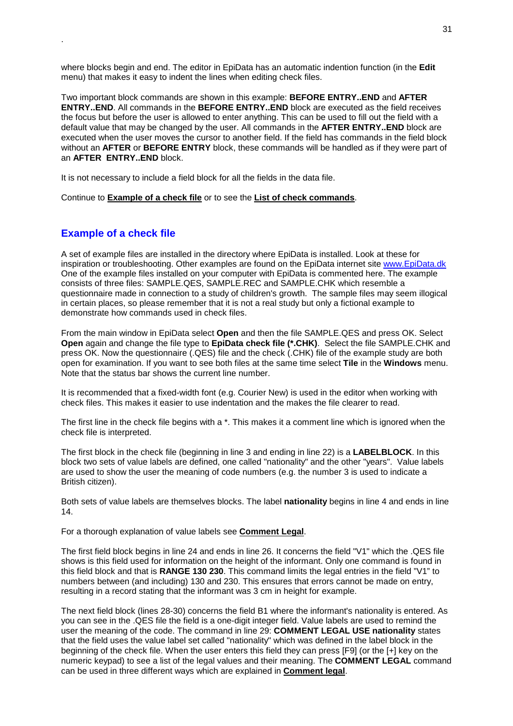where blocks begin and end. The editor in EpiData has an automatic indention function (in the **Edit** menu) that makes it easy to indent the lines when editing check files.

Two important block commands are shown in this example: **BEFORE ENTRY..END** and **AFTER ENTRY..END**. All commands in the **BEFORE ENTRY..END** block are executed as the field receives the focus but before the user is allowed to enter anything. This can be used to fill out the field with a default value that may be changed by the user. All commands in the **AFTER ENTRY..END** block are executed when the user moves the cursor to another field. If the field has commands in the field block without an **AFTER** or **BEFORE ENTRY** block, these commands will be handled as if they were part of an **AFTER ENTRY..END** block.

It is not necessary to include a field block for all the fields in the data file.

Continue to **Example of a check file** or to see the **List of check commands**.

## **Example of a check file**

<span id="page-30-0"></span>.

A set of example files are installed in the directory where EpiData is installed. Look at these for inspiration or troubleshooting. Other examples are found on the EpiData internet site www.EpiData.dk One of the example files installed on your computer with EpiData is commented here. The example consists of three files: SAMPLE.QES, SAMPLE.REC and SAMPLE.CHK which resemble a questionnaire made in connection to a study of children's growth. The sample files may seem illogical in certain places, so please remember that it is not a real study but only a fictional example to demonstrate how commands used in check files.

From the main window in EpiData select **Open** and then the file SAMPLE.QES and press OK. Select **Open** again and change the file type to **EpiData check file (\*.CHK)**. Select the file SAMPLE.CHK and press OK. Now the questionnaire (.QES) file and the check (.CHK) file of the example study are both open for examination. If you want to see both files at the same time select **Tile** in the **Windows** menu. Note that the status bar shows the current line number.

It is recommended that a fixed-width font (e.g. Courier New) is used in the editor when working with check files. This makes it easier to use indentation and the makes the file clearer to read.

The first line in the check file begins with a \*. This makes it a comment line which is ignored when the check file is interpreted.

The first block in the check file (beginning in line 3 and ending in line 22) is a **LABELBLOCK**. In this block two sets of value labels are defined, one called "nationality" and the other "years". Value labels are used to show the user the meaning of code numbers (e.g. the number 3 is used to indicate a British citizen).

Both sets of value labels are themselves blocks. The label **nationality** begins in line 4 and ends in line 14.

For a thorough explanation of value labels see **Comment Legal**.

The first field block begins in line 24 and ends in line 26. It concerns the field "V1" which the .QES file shows is this field used for information on the height of the informant. Only one command is found in this field block and that is **RANGE 130 230**. This command limits the legal entries in the field "V1" to numbers between (and including) 130 and 230. This ensures that errors cannot be made on entry, resulting in a record stating that the informant was 3 cm in height for example.

The next field block (lines 28-30) concerns the field B1 where the informant's nationality is entered. As you can see in the .QES file the field is a one-digit integer field. Value labels are used to remind the user the meaning of the code. The command in line 29: **COMMENT LEGAL USE nationality** states that the field uses the value label set called "nationality" which was defined in the label block in the beginning of the check file. When the user enters this field they can press [F9] (or the [+] key on the numeric keypad) to see a list of the legal values and their meaning. The **COMMENT LEGAL** command can be used in three different ways which are explained in **Comment legal**.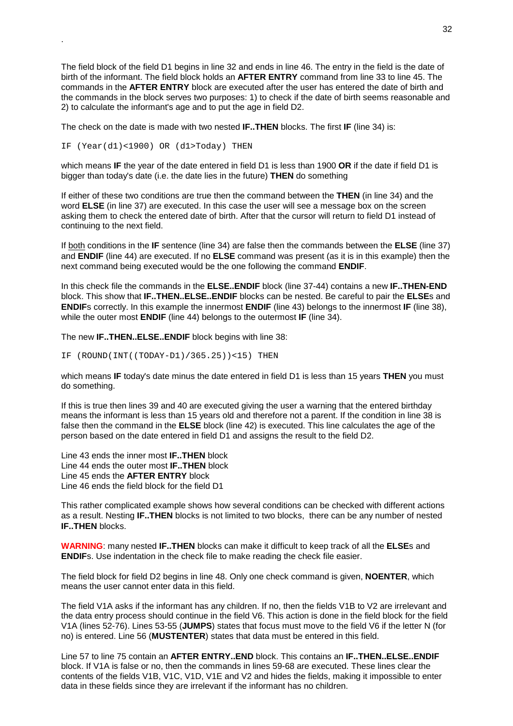The field block of the field D1 begins in line 32 and ends in line 46. The entry in the field is the date of birth of the informant. The field block holds an **AFTER ENTRY** command from line 33 to line 45. The commands in the **AFTER ENTRY** block are executed after the user has entered the date of birth and the commands in the block serves two purposes: 1) to check if the date of birth seems reasonable and 2) to calculate the informant's age and to put the age in field D2.

The check on the date is made with two nested **IF..THEN** blocks. The first **IF** (line 34) is:

IF (Year(d1)<1900) OR (d1>Today) THEN

.

which means **IF** the year of the date entered in field D1 is less than 1900 **OR** if the date if field D1 is bigger than today's date (i.e. the date lies in the future) **THEN** do something

If either of these two conditions are true then the command between the **THEN** (in line 34) and the word **ELSE** (in line 37) are executed. In this case the user will see a message box on the screen asking them to check the entered date of birth. After that the cursor will return to field D1 instead of continuing to the next field.

If both conditions in the **IF** sentence (line 34) are false then the commands between the **ELSE** (line 37) and **ENDIF** (line 44) are executed. If no **ELSE** command was present (as it is in this example) then the next command being executed would be the one following the command **ENDIF**.

In this check file the commands in the **ELSE..ENDIF** block (line 37-44) contains a new **IF..THEN-END** block. This show that **IF..THEN..ELSE..ENDIF** blocks can be nested. Be careful to pair the **ELSE**s and **ENDIF**s correctly. In this example the innermost **ENDIF** (line 43) belongs to the innermost **IF** (line 38), while the outer most **ENDIF** (line 44) belongs to the outermost **IF** (line 34).

The new **IF..THEN..ELSE..ENDIF** block begins with line 38:

IF (ROUND(INT((TODAY-D1)/365.25))<15) THEN

which means **IF** today's date minus the date entered in field D1 is less than 15 years **THEN** you must do something.

If this is true then lines 39 and 40 are executed giving the user a warning that the entered birthday means the informant is less than 15 years old and therefore not a parent. If the condition in line 38 is false then the command in the **ELSE** block (line 42) is executed. This line calculates the age of the person based on the date entered in field D1 and assigns the result to the field D2.

Line 43 ends the inner most **IF..THEN** block Line 44 ends the outer most **IF..THEN** block Line 45 ends the **AFTER ENTRY** block Line 46 ends the field block for the field D1

This rather complicated example shows how several conditions can be checked with different actions as a result. Nesting **IF..THEN** blocks is not limited to two blocks, there can be any number of nested **IF..THEN** blocks.

**WARNING**: many nested **IF..THEN** blocks can make it difficult to keep track of all the **ELSE**s and **ENDIF**s. Use indentation in the check file to make reading the check file easier.

The field block for field D2 begins in line 48. Only one check command is given, **NOENTER**, which means the user cannot enter data in this field.

The field V1A asks if the informant has any children. If no, then the fields V1B to V2 are irrelevant and the data entry process should continue in the field V6. This action is done in the field block for the field V1A (lines 52-76). Lines 53-55 (**JUMPS**) states that focus must move to the field V6 if the letter N (for no) is entered. Line 56 (**MUSTENTER**) states that data must be entered in this field.

Line 57 to line 75 contain an **AFTER ENTRY..END** block. This contains an **IF..THEN..ELSE..ENDIF** block. If V1A is false or no, then the commands in lines 59-68 are executed. These lines clear the contents of the fields V1B, V1C, V1D, V1E and V2 and hides the fields, making it impossible to enter data in these fields since they are irrelevant if the informant has no children.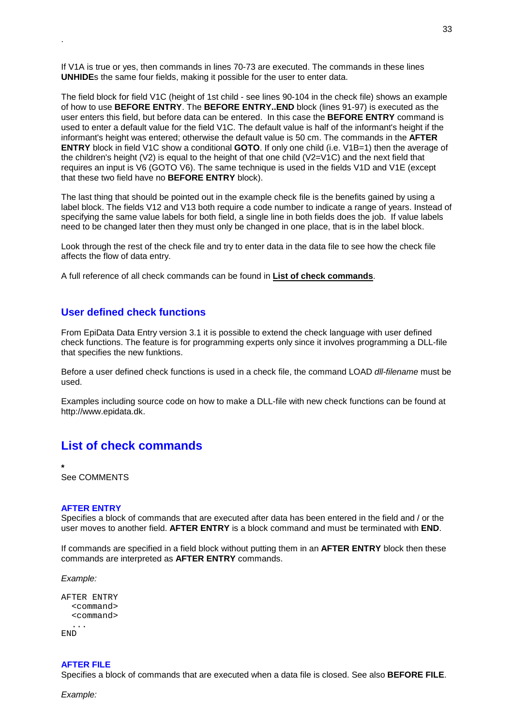If V1A is true or yes, then commands in lines 70-73 are executed. The commands in these lines **UNHIDE**s the same four fields, making it possible for the user to enter data.

The field block for field V1C (height of 1st child - see lines 90-104 in the check file) shows an example of how to use **BEFORE ENTRY**. The **BEFORE ENTRY..END** block (lines 91-97) is executed as the user enters this field, but before data can be entered. In this case the **BEFORE ENTRY** command is used to enter a default value for the field V1C. The default value is half of the informant's height if the informant's height was entered; otherwise the default value is 50 cm. The commands in the **AFTER ENTRY** block in field V1C show a conditional **GOTO**. If only one child (i.e. V1B=1) then the average of the children's height (V2) is equal to the height of that one child (V2=V1C) and the next field that requires an input is V6 (GOTO V6). The same technique is used in the fields V1D and V1E (except that these two field have no **BEFORE ENTRY** block).

The last thing that should be pointed out in the example check file is the benefits gained by using a label block. The fields V12 and V13 both require a code number to indicate a range of years. Instead of specifying the same value labels for both field, a single line in both fields does the job. If value labels need to be changed later then they must only be changed in one place, that is in the label block.

Look through the rest of the check file and try to enter data in the data file to see how the check file affects the flow of data entry.

A full reference of all check commands can be found in **List of check commands**.

## **User defined check functions**

From EpiData Data Entry version 3.1 it is possible to extend the check language with user defined check functions. The feature is for programming experts only since it involves programming a DLL-file that specifies the new funktions.

Before a user defined check functions is used in a check file, the command LOAD *dll-filename* must be used.

Examples including source code on how to make a DLL-file with new check functions can be found at http://www.epidata.dk.

## **List of check commands**

**\***  See COMMENTS

<span id="page-32-0"></span>.

#### **AFTER ENTRY**

Specifies a block of commands that are executed after data has been entered in the field and / or the user moves to another field. **AFTER ENTRY** is a block command and must be terminated with **END**.

If commands are specified in a field block without putting them in an **AFTER ENTRY** block then these commands are interpreted as **AFTER ENTRY** commands.

*Example:* 

```
AFTER ENTRY
  <command>
  <command>
  ...
END
```
#### **AFTER FILE**

Specifies a block of commands that are executed when a data file is closed. See also **BEFORE FILE**.

*Example:*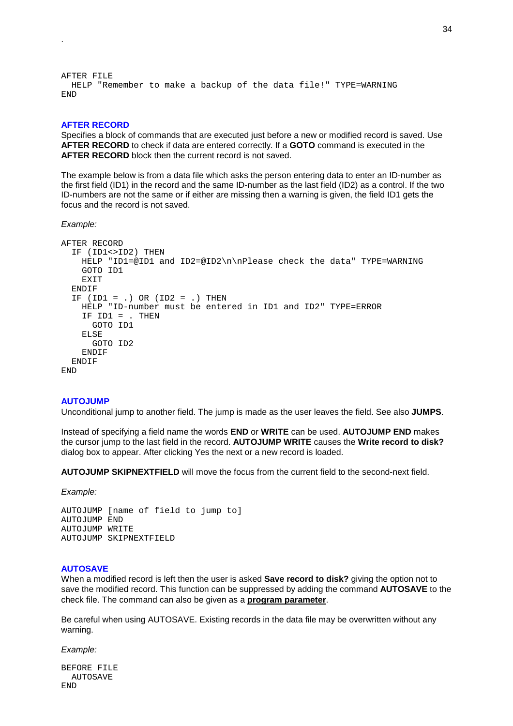```
AFTER FILE
 HELP "Remember to make a backup of the data file!" TYPE=WARNING
END
```
#### **AFTER RECORD**

<span id="page-33-0"></span>.

Specifies a block of commands that are executed just before a new or modified record is saved. Use **AFTER RECORD** to check if data are entered correctly. If a **GOTO** command is executed in the **AFTER RECORD** block then the current record is not saved.

The example below is from a data file which asks the person entering data to enter an ID-number as the first field (ID1) in the record and the same ID-number as the last field (ID2) as a control. If the two ID-numbers are not the same or if either are missing then a warning is given, the field ID1 gets the focus and the record is not saved.

*Example:* 

```
AFTER RECORD
  IF (ID1<>ID2) THEN
   HELP "ID1=@ID1 and ID2=@ID2\n\nPlease check the data" TYPE=WARNING
    GOTO ID1
   EXTT
  ENDIF
  IF (ID = .) OR (ID2 = .) THENHELP "ID-number must be entered in ID1 and ID2" TYPE=ERROR
    IF ID1 = . THEN
     GOTO ID1
    ELSE
      GOTO ID2
   ENDIF
 ENDIF
END
```
#### **AUTOJUMP**

Unconditional jump to another field. The jump is made as the user leaves the field. See also **JUMPS**.

Instead of specifying a field name the words **END** or **WRITE** can be used. **AUTOJUMP END** makes the cursor jump to the last field in the record. **AUTOJUMP WRITE** causes the **Write record to disk?** dialog box to appear. After clicking Yes the next or a new record is loaded.

**AUTOJUMP SKIPNEXTFIELD** will move the focus from the current field to the second-next field.

*Example:* 

AUTOJUMP [name of field to jump to] AUTOJUMP END AUTOJUMP WRITE AUTOJUMP SKIPNEXTFIELD

#### **AUTOSAVE**

When a modified record is left then the user is asked **Save record to disk?** giving the option not to save the modified record. This function can be suppressed by adding the command **AUTOSAVE** to the check file. The command can also be given as a **program parameter**.

Be careful when using AUTOSAVE. Existing records in the data file may be overwritten without any warning.

*Example:* 

BEFORE FILE AUTOSAVE END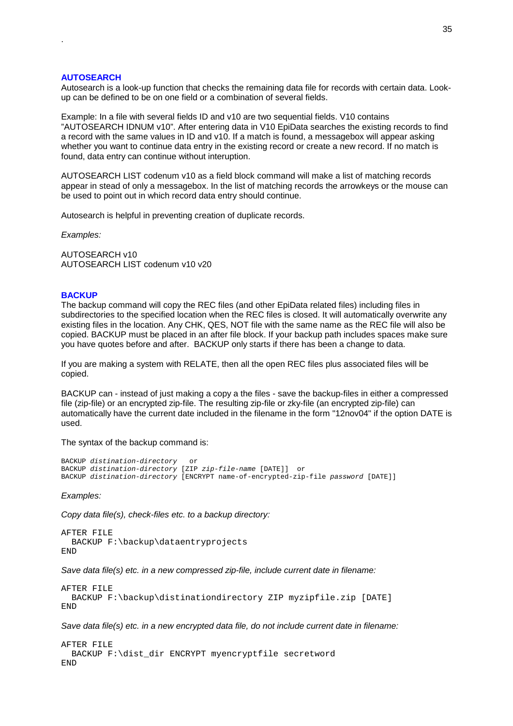#### **AUTOSEARCH**

<span id="page-34-0"></span>.

Autosearch is a look-up function that checks the remaining data file for records with certain data. Lookup can be defined to be on one field or a combination of several fields.

Example: In a file with several fields ID and v10 are two sequential fields. V10 contains "AUTOSEARCH IDNUM v10". After entering data in V10 EpiData searches the existing records to find a record with the same values in ID and v10. If a match is found, a messagebox will appear asking whether you want to continue data entry in the existing record or create a new record. If no match is found, data entry can continue without interuption.

AUTOSEARCH LIST codenum v10 as a field block command will make a list of matching records appear in stead of only a messagebox. In the list of matching records the arrowkeys or the mouse can be used to point out in which record data entry should continue.

Autosearch is helpful in preventing creation of duplicate records.

*Examples:*

AUTOSEARCH v10 AUTOSEARCH LIST codenum v10 v20

#### **BACKUP**

The backup command will copy the REC files (and other EpiData related files) including files in subdirectories to the specified location when the REC files is closed. It will automatically overwrite any existing files in the location. Any CHK, QES, NOT file with the same name as the REC file will also be copied. BACKUP must be placed in an after file block. If your backup path includes spaces make sure you have quotes before and after. BACKUP only starts if there has been a change to data.

If you are making a system with RELATE, then all the open REC files plus associated files will be copied.

BACKUP can - instead of just making a copy a the files - save the backup-files in either a compressed file (zip-file) or an encrypted zip-file. The resulting zip-file or zky-file (an encrypted zip-file) can automatically have the current date included in the filename in the form "12nov04" if the option DATE is used.

The syntax of the backup command is:

```
BACKUP distination-directory or
BACKUP distination-directory [ZIP zip-file-name [DATE]] or
BACKUP distination-directory [ENCRYPT name-of-encrypted-zip-file password [DATE]]
```
*Examples:* 

*Copy data file(s), check-files etc. to a backup directory:* 

```
AFTER FILE
 BACKUP F:\backup\dataentryprojects
END
```
*Save data file(s) etc. in a new compressed zip-file, include current date in filename:*

```
AFTER FILE
 BACKUP F:\backup\distinationdirectory ZIP myzipfile.zip [DATE]
END
```
*Save data file(s) etc. in a new encrypted data file, do not include current date in filename:*

```
AFTER FILE
 BACKUP F:\dist_dir ENCRYPT myencryptfile secretword
END
```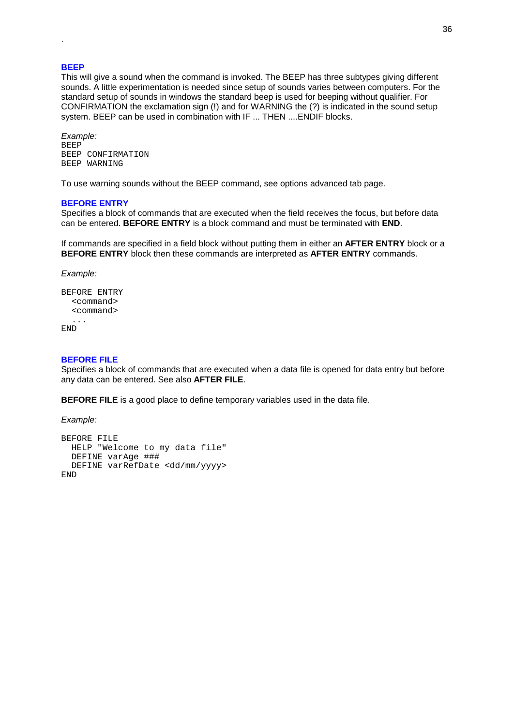#### **BEEP**

<span id="page-35-0"></span>.

This will give a sound when the command is invoked. The BEEP has three subtypes giving different sounds. A little experimentation is needed since setup of sounds varies between computers. For the standard setup of sounds in windows the standard beep is used for beeping without qualifier. For CONFIRMATION the exclamation sign (!) and for WARNING the (?) is indicated in the sound setup system. BEEP can be used in combination with IF ... THEN ....ENDIF blocks.

*Example:*  BEEP BEEP CONFIRMATION BEEP WARNING

To use warning sounds without the BEEP command, see options advanced tab page.

#### **BEFORE ENTRY**

Specifies a block of commands that are executed when the field receives the focus, but before data can be entered. **BEFORE ENTRY** is a block command and must be terminated with **END**.

If commands are specified in a field block without putting them in either an **AFTER ENTRY** block or a **BEFORE ENTRY** block then these commands are interpreted as **AFTER ENTRY** commands.

```
Example:
```

```
BEFORE ENTRY
  <command>
  <command>
  ...
END
```
#### **BEFORE FILE**

Specifies a block of commands that are executed when a data file is opened for data entry but before any data can be entered. See also **AFTER FILE**.

**BEFORE FILE** is a good place to define temporary variables used in the data file.

*Example:* 

```
BEFORE FILE
 HELP "Welcome to my data file"
 DEFINE varAge ###
 DEFINE varRefDate <dd/mm/yyyy>
END
```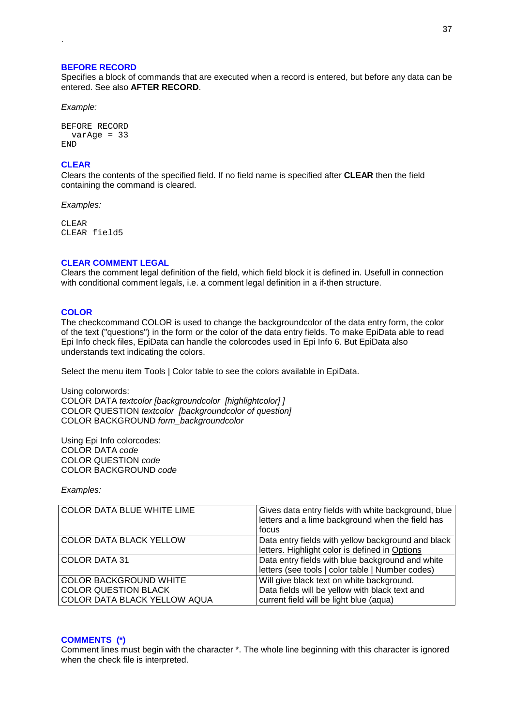#### **BEFORE RECORD**

Specifies a block of commands that are executed when a record is entered, but before any data can be entered. See also **AFTER RECORD**.

*Example:* 

.

```
BEFORE RECORD
 varAge = 33
END
```
## **CLEAR**

Clears the contents of the specified field. If no field name is specified after **CLEAR** then the field containing the command is cleared.

*Examples:* 

CLEAR CLEAR field5

## **CLEAR COMMENT LEGAL**

Clears the comment legal definition of the field, which field block it is defined in. Usefull in connection with conditional comment legals, i.e. a comment legal definition in a if-then structure.

#### **COLOR**

The checkcommand COLOR is used to change the backgroundcolor of the data entry form, the color of the text ("questions") in the form or the color of the data entry fields. To make EpiData able to read Epi Info check files, EpiData can handle the colorcodes used in Epi Info 6. But EpiData also understands text indicating the colors.

Select the menu item Tools | Color table to see the colors available in EpiData.

Using colorwords: COLOR DATA *textcolor [backgroundcolor [highlightcolor] ]* COLOR QUESTION *textcolor [backgroundcolor of question]* COLOR BACKGROUND *form\_backgroundcolor*

Using Epi Info colorcodes: COLOR DATA *code* COLOR QUESTION *code* COLOR BACKGROUND *code*

*Examples:*

| <b>COLOR DATA BLUE WHITE LIME</b> | Gives data entry fields with white background, blue<br>letters and a lime background when the field has<br>focus |  |
|-----------------------------------|------------------------------------------------------------------------------------------------------------------|--|
| <b>COLOR DATA BLACK YELLOW</b>    | Data entry fields with yellow background and black<br>letters. Highlight color is defined in Options             |  |
|                                   |                                                                                                                  |  |
| <b>COLOR DATA 31</b>              | Data entry fields with blue background and white                                                                 |  |
|                                   | letters (see tools   color table   Number codes)                                                                 |  |
| <b>COLOR BACKGROUND WHITE</b>     | Will give black text on white background.                                                                        |  |
| <b>COLOR QUESTION BLACK</b>       | Data fields will be yellow with black text and                                                                   |  |
| COLOR DATA BLACK YELLOW AQUA      | current field will be light blue (aqua)                                                                          |  |

#### **COMMENTS (\*)**

Comment lines must begin with the character \*. The whole line beginning with this character is ignored when the check file is interpreted.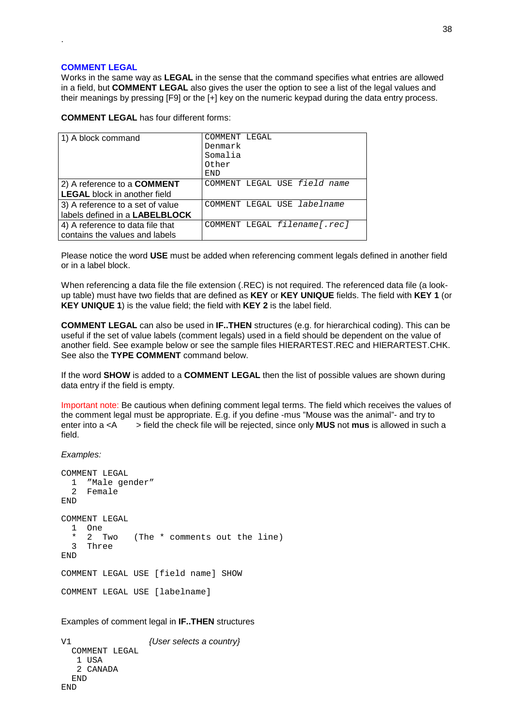## **COMMENT LEGAL**

.

Works in the same way as **LEGAL** in the sense that the command specifies what entries are allowed in a field, but **COMMENT LEGAL** also gives the user the option to see a list of the legal values and their meanings by pressing [F9] or the [+] key on the numeric keypad during the data entry process.

**COMMENT LEGAL** has four different forms:

| 1) A block command                  | COMMENT LEGAL<br>Denmark<br>Somalia |
|-------------------------------------|-------------------------------------|
|                                     | Other<br>END                        |
| 2) A reference to a <b>COMMENT</b>  | COMMENT LEGAL USE field name        |
| <b>LEGAL</b> block in another field |                                     |
| 3) A reference to a set of value    | COMMENT LEGAL USE labelname         |
| labels defined in a LABELBLOCK      |                                     |
| 4) A reference to data file that    | COMMENT LEGAL filename[.rec]        |
| contains the values and labels      |                                     |

Please notice the word **USE** must be added when referencing comment legals defined in another field or in a label block.

When referencing a data file the file extension (.REC) is not required. The referenced data file (a lookup table) must have two fields that are defined as **KEY** or **KEY UNIQUE** fields. The field with **KEY 1** (or **KEY UNIQUE 1**) is the value field; the field with **KEY 2** is the label field.

**COMMENT LEGAL** can also be used in **IF..THEN** structures (e.g. for hierarchical coding). This can be useful if the set of value labels (comment legals) used in a field should be dependent on the value of another field. See example below or see the sample files HIERARTEST.REC and HIERARTEST.CHK. See also the **TYPE COMMENT** command below.

If the word **SHOW** is added to a **COMMENT LEGAL** then the list of possible values are shown during data entry if the field is empty.

Important note: Be cautious when defining comment legal terms. The field which receives the values of the comment legal must be appropriate. E.g. if you define -mus "Mouse was the animal"- and try to enter into a <A > field the check file will be rejected, since only **MUS** not **mus** is allowed in such a field.

*Examples:* 

```
COMMENT LEGAL
 1 "Male gender"
 2 Female
END
COMMENT LEGAL
 1 One
 * 2 Two (The * comments out the line)
 3 Three
END
COMMENT LEGAL USE [field name] SHOW
COMMENT LEGAL USE [labelname]
```
Examples of comment legal in **IF..THEN** structures

```
V1 {User selects a country}
 COMMENT LEGAL
  1 USA
  2 CANADA
 END
END
```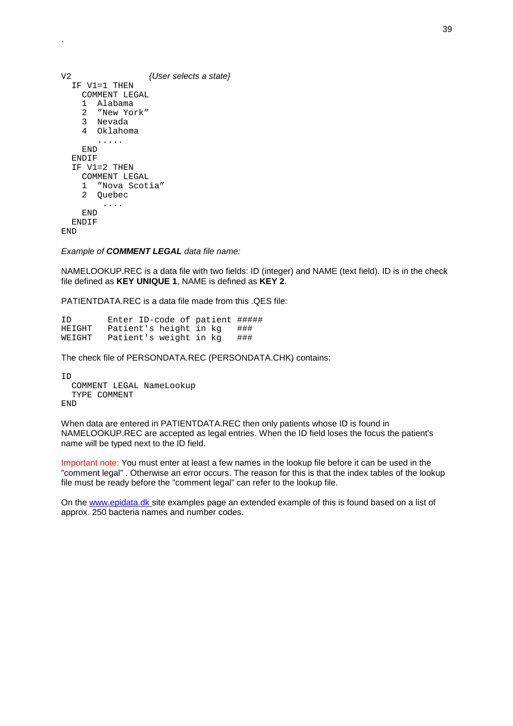| V2                     | {User selects a state} |
|------------------------|------------------------|
| IF V1=1 THEN           |                        |
| COMMENT LEGAL          |                        |
| Alabama<br>1.          |                        |
| 2 "New York"           |                        |
| 3 Nevada               |                        |
| 4 Oklahoma             |                        |
|                        |                        |
| END                    |                        |
| ENDIF                  |                        |
| IF V1=2 THEN           |                        |
| COMMENT LEGAL          |                        |
| "Nova Scotia"<br>1.    |                        |
| $\mathbf{2}$<br>Ouebec |                        |
|                        |                        |
| END                    |                        |
| ENDIF                  |                        |
| END                    |                        |

.

#### *Example of COMMENT LEGAL data file name:*

NAMELOOKUP.REC is a data file with two fields: ID (integer) and NAME (text field). ID is in the check file defined as **KEY UNIQUE 1**, NAME is defined as **KEY 2**.

PATIENTDATA.REC is a data file made from this .QES file:

| ID     | Enter ID-code of patient ##### |  |     |
|--------|--------------------------------|--|-----|
| HEIGHT | Patient's height in kg         |  | ### |
| WEIGHT | Patient's weight in kg         |  | ### |

The check file of PERSONDATA.REC (PERSONDATA.CHK) contains:

ID COMMENT LEGAL NameLookup TYPE COMMENT END

When data are entered in PATIENTDATA.REC then only patients whose ID is found in NAMELOOKUP.REC are accepted as legal entries. When the ID field loses the focus the patient's name will be typed next to the ID field.

Important note: You must enter at least a few names in the lookup file before it can be used in the "comment legal" . Otherwise an error occurs. The reason for this is that the index tables of the lookup file must be ready before the "comment legal" can refer to the lookup file.

On the www.epidata.dk site examples page an extended example of this is found based on a list of approx. 250 bacteria names and number codes.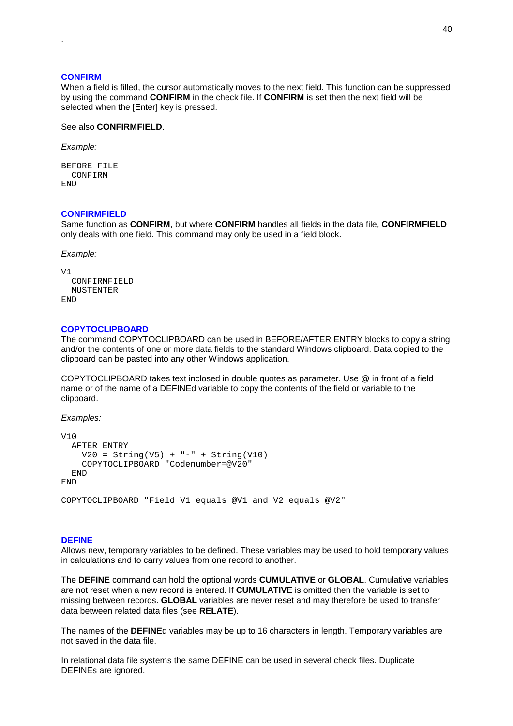#### **CONFIRM**

.

When a field is filled, the cursor automatically moves to the next field. This function can be suppressed by using the command **CONFIRM** in the check file. If **CONFIRM** is set then the next field will be selected when the [Enter] key is pressed.

See also **CONFIRMFIELD**.

*Example:* 

```
BEFORE FILE
 CONFIRM
END
```
## **CONFIRMFIELD**

Same function as **CONFIRM**, but where **CONFIRM** handles all fields in the data file, **CONFIRMFIELD** only deals with one field. This command may only be used in a field block.

*Example:*

```
171
  CONFIRMFIELD
 MUSTENTER
END
```
#### **COPYTOCLIPBOARD**

The command COPYTOCLIPBOARD can be used in BEFORE/AFTER ENTRY blocks to copy a string and/or the contents of one or more data fields to the standard Windows clipboard. Data copied to the clipboard can be pasted into any other Windows application.

COPYTOCLIPBOARD takes text inclosed in double quotes as parameter. Use @ in front of a field name or of the name of a DEFINEd variable to copy the contents of the field or variable to the clipboard.

*Examples:*

```
V10
 AFTER ENTRY
   V20 = String(V5) + "-" + String(V10)COPYTOCLIPBOARD "Codenumber=@V20"
 END
END
COPYTOCLIPBOARD "Field V1 equals @V1 and V2 equals @V2"
```
#### **DEFINE**

Allows new, temporary variables to be defined. These variables may be used to hold temporary values in calculations and to carry values from one record to another.

The **DEFINE** command can hold the optional words **CUMULATIVE** or **GLOBAL**. Cumulative variables are not reset when a new record is entered. If **CUMULATIVE** is omitted then the variable is set to missing between records. **GLOBAL** variables are never reset and may therefore be used to transfer data between related data files (see **RELATE**).

The names of the **DEFINE**d variables may be up to 16 characters in length. Temporary variables are not saved in the data file.

In relational data file systems the same DEFINE can be used in several check files. Duplicate DEFINEs are ignored.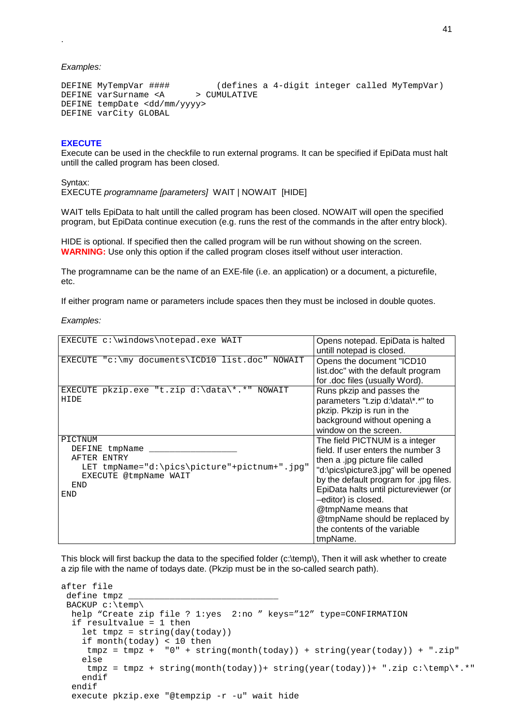*Examples:* 

.

```
DEFINE MyTempVar #### (defines a 4-digit integer called MyTempVar)<br>DEFINE varSurname <A > CUMULATIVE
DEFINE varSurname <A
DEFINE tempDate <dd/mm/yyyy>
DEFINE varCity GLOBAL
```
## **EXECUTE**

Execute can be used in the checkfile to run external programs. It can be specified if EpiData must halt untill the called program has been closed.

Syntax: EXECUTE *programname [parameters]* WAIT | NOWAIT [HIDE]

WAIT tells EpiData to halt untill the called program has been closed. NOWAIT will open the specified program, but EpiData continue execution (e.g. runs the rest of the commands in the after entry block).

HIDE is optional. If specified then the called program will be run without showing on the screen. **WARNING:** Use only this option if the called program closes itself without user interaction.

The programname can be the name of an EXE-file (i.e. an application) or a document, a picturefile, etc.

If either program name or parameters include spaces then they must be inclosed in double quotes.

*Examples:*

| EXECUTE c:\windows\notepad.exe WAIT                                                                                             | Opens notepad. EpiData is halted<br>untill notepad is closed.                                                                                                                                                                                                                                                                                                   |
|---------------------------------------------------------------------------------------------------------------------------------|-----------------------------------------------------------------------------------------------------------------------------------------------------------------------------------------------------------------------------------------------------------------------------------------------------------------------------------------------------------------|
| EXECUTE "c:\my documents\ICD10 list.doc" NOWAIT                                                                                 | Opens the document "ICD10<br>list.doc" with the default program<br>for .doc files (usually Word).                                                                                                                                                                                                                                                               |
| EXECUTE pkzip.exe "t.zip d:\data\*.*" NOWAIT<br>HIDE                                                                            | Runs pkzip and passes the<br>parameters "t.zip d:\data\*.*" to<br>pkzip. Pkzip is run in the<br>background without opening a<br>window on the screen.                                                                                                                                                                                                           |
| PICTNUM<br>DEFINE tmpName<br>AFTER ENTRY<br>LET tmpName="d:\pics\picture"+pictnum+".jpg"<br>EXECUTE @tmpName WAIT<br>END<br>END | The field PICTNUM is a integer<br>field. If user enters the number 3<br>then a .jpg picture file called<br>"d:\pics\picture3.jpg" will be opened<br>by the default program for .jpg files.<br>EpiData halts until pictureviewer (or<br>-editor) is closed.<br>@tmpName means that<br>@tmpName should be replaced by<br>the contents of the variable<br>tmpName. |

This block will first backup the data to the specified folder (c:\temp\), Then it will ask whether to create a zip file with the name of todays date. (Pkzip must be in the so-called search path).

```
after file
 define tmpz _
 BACKUP c:\temp\
 help "Create zip file ? 1:yes 2:no " keys="12" type=CONFIRMATION
  if resultvalue = 1 then
    let tmpz = string(day(today))
    if month(today) < 10 then
    tmpz = tmpz + "0" + string(month(today)) + string(year(today)) + ".zip"else
    tmpz = tmpz + string(month(today)) + string(year(today)) + " .zip c:\temp\*.*"endif
  endif
  execute pkzip.exe "@tempzip -r -u" wait hide
```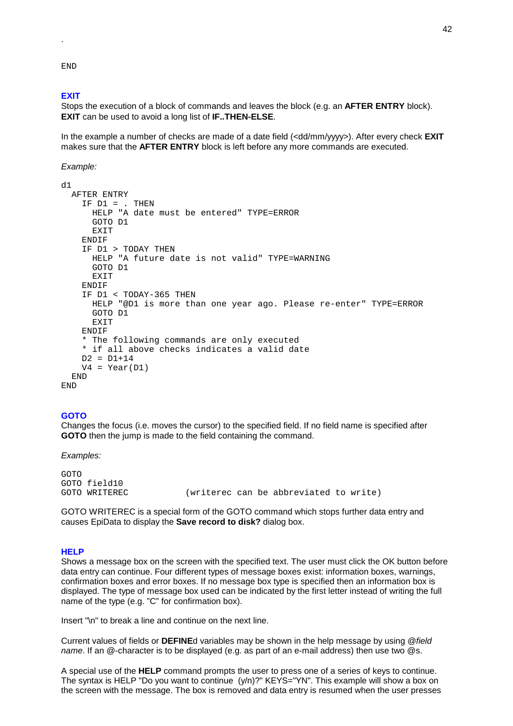END

.

#### **EXIT**

Stops the execution of a block of commands and leaves the block (e.g. an **AFTER ENTRY** block). **EXIT** can be used to avoid a long list of **IF..THEN-ELSE**.

In the example a number of checks are made of a date field (<dd/mm/yyyy>). After every check **EXIT**  makes sure that the **AFTER ENTRY** block is left before any more commands are executed.

*Example:* 

```
d<sub>1</sub>AFTER ENTRY
    IF DI = . THEN
      HELP "A date must be entered" TYPE=ERROR
      GOTO D1
     EXIT
    ENDIF
    IF D1 > TODAY THEN
      HELP "A future date is not valid" TYPE=WARNING
      GOTO D1
      EXIT
    ENDIF
    IF D1 < TODAY-365 THEN
      HELP "@D1 is more than one year ago. Please re-enter" TYPE=ERROR
      GOTO D1
     EXIT
    ENDIF
    * The following commands are only executed
    * if all above checks indicates a valid date
   D2 = D1 + 14V4 = Year(D1)END
END
```
#### **GOTO**

Changes the focus (i.e. moves the cursor) to the specified field. If no field name is specified after **GOTO** then the jump is made to the field containing the command.

*Examples:*

GOTO GOTO field10 GOTO WRITEREC (writerec can be abbreviated to write)

GOTO WRITEREC is a special form of the GOTO command which stops further data entry and causes EpiData to display the **Save record to disk?** dialog box.

#### **HELP**

Shows a message box on the screen with the specified text. The user must click the OK button before data entry can continue. Four different types of message boxes exist: information boxes, warnings, confirmation boxes and error boxes. If no message box type is specified then an information box is displayed. The type of message box used can be indicated by the first letter instead of writing the full name of the type (e.g. "C" for confirmation box).

Insert "\n" to break a line and continue on the next line.

Current values of fields or **DEFINE**d variables may be shown in the help message by using @*field name*. If an @-character is to be displayed (e.g. as part of an e-mail address) then use two @s.

A special use of the **HELP** command prompts the user to press one of a series of keys to continue. The syntax is HELP "Do you want to continue (y/n)?" KEYS="YN". This example will show a box on the screen with the message. The box is removed and data entry is resumed when the user presses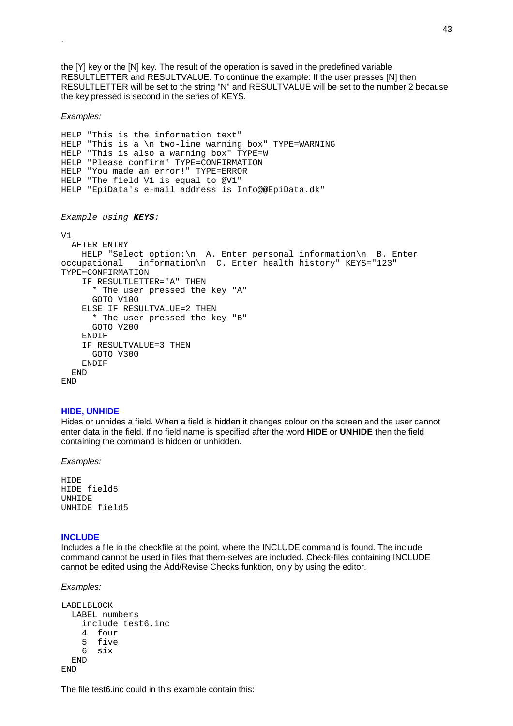the [Y] key or the [N] key. The result of the operation is saved in the predefined variable RESULTLETTER and RESULTVALUE. To continue the example: If the user presses [N] then RESULTLETTER will be set to the string "N" and RESULTVALUE will be set to the number 2 because the key pressed is second in the series of KEYS.

*Examples:* 

.

```
HELP "This is the information text"
HELP "This is a \n two-line warning box" TYPE=WARNING
HELP "This is also a warning box" TYPE=W
HELP "Please confirm" TYPE=CONFIRMATION
HELP "You made an error!" TYPE=ERROR
HELP "The field V1 is equal to @V1"
HELP "EpiData's e-mail address is Info@@EpiData.dk"
Example using KEYS:
VIAFTER ENTRY
    HELP "Select option:\n A. Enter personal information\n B. Enter
occupational information\n C. Enter health history" KEYS="123"
TYPE=CONFIRMATION
    IF RESULTLETTER="A" THEN
      * The user pressed the key "A"
      GOTO V100
    ELSE IF RESULTVALUE=2 THEN
      * The user pressed the key "B"
     GOTO V200
    ENDIF
    IF RESULTVALUE=3 THEN
     GOTO V300
    ENDIF
  END
END
```
#### **HIDE, UNHIDE**

Hides or unhides a field. When a field is hidden it changes colour on the screen and the user cannot enter data in the field. If no field name is specified after the word **HIDE** or **UNHIDE** then the field containing the command is hidden or unhidden.

*Examples:* 

HIDE HIDE field5 UNHIDE UNHIDE field5

#### **INCLUDE**

Includes a file in the checkfile at the point, where the INCLUDE command is found. The include command cannot be used in files that them-selves are included. Check-files containing INCLUDE cannot be edited using the Add/Revise Checks funktion, only by using the editor.

*Examples:* 

```
LABELBLOCK
  LABEL numbers
    include test6.inc
    4 four
    5 five
    6 six
  END
END
```
The file test6.inc could in this example contain this: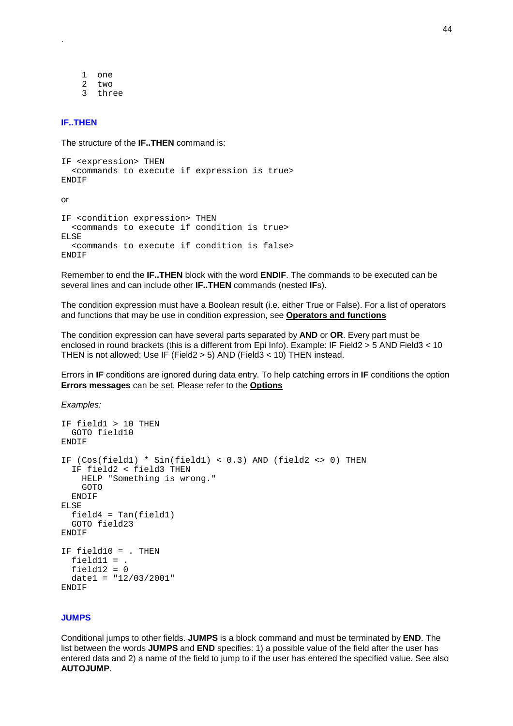1 one 2 two 3 three

## **IF..THEN**

.

The structure of the **IF..THEN** command is:

```
IF <expression> THEN
  <commands to execute if expression is true>
ENDIF
```
or

```
IF <condition expression> THEN
  <commands to execute if condition is true>
ELSE
  <commands to execute if condition is false>
ENDIF
```
Remember to end the **IF..THEN** block with the word **ENDIF**. The commands to be executed can be several lines and can include other **IF..THEN** commands (nested **IF**s).

The condition expression must have a Boolean result (i.e. either True or False). For a list of operators and functions that may be use in condition expression, see **Operators and functions**

The condition expression can have several parts separated by **AND** or **OR**. Every part must be enclosed in round brackets (this is a different from Epi Info). Example: IF Field2 > 5 AND Field3 < 10 THEN is not allowed: Use IF (Field2 > 5) AND (Field3 < 10) THEN instead.

Errors in **IF** conditions are ignored during data entry. To help catching errors in **IF** conditions the option **Errors messages** can be set. Please refer to the **Options**

*Examples:* 

```
IF field1 > 10 THEN
 GOTO field10
ENDIF
IF (Cos(field1) * Sin(field1) < 0.3) AND (field2 <> 0) THEN
  IF field2 < field3 THEN
   HELP "Something is wrong."
   GOTO
 ENDIF
ELSE
  field4 = Tan(field1)GOTO field23
ENDIF
IF field10 = . THEN
  field11 = .
 field12 = 0data1 = "12/03/2001"ENDIF
```
#### **JUMPS**

Conditional jumps to other fields. **JUMPS** is a block command and must be terminated by **END**. The list between the words **JUMPS** and **END** specifies: 1) a possible value of the field after the user has entered data and 2) a name of the field to jump to if the user has entered the specified value. See also **AUTOJUMP**.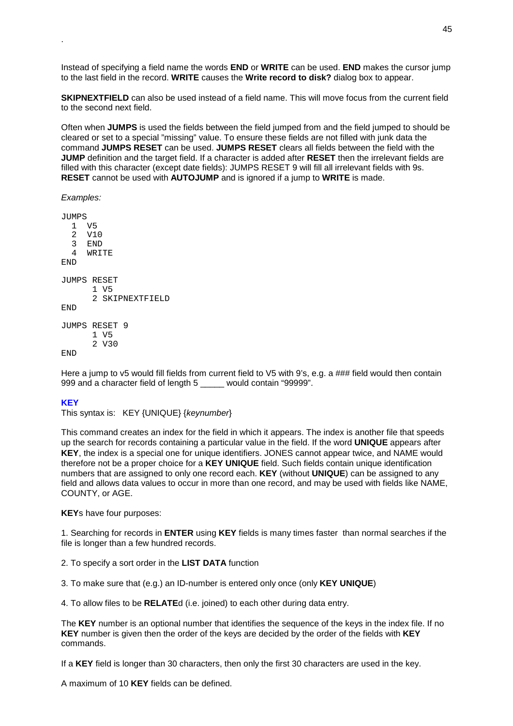Instead of specifying a field name the words **END** or **WRITE** can be used. **END** makes the cursor jump to the last field in the record. **WRITE** causes the **Write record to disk?** dialog box to appear.

**SKIPNEXTFIELD** can also be used instead of a field name. This will move focus from the current field to the second next field.

Often when **JUMPS** is used the fields between the field jumped from and the field jumped to should be cleared or set to a special "missing" value. To ensure these fields are not filled with junk data the command **JUMPS RESET** can be used. **JUMPS RESET** clears all fields between the field with the **JUMP** definition and the target field. If a character is added after **RESET** then the irrelevant fields are filled with this character (except date fields): JUMPS RESET 9 will fill all irrelevant fields with 9s. **RESET** cannot be used with **AUTOJUMP** and is ignored if a jump to **WRITE** is made.

*Examples:* 

.

SQMIIT. 1 V5 2 V10 3 END 4 WRITE END JUMPS RESET 1 V5 2 SKIPNEXTFIELD END JUMPS RESET 9 1 V5 2 V30 END

Here a jump to v5 would fill fields from current field to V5 with 9's, e.g. a ### field would then contain 999 and a character field of length 5 \_\_\_\_\_ would contain "99999".

## **KEY**

This syntax is: KEY {UNIQUE} {*keynumber*}

This command creates an index for the field in which it appears. The index is another file that speeds up the search for records containing a particular value in the field. If the word **UNIQUE** appears after **KEY**, the index is a special one for unique identifiers. JONES cannot appear twice, and NAME would therefore not be a proper choice for a **KEY UNIQUE** field. Such fields contain unique identification numbers that are assigned to only one record each. **KEY** (without **UNIQUE**) can be assigned to any field and allows data values to occur in more than one record, and may be used with fields like NAME, COUNTY, or AGE.

**KEY**s have four purposes:

1. Searching for records in **ENTER** using **KEY** fields is many times faster than normal searches if the file is longer than a few hundred records.

2. To specify a sort order in the **LIST DATA** function

3. To make sure that (e.g.) an ID-number is entered only once (only **KEY UNIQUE**)

4. To allow files to be **RELATE**d (i.e. joined) to each other during data entry.

The **KEY** number is an optional number that identifies the sequence of the keys in the index file. If no **KEY** number is given then the order of the keys are decided by the order of the fields with **KEY** commands.

If a **KEY** field is longer than 30 characters, then only the first 30 characters are used in the key.

A maximum of 10 **KEY** fields can be defined.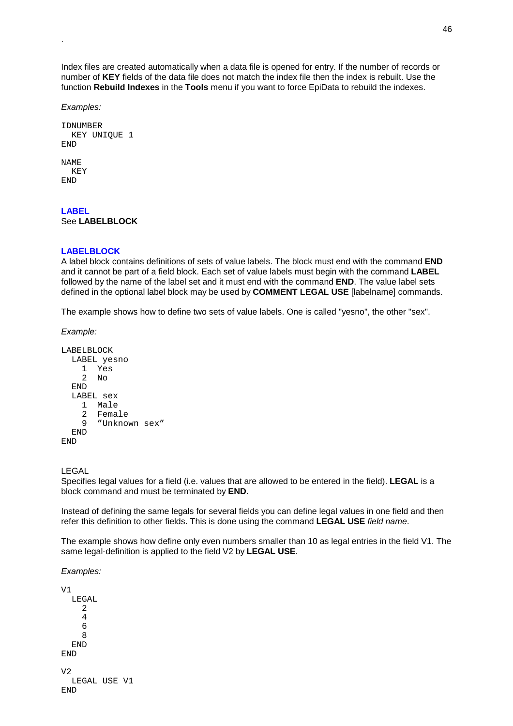Index files are created automatically when a data file is opened for entry. If the number of records or number of **KEY** fields of the data file does not match the index file then the index is rebuilt. Use the function **Rebuild Indexes** in the **Tools** menu if you want to force EpiData to rebuild the indexes.

*Examples:*

.

```
IDNUMBER
  KEY UNIQUE 1
END
NAME
  KEY
END
```
#### **LABEL**  See **LABELBLOCK**

## **LABELBLOCK**

A label block contains definitions of sets of value labels. The block must end with the command **END** and it cannot be part of a field block. Each set of value labels must begin with the command **LABEL** followed by the name of the label set and it must end with the command **END**. The value label sets defined in the optional label block may be used by **COMMENT LEGAL USE** [labelname] commands.

The example shows how to define two sets of value labels. One is called "yesno", the other "sex".

*Example:* 

```
LABELBLOCK
 LABEL yesno
    1 Yes
    2 No
  END
  LABEL sex
   1 Male
   2 Female
   9 "Unknown sex"
  END
END
```
LEGAL

Specifies legal values for a field (i.e. values that are allowed to be entered in the field). **LEGAL** is a block command and must be terminated by **END**.

Instead of defining the same legals for several fields you can define legal values in one field and then refer this definition to other fields. This is done using the command **LEGAL USE** *field name*.

The example shows how define only even numbers smaller than 10 as legal entries in the field V1. The same legal-definition is applied to the field V2 by **LEGAL USE**.

*Examples:* 

```
V1
  LEGAL
     2
     4
     6
     8
  END
END
\overline{V}LEGAL USE V1
END
```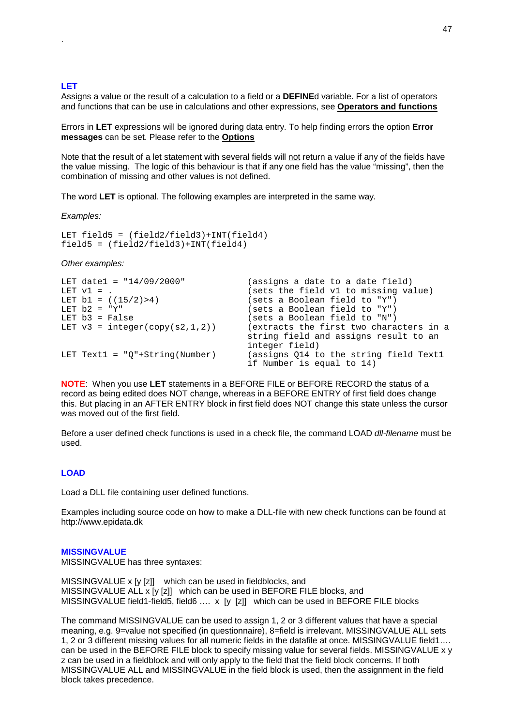#### **LET**

.

Assigns a value or the result of a calculation to a field or a **DEFINE**d variable. For a list of operators and functions that can be use in calculations and other expressions, see **Operators and functions**

Errors in **LET** expressions will be ignored during data entry. To help finding errors the option **Error messages** can be set. Please refer to the **Options**

Note that the result of a let statement with several fields will not return a value if any of the fields have the value missing. The logic of this behaviour is that if any one field has the value "missing", then the combination of missing and other values is not defined.

The word **LET** is optional. The following examples are interpreted in the same way.

*Examples:* 

```
LET field5 = (field2/field3) + INT(field4)field5 = (field2/field3)+INT(field4)
```
*Other examples:* 

```
LET date1 = "14/09/2000" (assigns a date to a date field)<br>LET v1 = . (sets the field v1 to missing va
LET v1 = .<br>
LET b1 = ((15/2) > 4)<br>
LET b1 = ((15/2) > 4)<br>
LET b1 = (15/2)LET b1 = ((15/2) > 4) (sets a Boolean field to "Y")<br>LET b2 = "Y" (sets a Boolean field to "Y")
LET b2 = "Y"<br>
LET b3 = False (sets a Boolean field to "Y")
LET b3 = False (SEX + SEY) (sets a Boolean field to "N")<br>LET v3 = integer(copy(s2,1,2)) (extracts the first two chara
                                            \ell extracts the first two characters in a
                                            string field and assigns result to an
                                            integer field)
LET Text1 = "Q"+String(Number) (assigns Q14 to the string field Text1
                                            if Number is equal to 14)
```
**NOTE**: When you use **LET** statements in a BEFORE FILE or BEFORE RECORD the status of a record as being edited does NOT change, whereas in a BEFORE ENTRY of first field does change this. But placing in an AFTER ENTRY block in first field does NOT change this state unless the cursor was moved out of the first field.

Before a user defined check functions is used in a check file, the command LOAD *dll-filename* must be used.

#### **LOAD**

Load a DLL file containing user defined functions.

Examples including source code on how to make a DLL-file with new check functions can be found at http://www.epidata.dk

#### **MISSINGVALUE**

MISSINGVALUE has three syntaxes:

MISSINGVALUE x [y [z]] which can be used in fieldblocks, and MISSINGVALUE ALL x [y [z]] which can be used in BEFORE FILE blocks, and MISSINGVALUE field1-field5, field6 .... x [y [z]] which can be used in BEFORE FILE blocks

The command MISSINGVALUE can be used to assign 1, 2 or 3 different values that have a special meaning, e.g. 9=value not specified (in questionnaire), 8=field is irrelevant. MISSINGVALUE ALL sets 1, 2 or 3 different missing values for all numeric fields in the datafile at once. MISSINGVALUE field1…. can be used in the BEFORE FILE block to specify missing value for several fields. MISSINGVALUE x y z can be used in a fieldblock and will only apply to the field that the field block concerns. If both MISSINGVALUE ALL and MISSINGVALUE in the field block is used, then the assignment in the field block takes precedence.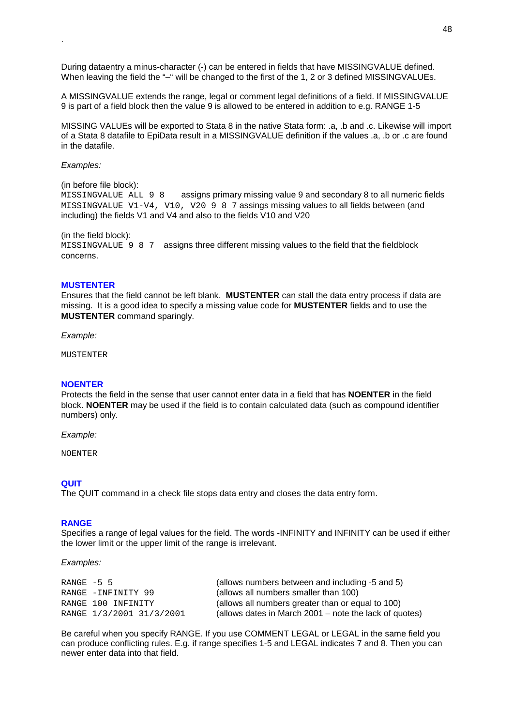During dataentry a minus-character (-) can be entered in fields that have MISSINGVALUE defined. When leaving the field the "-" will be changed to the first of the 1, 2 or 3 defined MISSINGVALUEs.

A MISSINGVALUE extends the range, legal or comment legal definitions of a field. If MISSINGVALUE 9 is part of a field block then the value 9 is allowed to be entered in addition to e.g. RANGE 1-5

MISSING VALUEs will be exported to Stata 8 in the native Stata form: .a, .b and .c. Likewise will import of a Stata 8 datafile to EpiData result in a MISSINGVALUE definition if the values .a, .b or .c are found in the datafile.

*Examples:*

.

(in before file block): MISSINGVALUE ALL 9 8 assigns primary missing value 9 and secondary 8 to all numeric fields MISSINGVALUE V1-V4, V10, V20987 assings missing values to all fields between (and including) the fields V1 and V4 and also to the fields V10 and V20

(in the field block):

MISSINGVALUE 9 8 7 assigns three different missing values to the field that the fieldblock concerns.

#### **MUSTENTER**

Ensures that the field cannot be left blank. **MUSTENTER** can stall the data entry process if data are missing. It is a good idea to specify a missing value code for **MUSTENTER** fields and to use the **MUSTENTER** command sparingly.

*Example:* 

**MUSTENTER** 

#### **NOENTER**

Protects the field in the sense that user cannot enter data in a field that has **NOENTER** in the field block. **NOENTER** may be used if the field is to contain calculated data (such as compound identifier numbers) only.

*Example:*

NOENTER

#### **QUIT**

The QUIT command in a check file stops data entry and closes the data entry form.

#### **RANGE**

Specifies a range of legal values for the field. The words -INFINITY and INFINITY can be used if either the lower limit or the upper limit of the range is irrelevant.

*Examples:* 

| RANGE -5 5               | (allows numbers between and including -5 and 5)        |
|--------------------------|--------------------------------------------------------|
| RANGE -INFINITY 99       | (allows all numbers smaller than 100)                  |
| RANGE 100 INFINITY       | (allows all numbers greater than or equal to 100)      |
| RANGE 1/3/2001 31/3/2001 | (allows dates in March 2001 – note the lack of quotes) |

Be careful when you specify RANGE. If you use COMMENT LEGAL or LEGAL in the same field you can produce conflicting rules. E.g. if range specifies 1-5 and LEGAL indicates 7 and 8. Then you can newer enter data into that field.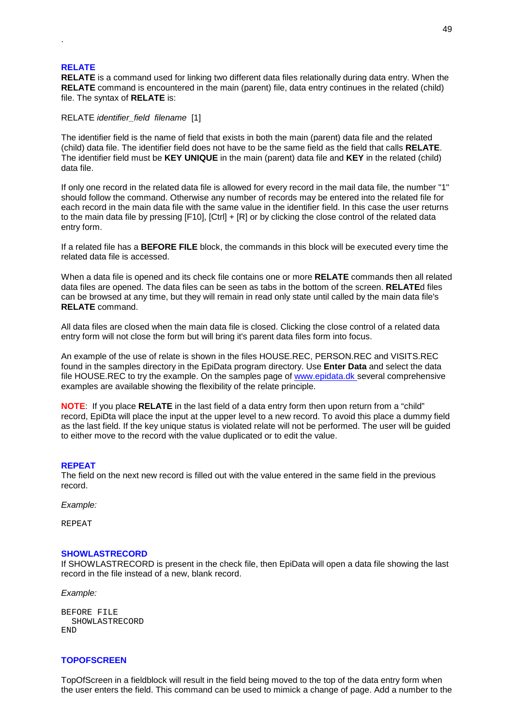#### **RELATE**

.

**RELATE** is a command used for linking two different data files relationally during data entry. When the **RELATE** command is encountered in the main (parent) file, data entry continues in the related (child) file. The syntax of **RELATE** is:

RELATE *identifier\_field filename* [1]

The identifier field is the name of field that exists in both the main (parent) data file and the related (child) data file. The identifier field does not have to be the same field as the field that calls **RELATE**. The identifier field must be **KEY UNIQUE** in the main (parent) data file and **KEY** in the related (child) data file.

If only one record in the related data file is allowed for every record in the mail data file, the number "1" should follow the command. Otherwise any number of records may be entered into the related file for each record in the main data file with the same value in the identifier field. In this case the user returns to the main data file by pressing [F10], [Ctrl] + [R] or by clicking the close control of the related data entry form.

If a related file has a **BEFORE FILE** block, the commands in this block will be executed every time the related data file is accessed.

When a data file is opened and its check file contains one or more **RELATE** commands then all related data files are opened. The data files can be seen as tabs in the bottom of the screen. **RELATE**d files can be browsed at any time, but they will remain in read only state until called by the main data file's **RELATE** command.

All data files are closed when the main data file is closed. Clicking the close control of a related data entry form will not close the form but will bring it's parent data files form into focus.

An example of the use of relate is shown in the files HOUSE.REC, PERSON.REC and VISITS.REC found in the samples directory in the EpiData program directory. Use **Enter Data** and select the data file HOUSE.REC to try the example. On the samples page of www.epidata.dk several comprehensive examples are available showing the flexibility of the relate principle.

**NOTE**: If you place **RELATE** in the last field of a data entry form then upon return from a "child" record, EpiDta will place the input at the upper level to a new record. To avoid this place a dummy field as the last field. If the key unique status is violated relate will not be performed. The user will be guided to either move to the record with the value duplicated or to edit the value.

#### **REPEAT**

The field on the next new record is filled out with the value entered in the same field in the previous record.

*Example:*

REPEAT

#### **SHOWLASTRECORD**

If SHOWLASTRECORD is present in the check file, then EpiData will open a data file showing the last record in the file instead of a new, blank record.

*Example:*

| BEFORE FILE |                |
|-------------|----------------|
|             | SHOWLASTRECORD |
| END.        |                |

## **TOPOFSCREEN**

TopOfScreen in a fieldblock will result in the field being moved to the top of the data entry form when the user enters the field. This command can be used to mimick a change of page. Add a number to the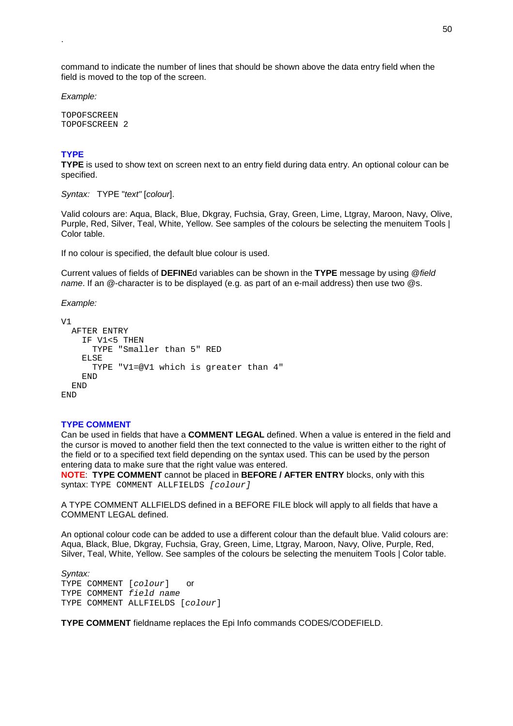command to indicate the number of lines that should be shown above the data entry field when the field is moved to the top of the screen.

*Example:*

.

TOPOFSCREEN TOPOFSCREEN 2

# **TYPE**

**TYPE** is used to show text on screen next to an entry field during data entry. An optional colour can be specified.

*Syntax:* TYPE "*text"* [*colour*].

Valid colours are: Aqua, Black, Blue, Dkgray, Fuchsia, Gray, Green, Lime, Ltgray, Maroon, Navy, Olive, Purple, Red, Silver, Teal, White, Yellow. See samples of the colours be selecting the menuitem Tools | Color table.

If no colour is specified, the default blue colour is used.

Current values of fields of **DEFINE**d variables can be shown in the **TYPE** message by using @*field name*. If an @-character is to be displayed (e.g. as part of an e-mail address) then use two @s.

*Example:*

```
V1
 AFTER ENTRY
    IF V1<5 THEN
      TYPE "Smaller than 5" RED
    ELSE
      TYPE "V1=@V1 which is greater than 4"
    END
 END
END
```
## **TYPE COMMENT**

Can be used in fields that have a **COMMENT LEGAL** defined. When a value is entered in the field and the cursor is moved to another field then the text connected to the value is written either to the right of the field or to a specified text field depending on the syntax used. This can be used by the person entering data to make sure that the right value was entered.

**NOTE**: **TYPE COMMENT** cannot be placed in **BEFORE / AFTER ENTRY** blocks, only with this syntax: TYPE COMMENT ALLFIELDS [colour]

A TYPE COMMENT ALLFIELDS defined in a BEFORE FILE block will apply to all fields that have a COMMENT LEGAL defined.

An optional colour code can be added to use a different colour than the default blue. Valid colours are: Aqua, Black, Blue, Dkgray, Fuchsia, Gray, Green, Lime, Ltgray, Maroon, Navy, Olive, Purple, Red, Silver, Teal, White, Yellow. See samples of the colours be selecting the menuitem Tools | Color table.

*Syntax:* TYPE COMMENT [colour] or TYPE COMMENT field name TYPE COMMENT ALLFIELDS [colour]

**TYPE COMMENT** fieldname replaces the Epi Info commands CODES/CODEFIELD.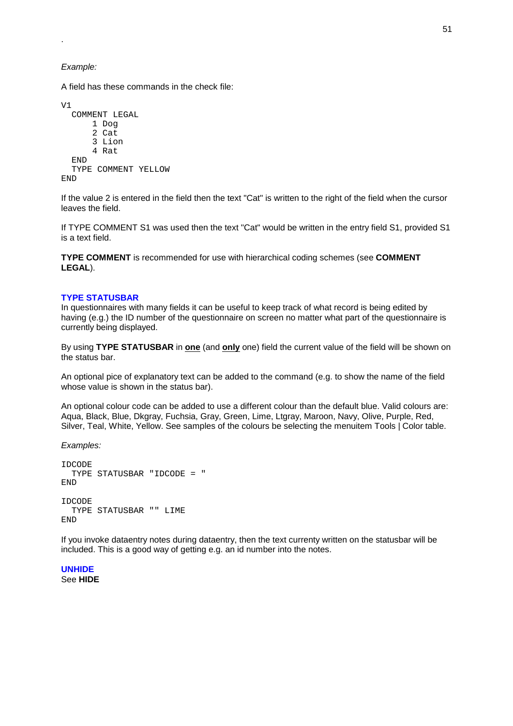*Example:*

.

A field has these commands in the check file:

```
VICOMMENT LEGAL
      1 Dog
      2 Cat
      3 Lion
      4 Rat
  END
  TYPE COMMENT YELLOW
END
```
If the value 2 is entered in the field then the text "Cat" is written to the right of the field when the cursor leaves the field.

If TYPE COMMENT S1 was used then the text "Cat" would be written in the entry field S1, provided S1 is a text field.

**TYPE COMMENT** is recommended for use with hierarchical coding schemes (see **COMMENT LEGAL**).

## **TYPE STATUSBAR**

In questionnaires with many fields it can be useful to keep track of what record is being edited by having (e.g.) the ID number of the questionnaire on screen no matter what part of the questionnaire is currently being displayed.

By using **TYPE STATUSBAR** in **one** (and **only** one) field the current value of the field will be shown on the status bar.

An optional pice of explanatory text can be added to the command (e.g. to show the name of the field whose value is shown in the status bar).

An optional colour code can be added to use a different colour than the default blue. Valid colours are: Aqua, Black, Blue, Dkgray, Fuchsia, Gray, Green, Lime, Ltgray, Maroon, Navy, Olive, Purple, Red, Silver, Teal, White, Yellow. See samples of the colours be selecting the menuitem Tools | Color table.

*Examples:*

```
IDCODE
 TYPE STATUSBAR "IDCODE = "
END
IDCODE
 TYPE STATUSBAR "" LIME
END
```
If you invoke dataentry notes during dataentry, then the text currenty written on the statusbar will be included. This is a good way of getting e.g. an id number into the notes.

**UNHIDE**  See **HIDE**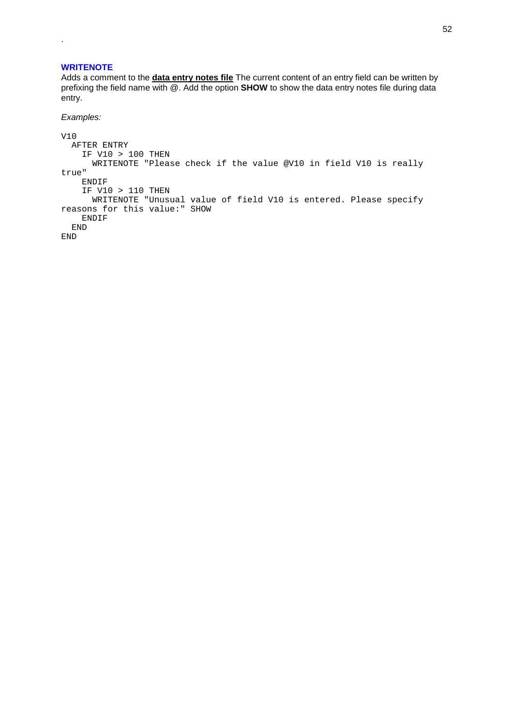## **WRITENOTE**

.

Adds a comment to the **data entry notes file** The current content of an entry field can be written by prefixing the field name with @. Add the option **SHOW** to show the data entry notes file during data entry.

#### *Examples:*

```
V10
 AFTER ENTRY
   IF V10 > 100 THEN
     WRITENOTE "Please check if the value @V10 in field V10 is really
true"
   ENDIF
   IF V10 > 110 THEN
     WRITENOTE "Unusual value of field V10 is entered. Please specify
reasons for this value:" SHOW
   ENDIF
 END
END
```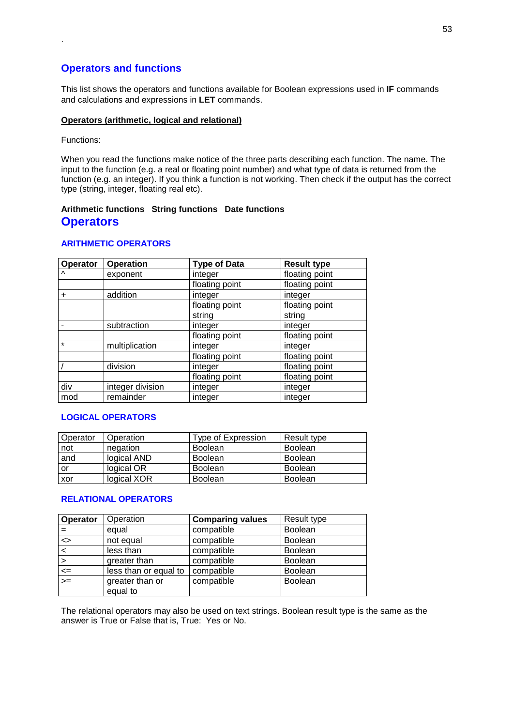# **Operators and functions**

This list shows the operators and functions available for Boolean expressions used in **IF** commands and calculations and expressions in **LET** commands.

## **Operators (arithmetic, logical and relational)**

Functions:

.

When you read the functions make notice of the three parts describing each function. The name. The input to the function (e.g. a real or floating point number) and what type of data is returned from the function (e.g. an integer). If you think a function is not working. Then check if the output has the correct type (string, integer, floating real etc).

# **Arithmetic functions String functions Date functions Operators**

# **ARITHMETIC OPERATORS**

| Operator  | <b>Operation</b> | <b>Type of Data</b> | <b>Result type</b> |
|-----------|------------------|---------------------|--------------------|
| $\lambda$ | exponent         | integer             | floating point     |
|           |                  | floating point      | floating point     |
| $\ddot{}$ | addition         | integer             | integer            |
|           |                  | floating point      | floating point     |
|           |                  | string              | string             |
|           | subtraction      | integer             | integer            |
|           |                  | floating point      | floating point     |
| $\star$   | multiplication   | integer             | integer            |
|           |                  | floating point      | floating point     |
|           | division         | integer             | floating point     |
|           |                  | floating point      | floating point     |
| div       | integer division | integer             | integer            |
| mod       | remainder        | integer             | integer            |

## **LOGICAL OPERATORS**

| Operator | Operation   | Type of Expression | Result type    |
|----------|-------------|--------------------|----------------|
| not      | negation    | <b>Boolean</b>     | <b>Boolean</b> |
| and      | logical AND | <b>Boolean</b>     | <b>Boolean</b> |
| or       | logical OR  | <b>Boolean</b>     | <b>Boolean</b> |
| xor      | logical XOR | <b>Boolean</b>     | <b>Boolean</b> |

## **RELATIONAL OPERATORS**

| Operator                     | Operation                   | <b>Comparing values</b> | Result type    |
|------------------------------|-----------------------------|-------------------------|----------------|
|                              | equal                       | compatible              | <b>Boolean</b> |
| $\left\langle \right\rangle$ | not equal                   | compatible              | Boolean        |
| $\lt$                        | less than                   | compatible              | <b>Boolean</b> |
| $\geq$                       | greater than                | compatible              | <b>Boolean</b> |
| $\leq$                       | less than or equal to       | compatible              | <b>Boolean</b> |
| $>=$                         | greater than or<br>equal to | compatible              | <b>Boolean</b> |

The relational operators may also be used on text strings. Boolean result type is the same as the answer is True or False that is, True: Yes or No.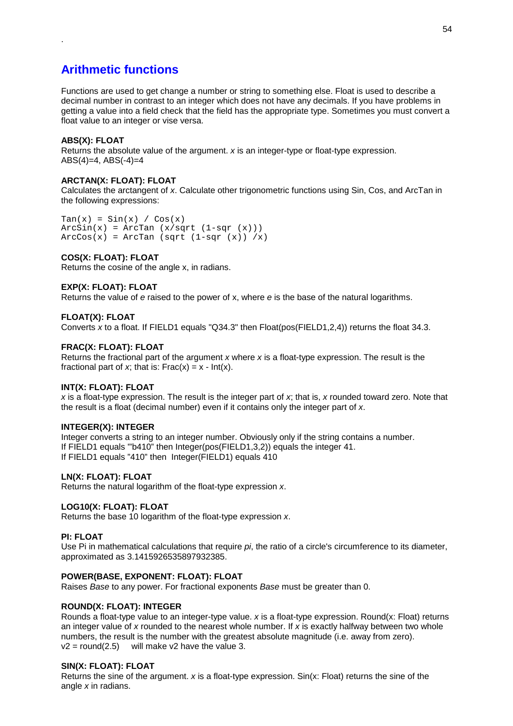# **Arithmetic functions**

Functions are used to get change a number or string to something else. Float is used to describe a decimal number in contrast to an integer which does not have any decimals. If you have problems in getting a value into a field check that the field has the appropriate type. Sometimes you must convert a float value to an integer or vise versa.

# **ABS(X): FLOAT**

.

Returns the absolute value of the argument. *x* is an integer-type or float-type expression.  $ABS(4)=4$ ,  $ABS(-4)=4$ 

## **ARCTAN(X: FLOAT): FLOAT**

Calculates the arctangent of *x*. Calculate other trigonometric functions using Sin, Cos, and ArcTan in the following expressions:

 $Tan(x) = Sin(x) / Cos(x)$  $ArcSin(x) = ArcTan (x/sqrt (1-sqr (x)))$  $Arccos(x) = ArcTan (sqrt (1-sqr (x)) /x)$ 

## **COS(X: FLOAT): FLOAT**

Returns the cosine of the angle x, in radians.

## **EXP(X: FLOAT): FLOAT**

Returns the value of *e* raised to the power of x, where *e* is the base of the natural logarithms.

## **FLOAT(X): FLOAT**

Converts *x* to a float. If FIELD1 equals "Q34.3" then Float(pos(FIELD1,2,4)) returns the float 34.3.

## **FRAC(X: FLOAT): FLOAT**

Returns the fractional part of the argument *x* where *x* is a float-type expression. The result is the fractional part of *x*; that is:  $Frac(x) = x - ln(x)$ .

## **INT(X: FLOAT): FLOAT**

*x* is a float-type expression. The result is the integer part of *x*; that is, *x* rounded toward zero. Note that the result is a float (decimal number) even if it contains only the integer part of *x*.

## **INTEGER(X): INTEGER**

Integer converts a string to an integer number. Obviously only if the string contains a number. If FIELD1 equals '"b410" then Integer(pos(FIELD1,3,2)) equals the integer 41. If FIELD1 equals "410" then Integer(FIELD1) equals 410

## **LN(X: FLOAT): FLOAT**

Returns the natural logarithm of the float-type expression *x*.

## **LOG10(X: FLOAT): FLOAT**

Returns the base 10 logarithm of the float-type expression *x*.

## **PI: FLOAT**

Use Pi in mathematical calculations that require *pi*, the ratio of a circle's circumference to its diameter, approximated as 3.1415926535897932385.

## **POWER(BASE, EXPONENT: FLOAT): FLOAT**

Raises *Base* to any power. For fractional exponents *Base* must be greater than 0.

## **ROUND(X: FLOAT): INTEGER**

Rounds a float-type value to an integer-type value. *x* is a float-type expression. Round(x: Float) returns an integer value of *x* rounded to the nearest whole number. If *x* is exactly halfway between two whole numbers, the result is the number with the greatest absolute magnitude (i.e. away from zero).  $v2 = round(2.5)$  will make v2 have the value 3.

## **SIN(X: FLOAT): FLOAT**

Returns the sine of the argument. *x* is a float-type expression. Sin(x: Float) returns the sine of the angle *x* in radians.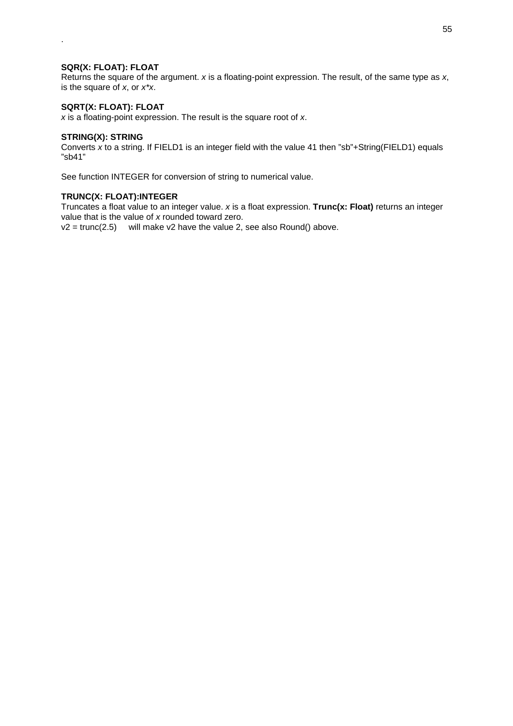## **SQR(X: FLOAT): FLOAT**

.

Returns the square of the argument. *x* is a floating-point expression. The result, of the same type as *x*, is the square of *x*, or *x\*x*.

## **SQRT(X: FLOAT): FLOAT**

*x* is a floating-point expression. The result is the square root of *x*.

#### **STRING(X): STRING**

Converts *x* to a string. If FIELD1 is an integer field with the value 41 then "sb"+String(FIELD1) equals "sb41"

See function INTEGER for conversion of string to numerical value.

## **TRUNC(X: FLOAT):INTEGER**

Truncates a float value to an integer value. *x* is a float expression. **Trunc(x: Float)** returns an integer value that is the value of *x* rounded toward zero.

 $v2 = \text{trunc}(2.5)$  will make v2 have the value 2, see also Round() above.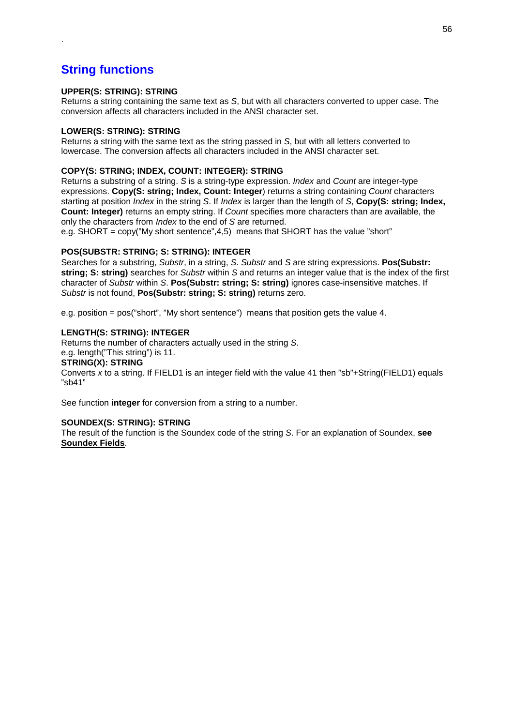# **String functions**

.

## **UPPER(S: STRING): STRING**

Returns a string containing the same text as *S*, but with all characters converted to upper case. The conversion affects all characters included in the ANSI character set.

## **LOWER(S: STRING): STRING**

Returns a string with the same text as the string passed in *S*, but with all letters converted to lowercase. The conversion affects all characters included in the ANSI character set.

## **COPY(S: STRING; INDEX, COUNT: INTEGER): STRING**

Returns a substring of a string. *S* is a string-type expression. *Index* and *Count* are integer-type expressions. **Copy(S: string; Index, Count: Integer**) returns a string containing *Count* characters starting at position *Index* in the string *S*. If *Index* is larger than the length of *S*, **Copy(S: string; Index, Count: Integer)** returns an empty string. If *Count* specifies more characters than are available, the only the characters from *Index* to the end of *S* are returned.

e.g. SHORT =  $\text{copy}("My short sentence", 4.5)$  means that SHORT has the value "short"

## **POS(SUBSTR: STRING; S: STRING): INTEGER**

Searches for a substring, *Substr*, in a string, *S*. *Substr* and *S* are string expressions. **Pos(Substr: string; S: string)** searches for *Substr* within *S* and returns an integer value that is the index of the first character of *Substr* within *S*. **Pos(Substr: string; S: string)** ignores case-insensitive matches. If *Substr* is not found, **Pos(Substr: string; S: string)** returns zero.

e.g. position = pos("short", "My short sentence") means that position gets the value 4.

## **LENGTH(S: STRING): INTEGER**

Returns the number of characters actually used in the string *S*. e.g. length("This string") is 11.

## **STRING(X): STRING**

Converts *x* to a string. If FIELD1 is an integer field with the value 41 then "sb"+String(FIELD1) equals "sb41"

See function **integer** for conversion from a string to a number.

## **SOUNDEX(S: STRING): STRING**

The result of the function is the Soundex code of the string *S*. For an explanation of Soundex, **see Soundex Fields**.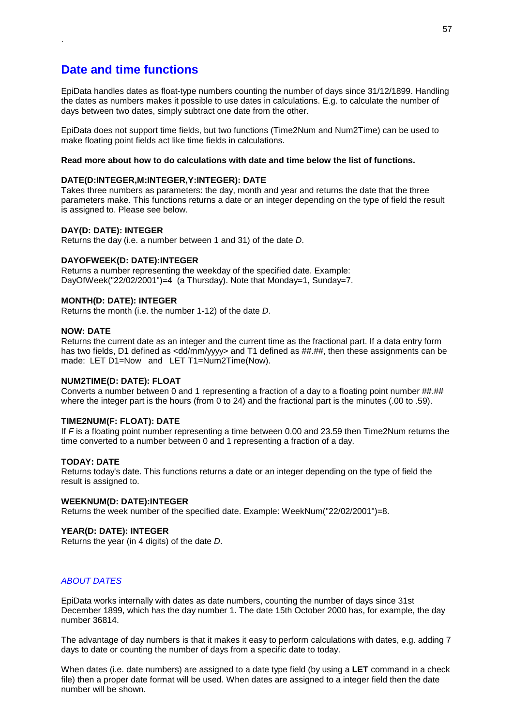# **Date and time functions**

.

EpiData handles dates as float-type numbers counting the number of days since 31/12/1899. Handling the dates as numbers makes it possible to use dates in calculations. E.g. to calculate the number of days between two dates, simply subtract one date from the other.

EpiData does not support time fields, but two functions (Time2Num and Num2Time) can be used to make floating point fields act like time fields in calculations.

## **Read more about how to do calculations with date and time below the list of functions.**

#### **DATE(D:INTEGER,M:INTEGER,Y:INTEGER): DATE**

Takes three numbers as parameters: the day, month and year and returns the date that the three parameters make. This functions returns a date or an integer depending on the type of field the result is assigned to. Please see below.

#### **DAY(D: DATE): INTEGER**

Returns the day (i.e. a number between 1 and 31) of the date *D*.

#### **DAYOFWEEK(D: DATE):INTEGER**

Returns a number representing the weekday of the specified date. Example: DayOfWeek("22/02/2001")=4 (a Thursday). Note that Monday=1, Sunday=7.

#### **MONTH(D: DATE): INTEGER**

Returns the month (i.e. the number 1-12) of the date *D*.

#### **NOW: DATE**

Returns the current date as an integer and the current time as the fractional part. If a data entry form has two fields, D1 defined as <dd/mm/yyyy> and T1 defined as ##.##, then these assignments can be made: LET D1=Now and LET T1=Num2Time(Now).

#### **NUM2TIME(D: DATE): FLOAT**

Converts a number between 0 and 1 representing a fraction of a day to a floating point number ##.## where the integer part is the hours (from 0 to 24) and the fractional part is the minutes (.00 to .59).

#### **TIME2NUM(F: FLOAT): DATE**

If *F* is a floating point number representing a time between 0.00 and 23.59 then Time2Num returns the time converted to a number between 0 and 1 representing a fraction of a day.

#### **TODAY: DATE**

Returns today's date. This functions returns a date or an integer depending on the type of field the result is assigned to.

#### **WEEKNUM(D: DATE):INTEGER**

Returns the week number of the specified date. Example: WeekNum("22/02/2001")=8.

#### **YEAR(D: DATE): INTEGER**

Returns the year (in 4 digits) of the date *D*.

## *ABOUT DATES*

EpiData works internally with dates as date numbers, counting the number of days since 31st December 1899, which has the day number 1. The date 15th October 2000 has, for example, the day number 36814.

The advantage of day numbers is that it makes it easy to perform calculations with dates, e.g. adding 7 days to date or counting the number of days from a specific date to today.

When dates (i.e. date numbers) are assigned to a date type field (by using a **LET** command in a check file) then a proper date format will be used. When dates are assigned to a integer field then the date number will be shown.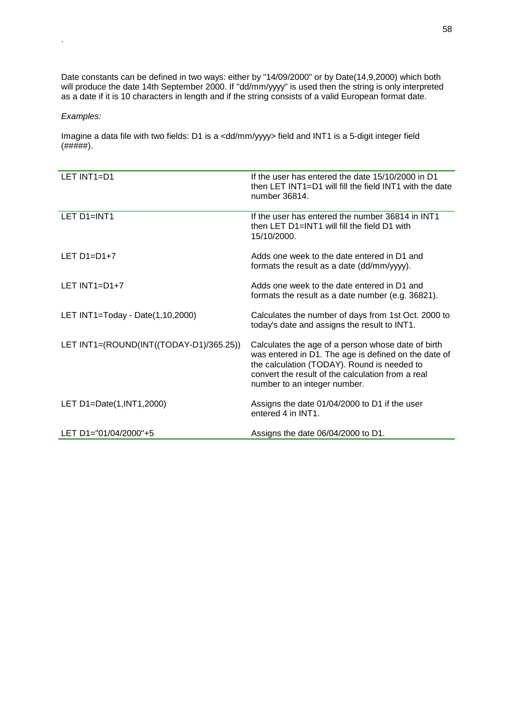Date constants can be defined in two ways: either by "14/09/2000" or by Date(14,9,2000) which both will produce the date 14th September 2000. If "dd/mm/yyyy" is used then the string is only interpreted as a date if it is 10 characters in length and if the string consists of a valid European format date.

## *Examples:*

.

Imagine a data file with two fields: D1 is a <dd/mm/yyyy> field and INT1 is a 5-digit integer field  $($ ###### $)$ .

| LET INT1=D1                             | If the user has entered the date 15/10/2000 in D1<br>then LET INT1=D1 will fill the field INT1 with the date<br>number 36814.                                                                                                                  |
|-----------------------------------------|------------------------------------------------------------------------------------------------------------------------------------------------------------------------------------------------------------------------------------------------|
| LET D1=INT1                             | If the user has entered the number 36814 in INT1<br>then LET D1=INT1 will fill the field D1 with<br>15/10/2000.                                                                                                                                |
| LET $D1=DI+7$                           | Adds one week to the date entered in D1 and<br>formats the result as a date (dd/mm/yyyy).                                                                                                                                                      |
| LET $INT1=D1+7$                         | Adds one week to the date entered in D1 and<br>formats the result as a date number (e.g. 36821).                                                                                                                                               |
| LET INT1=Today - Date(1,10,2000)        | Calculates the number of days from 1st Oct. 2000 to<br>today's date and assigns the result to INT1.                                                                                                                                            |
| LET INT1=(ROUND(INT((TODAY-D1)/365.25)) | Calculates the age of a person whose date of birth<br>was entered in D1. The age is defined on the date of<br>the calculation (TODAY). Round is needed to<br>convert the result of the calculation from a real<br>number to an integer number. |
| LET D1=Date(1, INT1, 2000)              | Assigns the date 01/04/2000 to D1 if the user<br>entered 4 in INT1.                                                                                                                                                                            |
| LET D1="01/04/2000"+5                   | Assigns the date 06/04/2000 to D1.                                                                                                                                                                                                             |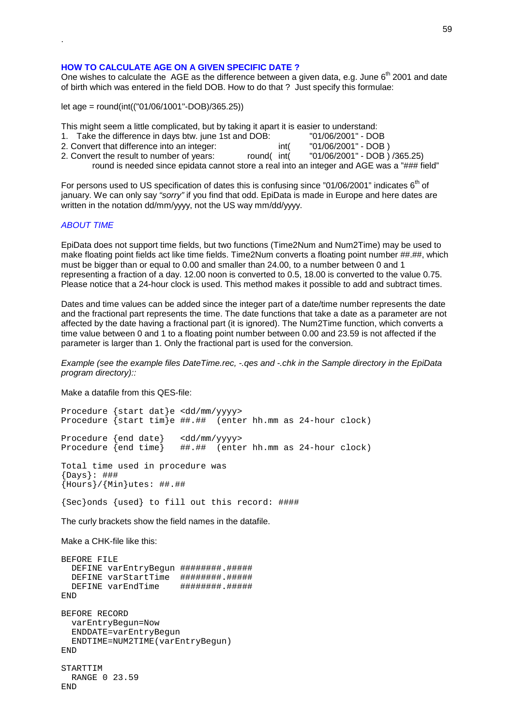#### 59

#### **HOW TO CALCULATE AGE ON A GIVEN SPECIFIC DATE ?**

One wishes to calculate the AGE as the difference between a given data, e.g. June 6<sup>th</sup> 2001 and date of birth which was entered in the field DOB. How to do that ? Just specify this formulae:

let age = round(int(("01/06/1001"-DOB)/365.25))

This might seem a little complicated, but by taking it apart it is easier to understand:

| 1. Take the difference in days btw. june 1st and DOB: |      | "01/06/2001" - DOB  |
|-------------------------------------------------------|------|---------------------|
| 2. Convert that difference into an integer:           | int( | "01/06/2001" - DOB) |

2. Convert the result to number of years: round( int( "01/06/2001" - DOB ) /365.25) round is needed since epidata cannot store a real into an integer and AGE was a "### field"

For persons used to US specification of dates this is confusing since "01/06/2001" indicates 6<sup>th</sup> of january. We can only say *"sorry"* if you find that odd. EpiData is made in Europe and here dates are written in the notation dd/mm/yyyy, not the US way mm/dd/yyyy.

#### *ABOUT TIME*

.

EpiData does not support time fields, but two functions (Time2Num and Num2Time) may be used to make floating point fields act like time fields. Time2Num converts a floating point number ##.##, which must be bigger than or equal to 0.00 and smaller than 24.00, to a number between 0 and 1 representing a fraction of a day. 12.00 noon is converted to 0.5, 18.00 is converted to the value 0.75. Please notice that a 24-hour clock is used. This method makes it possible to add and subtract times.

Dates and time values can be added since the integer part of a date/time number represents the date and the fractional part represents the time. The date functions that take a date as a parameter are not affected by the date having a fractional part (it is ignored). The Num2Time function, which converts a time value between 0 and 1 to a floating point number between 0.00 and 23.59 is not affected if the parameter is larger than 1. Only the fractional part is used for the conversion.

*Example (see the example files DateTime.rec, -.qes and -.chk in the Sample directory in the EpiData program directory)::*

Make a datafile from this QES-file:

Procedure {start dat}e <dd/mm/yyyy> Procedure {start tim}e ##.## (enter hh.mm as 24-hour clock) Procedure {end date} <dd/mm/yyyy><br>Procedure {end time} ##.## (ente ##.## (enter hh.mm as 24-hour clock) Total time used in procedure was {Days}: ### {Hours}/{Min}utes: ##.## {Sec}onds {used} to fill out this record: ####

The curly brackets show the field names in the datafile.

Make a CHK-file like this:

```
BEFORE FILE
 DEFINE varEntryBegun ########.#####
 DEFINE varStartTime ########.#####
 DEFINE varEndTime ########.#####
END
BEFORE RECORD
 varEntryBegun=Now
 ENDDATE=varEntryBegun
 ENDTIME=NUM2TIME(varEntryBegun)
END
STARTTIM
 RANGE 0 23.59
END
```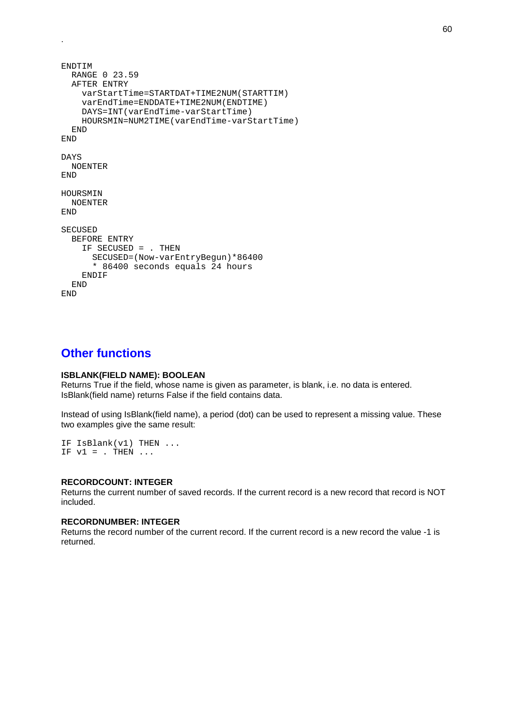```
ENDTIM
 RANGE 0 23.59
  AFTER ENTRY
    varStartTime=STARTDAT+TIME2NUM(STARTTIM)
    varEndTime=ENDDATE+TIME2NUM(ENDTIME)
    DAYS=INT(varEndTime-varStartTime)
    HOURSMIN=NUM2TIME(varEndTime-varStartTime)
  END
END
DAYS
 NOENTER
END
HOURSMIN
 NOENTER
END
SECUSED
  BEFORE ENTRY
    IF SECUSED = . THEN
      SECUSED=(Now-varEntryBegun)*86400
      * 86400 seconds equals 24 hours
    ENDIF
  END
END
```
# **Other functions**

.

## **ISBLANK(FIELD NAME): BOOLEAN**

Returns True if the field, whose name is given as parameter, is blank, i.e. no data is entered. IsBlank(field name) returns False if the field contains data.

Instead of using IsBlank(field name), a period (dot) can be used to represent a missing value. These two examples give the same result:

IF IsBlank(v1) THEN ... IF  $v1 =$  . THEN ...

#### **RECORDCOUNT: INTEGER**

Returns the current number of saved records. If the current record is a new record that record is NOT included.

#### **RECORDNUMBER: INTEGER**

Returns the record number of the current record. If the current record is a new record the value -1 is returned.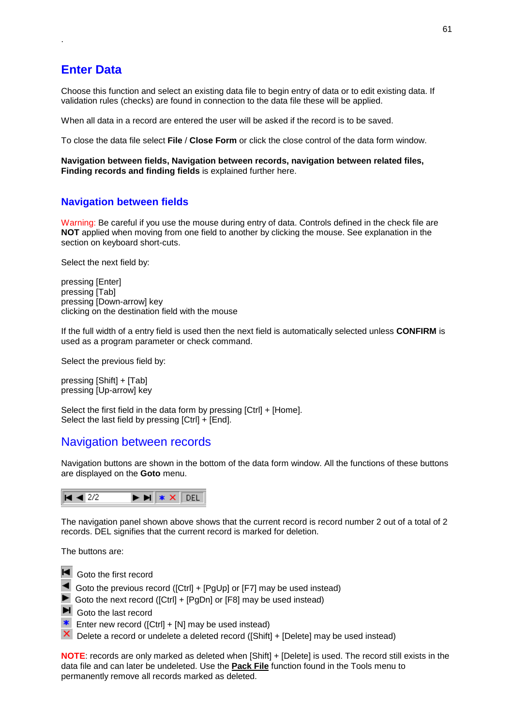# **Enter Data**

.

Choose this function and select an existing data file to begin entry of data or to edit existing data. If validation rules (checks) are found in connection to the data file these will be applied.

When all data in a record are entered the user will be asked if the record is to be saved.

To close the data file select **File** / **Close Form** or click the close control of the data form window.

**Navigation between fields, Navigation between records, navigation between related files, Finding records and finding fields** is explained further here.

# **Navigation between fields**

Warning: Be careful if you use the mouse during entry of data. Controls defined in the check file are **NOT** applied when moving from one field to another by clicking the mouse. See explanation in the section on keyboard short-cuts.

Select the next field by:

pressing [Enter] pressing [Tab] pressing [Down-arrow] key clicking on the destination field with the mouse

If the full width of a entry field is used then the next field is automatically selected unless **CONFIRM** is used as a program parameter or check command.

Select the previous field by:

pressing [Shift] + [Tab] pressing [Up-arrow] key

Select the first field in the data form by pressing [Ctrl] + [Home]. Select the last field by pressing  $[Ctrl] + [End]$ .

# Navigation between records

Navigation buttons are shown in the bottom of the data form window. All the functions of these buttons are displayed on the **Goto** menu.



The navigation panel shown above shows that the current record is record number 2 out of a total of 2 records. DEL signifies that the current record is marked for deletion.

The buttons are:

- **H** Goto the first record
	- Goto the previous record ([Ctrl] + [PgUp] or [F7] may be used instead)
- Goto the next record ([Ctrl] + [PgDn] or [F8] may be used instead)
- Goto the last record
- Enter new record ( $[Ctrl] + [N]$  may be used instead)
- $\mathsf{\times}$  Delete a record or undelete a deleted record ([Shift] + [Delete] may be used instead)

**NOTE:** records are only marked as deleted when [Shift] + [Delete] is used. The record still exists in the data file and can later be undeleted. Use the **Pack File** function found in the Tools menu to permanently remove all records marked as deleted.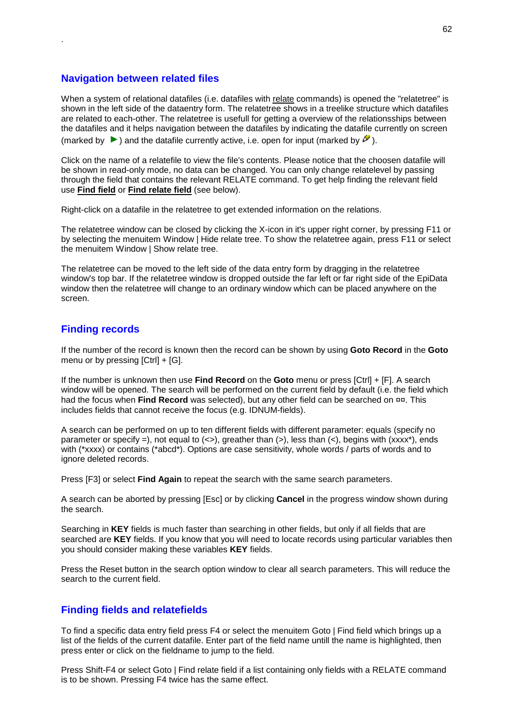# **Navigation between related files**

.

When a system of relational datafiles (i.e. datafiles with relate commands) is opened the "relatetree" is shown in the left side of the dataentry form. The relatetree shows in a treelike structure which datafiles are related to each-other. The relatetree is usefull for getting a overview of the relationsships between the datafiles and it helps navigation between the datafiles by indicating the datafile currently on screen (marked by  $\blacktriangleright$ ) and the datafile currently active, i.e. open for input (marked by  $\blacktriangleright$ ).

Click on the name of a relatefile to view the file's contents. Please notice that the choosen datafile will be shown in read-only mode, no data can be changed. You can only change relatelevel by passing through the field that contains the relevant RELATE command. To get help finding the relevant field use **Find field** or **Find relate field** (see below).

Right-click on a datafile in the relatetree to get extended information on the relations.

The relatetree window can be closed by clicking the X-icon in it's upper right corner, by pressing F11 or by selecting the menuitem Window | Hide relate tree. To show the relatetree again, press F11 or select the menuitem Window | Show relate tree.

The relatetree can be moved to the left side of the data entry form by dragging in the relatetree window's top bar. If the relatetree window is dropped outside the far left or far right side of the EpiData window then the relatetree will change to an ordinary window which can be placed anywhere on the screen.

## **Finding records**

If the number of the record is known then the record can be shown by using **Goto Record** in the **Goto** menu or by pressing [Ctrl] + [G].

If the number is unknown then use **Find Record** on the **Goto** menu or press [Ctrl] + [F]. A search window will be opened. The search will be performed on the current field by default (i.e. the field which had the focus when **Find Record** was selected), but any other field can be searched on ¤¤. This includes fields that cannot receive the focus (e.g. IDNUM-fields).

A search can be performed on up to ten different fields with different parameter: equals (specify no parameter or specify =), not equal to  $(\le)$ , greather than  $(\le)$ , less than  $(\le)$ , begins with  $(xxxx^*)$ , ends with (\*xxxx) or contains (\*abcd\*). Options are case sensitivity, whole words / parts of words and to ignore deleted records.

Press [F3] or select **Find Again** to repeat the search with the same search parameters.

A search can be aborted by pressing [Esc] or by clicking **Cancel** in the progress window shown during the search.

Searching in **KEY** fields is much faster than searching in other fields, but only if all fields that are searched are **KEY** fields. If you know that you will need to locate records using particular variables then you should consider making these variables **KEY** fields.

Press the Reset button in the search option window to clear all search parameters. This will reduce the search to the current field.

# **Finding fields and relatefields**

To find a specific data entry field press F4 or select the menuitem Goto | Find field which brings up a list of the fields of the current datafile. Enter part of the field name untill the name is highlighted, then press enter or click on the fieldname to jump to the field.

Press Shift-F4 or select Goto | Find relate field if a list containing only fields with a RELATE command is to be shown. Pressing F4 twice has the same effect.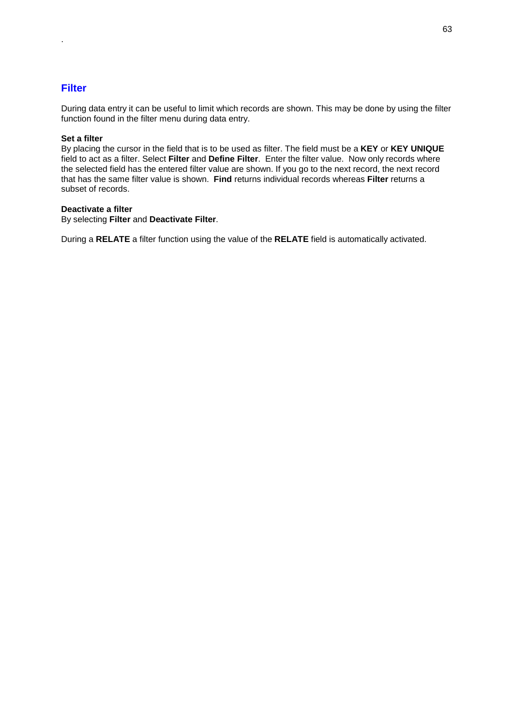# **Filter**

.

During data entry it can be useful to limit which records are shown. This may be done by using the filter function found in the filter menu during data entry.

## **Set a filter**

By placing the cursor in the field that is to be used as filter. The field must be a **KEY** or **KEY UNIQUE** field to act as a filter. Select **Filter** and **Define Filter**. Enter the filter value. Now only records where the selected field has the entered filter value are shown. If you go to the next record, the next record that has the same filter value is shown. **Find** returns individual records whereas **Filter** returns a subset of records.

## **Deactivate a filter**

By selecting **Filter** and **Deactivate Filter**.

During a **RELATE** a filter function using the value of the **RELATE** field is automatically activated.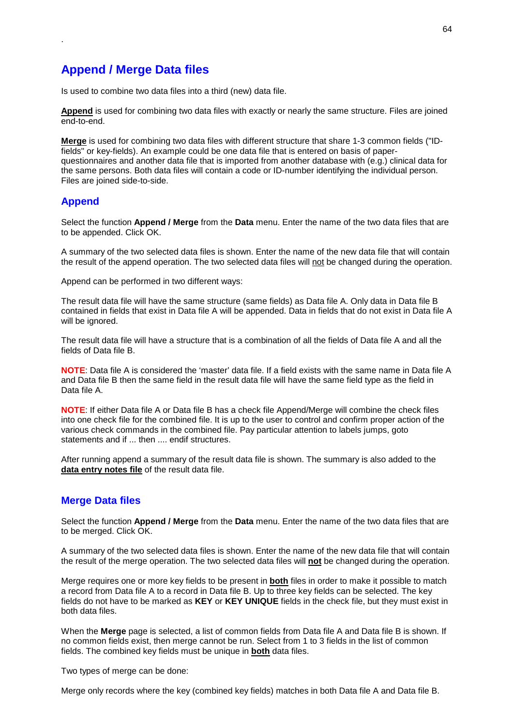# **Append / Merge Data files**

Is used to combine two data files into a third (new) data file.

**Append** is used for combining two data files with exactly or nearly the same structure. Files are joined end-to-end.

**Merge** is used for combining two data files with different structure that share 1-3 common fields ("IDfields" or key-fields). An example could be one data file that is entered on basis of paperquestionnaires and another data file that is imported from another database with (e.g.) clinical data for the same persons. Both data files will contain a code or ID-number identifying the individual person. Files are joined side-to-side.

# **Append**

.

Select the function **Append / Merge** from the **Data** menu. Enter the name of the two data files that are to be appended. Click OK.

A summary of the two selected data files is shown. Enter the name of the new data file that will contain the result of the append operation. The two selected data files will not be changed during the operation.

Append can be performed in two different ways:

The result data file will have the same structure (same fields) as Data file A. Only data in Data file B contained in fields that exist in Data file A will be appended. Data in fields that do not exist in Data file A will be ignored.

The result data file will have a structure that is a combination of all the fields of Data file A and all the fields of Data file B.

**NOTE**: Data file A is considered the 'master' data file. If a field exists with the same name in Data file A and Data file B then the same field in the result data file will have the same field type as the field in Data file A.

**NOTE**: If either Data file A or Data file B has a check file Append/Merge will combine the check files into one check file for the combined file. It is up to the user to control and confirm proper action of the various check commands in the combined file. Pay particular attention to labels jumps, goto statements and if ... then .... endif structures.

After running append a summary of the result data file is shown. The summary is also added to the **data entry notes file** of the result data file.

## **Merge Data files**

Select the function **Append / Merge** from the **Data** menu. Enter the name of the two data files that are to be merged. Click OK.

A summary of the two selected data files is shown. Enter the name of the new data file that will contain the result of the merge operation. The two selected data files will **not** be changed during the operation.

Merge requires one or more key fields to be present in **both** files in order to make it possible to match a record from Data file A to a record in Data file B. Up to three key fields can be selected. The key fields do not have to be marked as **KEY** or **KEY UNIQUE** fields in the check file, but they must exist in both data files.

When the **Merge** page is selected, a list of common fields from Data file A and Data file B is shown. If no common fields exist, then merge cannot be run. Select from 1 to 3 fields in the list of common fields. The combined key fields must be unique in **both** data files.

Two types of merge can be done:

Merge only records where the key (combined key fields) matches in both Data file A and Data file B.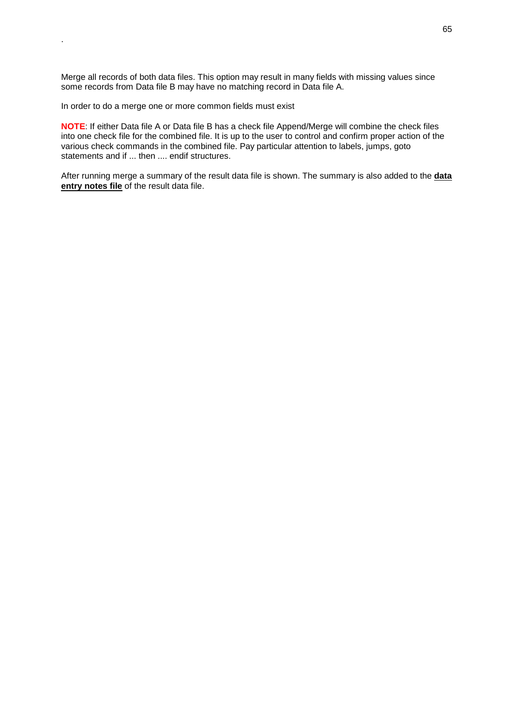Merge all records of both data files. This option may result in many fields with missing values since some records from Data file B may have no matching record in Data file A.

In order to do a merge one or more common fields must exist

.

**NOTE**: If either Data file A or Data file B has a check file Append/Merge will combine the check files into one check file for the combined file. It is up to the user to control and confirm proper action of the various check commands in the combined file. Pay particular attention to labels, jumps, goto statements and if ... then .... endif structures.

After running merge a summary of the result data file is shown. The summary is also added to the **data entry notes file** of the result data file.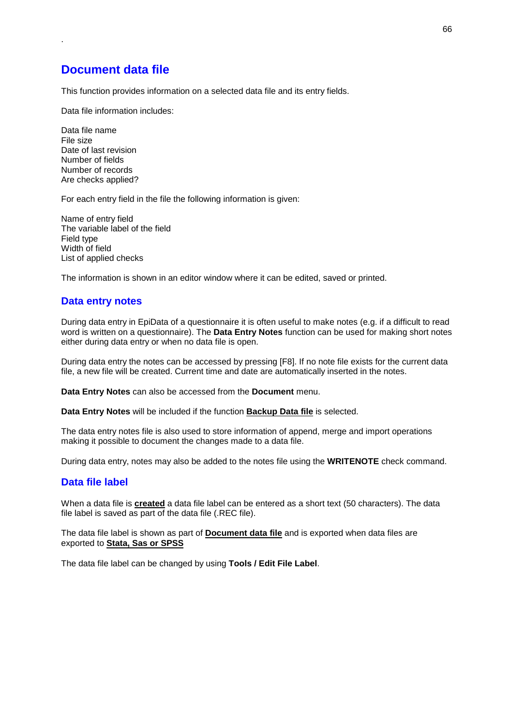# **Document data file**

.

This function provides information on a selected data file and its entry fields.

Data file information includes:

Data file name File size Date of last revision Number of fields Number of records Are checks applied?

For each entry field in the file the following information is given:

Name of entry field The variable label of the field Field type Width of field List of applied checks

The information is shown in an editor window where it can be edited, saved or printed.

# **Data entry notes**

During data entry in EpiData of a questionnaire it is often useful to make notes (e.g. if a difficult to read word is written on a questionnaire). The **Data Entry Notes** function can be used for making short notes either during data entry or when no data file is open.

During data entry the notes can be accessed by pressing [F8]. If no note file exists for the current data file, a new file will be created. Current time and date are automatically inserted in the notes.

**Data Entry Notes** can also be accessed from the **Document** menu.

**Data Entry Notes** will be included if the function **Backup Data file** is selected.

The data entry notes file is also used to store information of append, merge and import operations making it possible to document the changes made to a data file.

During data entry, notes may also be added to the notes file using the **WRITENOTE** check command.

## **Data file label**

When a data file is **created** a data file label can be entered as a short text (50 characters). The data file label is saved as part of the data file (.REC file).

The data file label is shown as part of **Document data file** and is exported when data files are exported to **Stata, Sas or SPSS**

The data file label can be changed by using **Tools / Edit File Label**.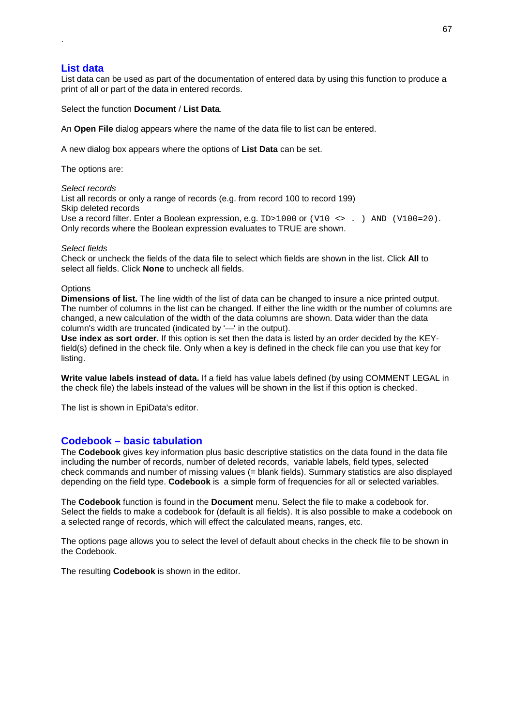# **List data**

.

List data can be used as part of the documentation of entered data by using this function to produce a print of all or part of the data in entered records.

Select the function **Document** / **List Data**.

An **Open File** dialog appears where the name of the data file to list can be entered.

A new dialog box appears where the options of **List Data** can be set.

The options are:

*Select records*

List all records or only a range of records (e.g. from record 100 to record 199) Skip deleted records Use a record filter. Enter a Boolean expression, e.g. ID>1000 or (V10 <> . ) AND (V100=20). Only records where the Boolean expression evaluates to TRUE are shown.

#### *Select fields*

Check or uncheck the fields of the data file to select which fields are shown in the list. Click **All** to select all fields. Click **None** to uncheck all fields.

#### **Options**

**Dimensions of list.** The line width of the list of data can be changed to insure a nice printed output. The number of columns in the list can be changed. If either the line width or the number of columns are changed, a new calculation of the width of the data columns are shown. Data wider than the data column's width are truncated (indicated by '—' in the output).

**Use index as sort order.** If this option is set then the data is listed by an order decided by the KEYfield(s) defined in the check file. Only when a key is defined in the check file can you use that key for listing.

**Write value labels instead of data.** If a field has value labels defined (by using COMMENT LEGAL in the check file) the labels instead of the values will be shown in the list if this option is checked.

The list is shown in EpiData's editor.

## **Codebook – basic tabulation**

The **Codebook** gives key information plus basic descriptive statistics on the data found in the data file including the number of records, number of deleted records, variable labels, field types, selected check commands and number of missing values (= blank fields). Summary statistics are also displayed depending on the field type. **Codebook** is a simple form of frequencies for all or selected variables.

The **Codebook** function is found in the **Document** menu. Select the file to make a codebook for. Select the fields to make a codebook for (default is all fields). It is also possible to make a codebook on a selected range of records, which will effect the calculated means, ranges, etc.

The options page allows you to select the level of default about checks in the check file to be shown in the Codebook.

The resulting **Codebook** is shown in the editor.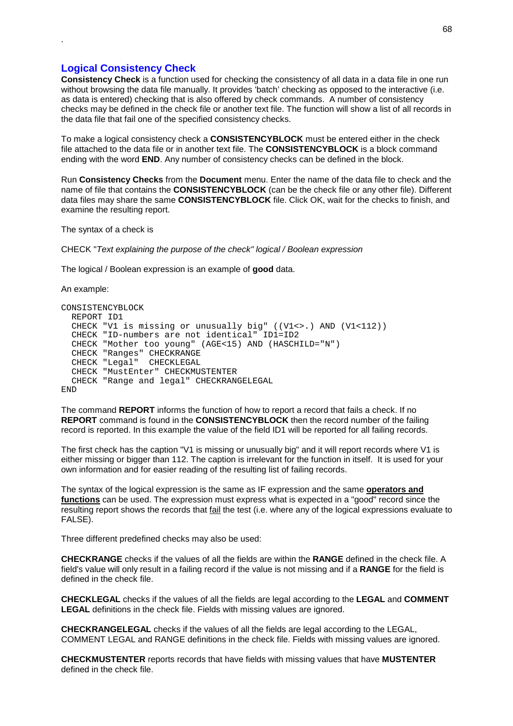# **Logical Consistency Check**

.

**Consistency Check** is a function used for checking the consistency of all data in a data file in one run without browsing the data file manually. It provides 'batch' checking as opposed to the interactive (i.e. as data is entered) checking that is also offered by check commands. A number of consistency checks may be defined in the check file or another text file. The function will show a list of all records in the data file that fail one of the specified consistency checks.

To make a logical consistency check a **CONSISTENCYBLOCK** must be entered either in the check file attached to the data file or in another text file. The **CONSISTENCYBLOCK** is a block command ending with the word **END**. Any number of consistency checks can be defined in the block.

Run **Consistency Checks** from the **Document** menu. Enter the name of the data file to check and the name of file that contains the **CONSISTENCYBLOCK** (can be the check file or any other file). Different data files may share the same **CONSISTENCYBLOCK** file. Click OK, wait for the checks to finish, and examine the resulting report.

The syntax of a check is

CHECK "*Text explaining the purpose of the check" logical / Boolean expression*

The logical / Boolean expression is an example of **good** data.

An example:

```
CONSISTENCYBLOCK
 REPORT ID1
 CHECK "V1 is missing or unusually big" ((V1<>.) AND (V1<112))
 CHECK "ID-numbers are not identical" ID1=ID2
 CHECK "Mother too young" (AGE<15) AND (HASCHILD="N")
  CHECK "Ranges" CHECKRANGE
  CHECK "Legal" CHECKLEGAL
 CHECK "MustEnter" CHECKMUSTENTER
 CHECK "Range and legal" CHECKRANGELEGAL
END
```
The command **REPORT** informs the function of how to report a record that fails a check. If no **REPORT** command is found in the **CONSISTENCYBLOCK** then the record number of the failing record is reported. In this example the value of the field ID1 will be reported for all failing records.

The first check has the caption "V1 is missing or unusually big" and it will report records where V1 is either missing or bigger than 112. The caption is irrelevant for the function in itself. It is used for your own information and for easier reading of the resulting list of failing records.

The syntax of the logical expression is the same as IF expression and the same **operators and functions** can be used. The expression must express what is expected in a "good" record since the resulting report shows the records that fail the test (i.e. where any of the logical expressions evaluate to FALSE).

Three different predefined checks may also be used:

**CHECKRANGE** checks if the values of all the fields are within the **RANGE** defined in the check file. A field's value will only result in a failing record if the value is not missing and if a **RANGE** for the field is defined in the check file.

**CHECKLEGAL** checks if the values of all the fields are legal according to the **LEGAL** and **COMMENT LEGAL** definitions in the check file. Fields with missing values are ignored.

**CHECKRANGELEGAL** checks if the values of all the fields are legal according to the LEGAL, COMMENT LEGAL and RANGE definitions in the check file. Fields with missing values are ignored.

**CHECKMUSTENTER** reports records that have fields with missing values that have **MUSTENTER** defined in the check file.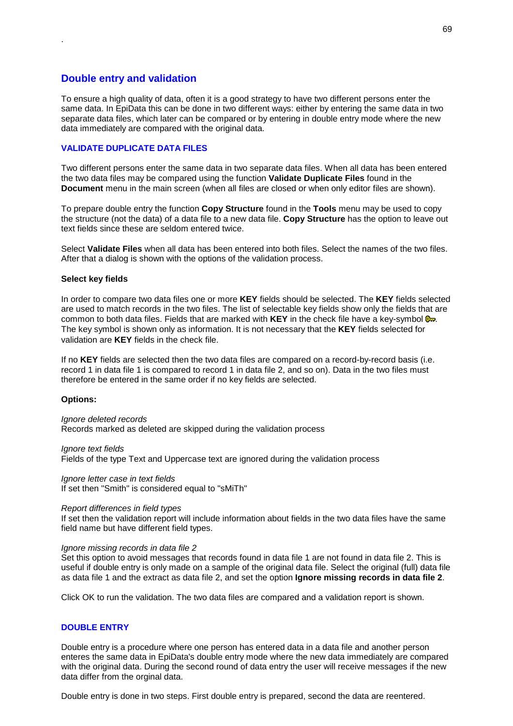# **Double entry and validation**

.

To ensure a high quality of data, often it is a good strategy to have two different persons enter the same data. In EpiData this can be done in two different ways: either by entering the same data in two separate data files, which later can be compared or by entering in double entry mode where the new data immediately are compared with the original data.

## **VALIDATE DUPLICATE DATA FILES**

Two different persons enter the same data in two separate data files. When all data has been entered the two data files may be compared using the function **Validate Duplicate Files** found in the **Document** menu in the main screen (when all files are closed or when only editor files are shown).

To prepare double entry the function **Copy Structure** found in the **Tools** menu may be used to copy the structure (not the data) of a data file to a new data file. **Copy Structure** has the option to leave out text fields since these are seldom entered twice.

Select **Validate Files** when all data has been entered into both files. Select the names of the two files. After that a dialog is shown with the options of the validation process.

#### **Select key fields**

In order to compare two data files one or more **KEY** fields should be selected. The **KEY** fields selected are used to match records in the two files. The list of selectable key fields show only the fields that are common to both data files. Fields that are marked with **KEY** in the check file have a key-symbol  $\mathbf{R}$ . The key symbol is shown only as information. It is not necessary that the **KEY** fields selected for validation are **KEY** fields in the check file.

If no **KEY** fields are selected then the two data files are compared on a record-by-record basis (i.e. record 1 in data file 1 is compared to record 1 in data file 2, and so on). Data in the two files must therefore be entered in the same order if no key fields are selected.

#### **Options:**

*Ignore deleted records* Records marked as deleted are skipped during the validation process

*Ignore text fields* Fields of the type Text and Uppercase text are ignored during the validation process

*Ignore letter case in text fields* If set then "Smith" is considered equal to "sMiTh"

#### *Report differences in field types*

If set then the validation report will include information about fields in the two data files have the same field name but have different field types.

#### *Ignore missing records in data file 2*

Set this option to avoid messages that records found in data file 1 are not found in data file 2. This is useful if double entry is only made on a sample of the original data file. Select the original (full) data file as data file 1 and the extract as data file 2, and set the option **Ignore missing records in data file 2**.

Click OK to run the validation. The two data files are compared and a validation report is shown.

## **DOUBLE ENTRY**

Double entry is a procedure where one person has entered data in a data file and another person enteres the same data in EpiData's double entry mode where the new data immediately are compared with the original data. During the second round of data entry the user will receive messages if the new data differ from the orginal data.

Double entry is done in two steps. First double entry is prepared, second the data are reentered.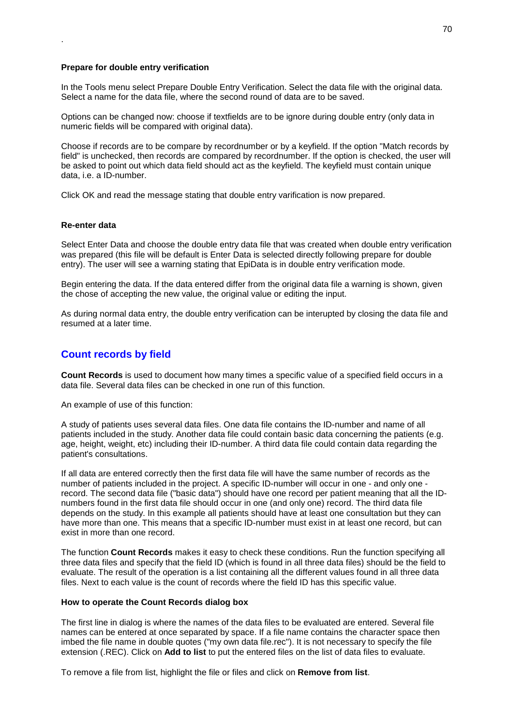#### **Prepare for double entry verification**

In the Tools menu select Prepare Double Entry Verification. Select the data file with the original data. Select a name for the data file, where the second round of data are to be saved.

Options can be changed now: choose if textfields are to be ignore during double entry (only data in numeric fields will be compared with original data).

Choose if records are to be compare by recordnumber or by a keyfield. If the option "Match records by field" is unchecked, then records are compared by recordnumber. If the option is checked, the user will be asked to point out which data field should act as the keyfield. The keyfield must contain unique data, i.e. a ID-number.

Click OK and read the message stating that double entry varification is now prepared.

#### **Re-enter data**

.

Select Enter Data and choose the double entry data file that was created when double entry verification was prepared (this file will be default is Enter Data is selected directly following prepare for double entry). The user will see a warning stating that EpiData is in double entry verification mode.

Begin entering the data. If the data entered differ from the original data file a warning is shown, given the chose of accepting the new value, the original value or editing the input.

As during normal data entry, the double entry verification can be interupted by closing the data file and resumed at a later time.

# **Count records by field**

**Count Records** is used to document how many times a specific value of a specified field occurs in a data file. Several data files can be checked in one run of this function.

An example of use of this function:

A study of patients uses several data files. One data file contains the ID-number and name of all patients included in the study. Another data file could contain basic data concerning the patients (e.g. age, height, weight, etc) including their ID-number. A third data file could contain data regarding the patient's consultations.

If all data are entered correctly then the first data file will have the same number of records as the number of patients included in the project. A specific ID-number will occur in one - and only one record. The second data file ("basic data") should have one record per patient meaning that all the IDnumbers found in the first data file should occur in one (and only one) record. The third data file depends on the study. In this example all patients should have at least one consultation but they can have more than one. This means that a specific ID-number must exist in at least one record, but can exist in more than one record.

The function **Count Records** makes it easy to check these conditions. Run the function specifying all three data files and specify that the field ID (which is found in all three data files) should be the field to evaluate. The result of the operation is a list containing all the different values found in all three data files. Next to each value is the count of records where the field ID has this specific value.

#### **How to operate the Count Records dialog box**

The first line in dialog is where the names of the data files to be evaluated are entered. Several file names can be entered at once separated by space. If a file name contains the character space then imbed the file name in double quotes ("my own data file.rec"). It is not necessary to specify the file extension (.REC). Click on **Add to list** to put the entered files on the list of data files to evaluate.

To remove a file from list, highlight the file or files and click on **Remove from list**.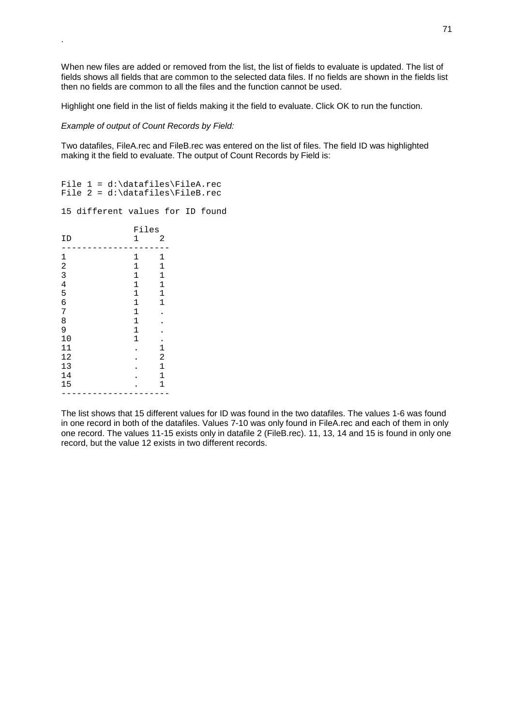When new files are added or removed from the list, the list of fields to evaluate is updated. The list of fields shows all fields that are common to the selected data files. If no fields are shown in the fields list then no fields are common to all the files and the function cannot be used.

Highlight one field in the list of fields making it the field to evaluate. Click OK to run the function.

*Example of output of Count Records by Field:*

.

Two datafiles, FileA.rec and FileB.rec was entered on the list of files. The field ID was highlighted making it the field to evaluate. The output of Count Records by Field is:

```
File 1 = d:\datafiles\FileA.rec
File 2 = d:\datafiles\FileB.rec
```
15 different values for ID found

|                | Files          |               |
|----------------|----------------|---------------|
| ΙD             | 1              | 2             |
| 1              | 1              | 1             |
| $\overline{a}$ | $\overline{1}$ | 1             |
| 3              | $\mathbf{1}$   | $\mathbf{1}$  |
| $\overline{4}$ | $\overline{1}$ | $\mathbf 1$   |
| 5              | $\mathbf{1}$   | $\mathbf{1}$  |
| 6              | $\mathbf{1}$   | $\mathbf{1}$  |
| 7              | $\mathbf{1}$   |               |
| 8              | $\mathbf{1}$   |               |
| 9              | $\mathbf{1}$   |               |
| 10             | $\mathbf{1}$   |               |
| 11             |                | $\frac{1}{2}$ |
| 12             |                |               |
| 13             |                | $\mathbf{1}$  |
| 14             |                | $\mathbf{1}$  |
| 15             |                | $\mathbf{1}$  |
|                |                |               |

The list shows that 15 different values for ID was found in the two datafiles. The values 1-6 was found in one record in both of the datafiles. Values 7-10 was only found in FileA.rec and each of them in only one record. The values 11-15 exists only in datafile 2 (FileB.rec). 11, 13, 14 and 15 is found in only one record, but the value 12 exists in two different records.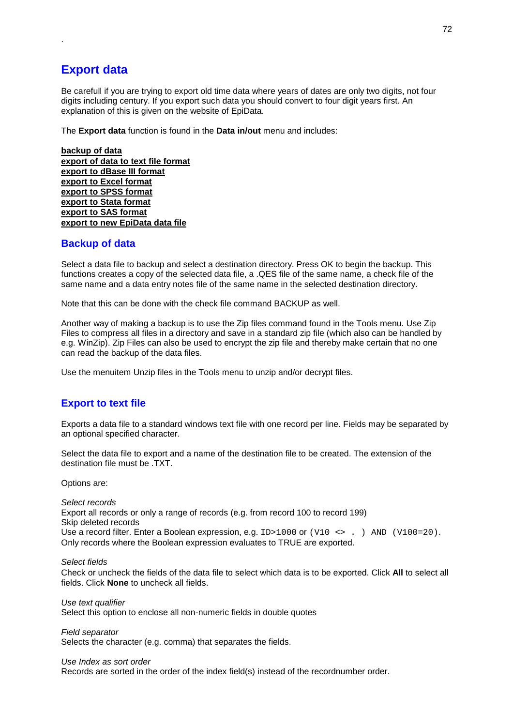# **Export data**

.

Be carefull if you are trying to export old time data where years of dates are only two digits, not four digits including century. If you export such data you should convert to four digit years first. An explanation of this is given on the website of EpiData.

The **Export data** function is found in the **Data in/out** menu and includes:

**backup of data export of data to text file format export to dBase III format export to Excel format export to SPSS format export to Stata format export to SAS format export to new EpiData data file**

# **Backup of data**

Select a data file to backup and select a destination directory. Press OK to begin the backup. This functions creates a copy of the selected data file, a .QES file of the same name, a check file of the same name and a data entry notes file of the same name in the selected destination directory.

Note that this can be done with the check file command BACKUP as well.

Another way of making a backup is to use the Zip files command found in the Tools menu. Use Zip Files to compress all files in a directory and save in a standard zip file (which also can be handled by e.g. WinZip). Zip Files can also be used to encrypt the zip file and thereby make certain that no one can read the backup of the data files.

Use the menuitem Unzip files in the Tools menu to unzip and/or decrypt files.

# **Export to text file**

Exports a data file to a standard windows text file with one record per line. Fields may be separated by an optional specified character.

Select the data file to export and a name of the destination file to be created. The extension of the destination file must be .TXT.

Options are:

*Select records* Export all records or only a range of records (e.g. from record 100 to record 199) Skip deleted records Use a record filter. Enter a Boolean expression, e.g.  $ID>1000$  or  $(V10 \leftrightarrow N)$  AND  $(V100=20)$ . Only records where the Boolean expression evaluates to TRUE are exported.

*Select fields*

Check or uncheck the fields of the data file to select which data is to be exported. Click **All** to select all fields. Click **None** to uncheck all fields.

*Use text qualifier* Select this option to enclose all non-numeric fields in double quotes

*Field separator* Selects the character (e.g. comma) that separates the fields.

#### *Use Index as sort order*

Records are sorted in the order of the index field(s) instead of the recordnumber order.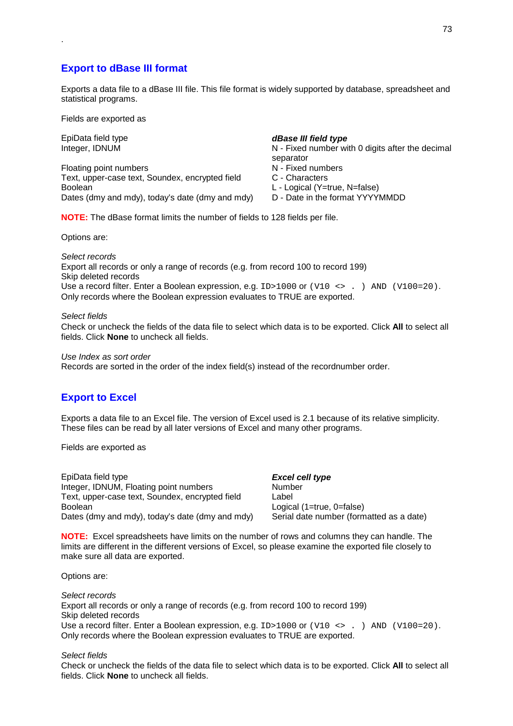### **Export to dBase III format**

Exports a data file to a dBase III file. This file format is widely supported by database, spreadsheet and statistical programs.

Fields are exported as

.

Floating point numbers N - Fixed numbers Text, upper-case text, Soundex, encrypted field C - Characters Boolean L - Logical (Y=true, N=false)<br>Dates (dmy and mdy), today's date (dmy and mdy) D - Date in the format YYYYMMDD Dates (dmy and mdy), today's date (dmy and mdy)

EpiData field type *dBase III field type* 

Integer, IDNUM **N** - Fixed number with 0 digits after the decimal separator

- 
- 
- 

**NOTE:** The dBase format limits the number of fields to 128 fields per file.

Options are:

*Select records* Export all records or only a range of records (e.g. from record 100 to record 199) Skip deleted records Use a record filter. Enter a Boolean expression, e.g. ID>1000 or (V10 <> . ) AND (V100=20). Only records where the Boolean expression evaluates to TRUE are exported.

#### *Select fields*

Check or uncheck the fields of the data file to select which data is to be exported. Click **All** to select all fields. Click **None** to uncheck all fields.

*Use Index as sort order*

Records are sorted in the order of the index field(s) instead of the recordnumber order.

### **Export to Excel**

Exports a data file to an Excel file. The version of Excel used is 2.1 because of its relative simplicity. These files can be read by all later versions of Excel and many other programs.

Fields are exported as

| EpiData field type                              | Excel cell type                          |
|-------------------------------------------------|------------------------------------------|
| Integer, IDNUM, Floating point numbers          | Number                                   |
| Text, upper-case text, Soundex, encrypted field | Label                                    |
| <b>Boolean</b>                                  | Logical (1=true, 0=false)                |
| Dates (dmy and mdy), today's date (dmy and mdy) | Serial date number (formatted as a date) |

**NOTE:** Excel spreadsheets have limits on the number of rows and columns they can handle. The limits are different in the different versions of Excel, so please examine the exported file closely to make sure all data are exported.

Options are:

*Select records* Export all records or only a range of records (e.g. from record 100 to record 199) Skip deleted records Use a record filter. Enter a Boolean expression, e.g. ID>1000 or (V10 <> . ) AND (V100=20). Only records where the Boolean expression evaluates to TRUE are exported.

#### *Select fields*

Check or uncheck the fields of the data file to select which data is to be exported. Click **All** to select all fields. Click **None** to uncheck all fields.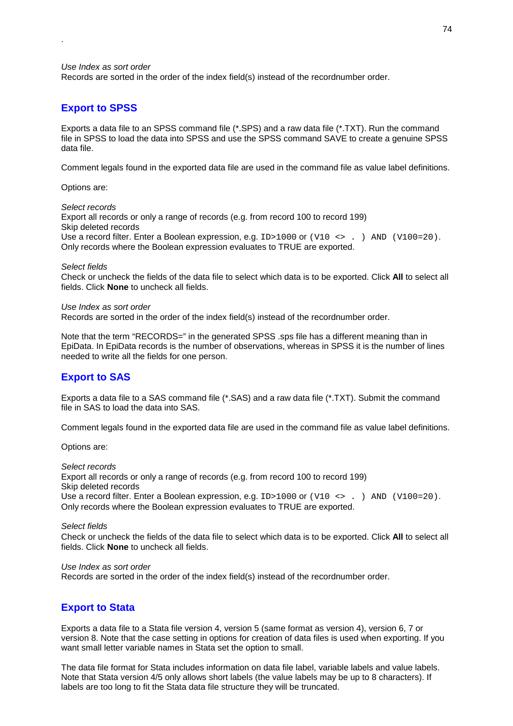#### *Use Index as sort order*

.

Records are sorted in the order of the index field(s) instead of the recordnumber order.

### **Export to SPSS**

Exports a data file to an SPSS command file (\*.SPS) and a raw data file (\*.TXT). Run the command file in SPSS to load the data into SPSS and use the SPSS command SAVE to create a genuine SPSS data file.

Comment legals found in the exported data file are used in the command file as value label definitions.

#### Options are:

### *Select records*

Export all records or only a range of records (e.g. from record 100 to record 199) Skip deleted records Use a record filter. Enter a Boolean expression, e.g.  $ID>1000$  or  $(V10 \leftrightarrow N)$  AND  $(V100=20)$ . Only records where the Boolean expression evaluates to TRUE are exported.

#### *Select fields*

Check or uncheck the fields of the data file to select which data is to be exported. Click **All** to select all fields. Click **None** to uncheck all fields.

#### *Use Index as sort order*

Records are sorted in the order of the index field(s) instead of the recordnumber order.

Note that the term "RECORDS=" in the generated SPSS, sps file has a different meaning than in EpiData. In EpiData records is the number of observations, whereas in SPSS it is the number of lines needed to write all the fields for one person.

#### **Export to SAS**

Exports a data file to a SAS command file (\*.SAS) and a raw data file (\*.TXT). Submit the command file in SAS to load the data into SAS.

Comment legals found in the exported data file are used in the command file as value label definitions.

Options are:

*Select records* Export all records or only a range of records (e.g. from record 100 to record 199) Skip deleted records Use a record filter. Enter a Boolean expression, e.g. ID>1000 or (V10 <> . ) AND (V100=20). Only records where the Boolean expression evaluates to TRUE are exported.

#### *Select fields*

Check or uncheck the fields of the data file to select which data is to be exported. Click **All** to select all fields. Click **None** to uncheck all fields.

#### *Use Index as sort order*

Records are sorted in the order of the index field(s) instead of the recordnumber order.

### **Export to Stata**

Exports a data file to a Stata file version 4, version 5 (same format as version 4), version 6, 7 or version 8. Note that the case setting in options for creation of data files is used when exporting. If you want small letter variable names in Stata set the option to small.

The data file format for Stata includes information on data file label, variable labels and value labels. Note that Stata version 4/5 only allows short labels (the value labels may be up to 8 characters). If labels are too long to fit the Stata data file structure they will be truncated.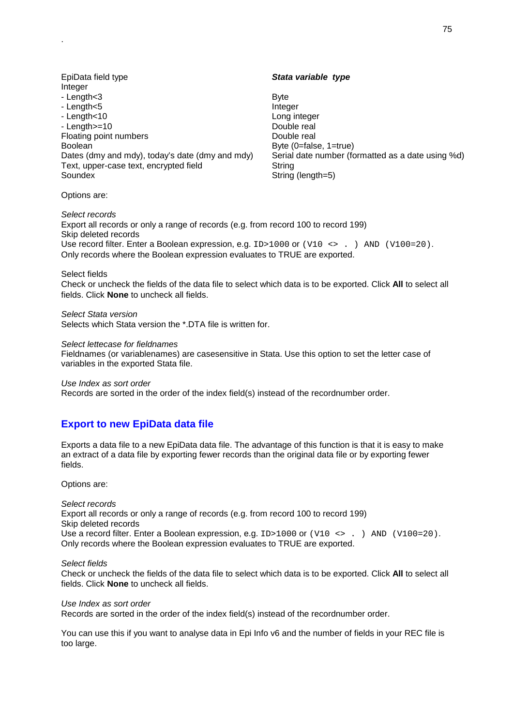EpiData field type *Stata variable type*  Integer - Length<3 Byte - Length<5 Integer - Length<10 Long integer - Length >=10 Double real Floating point numbers Double real Boolean Boolean Boolean Boolean Boolean Boolean Boolean Boolean Boolean Boolean Boolean Boolean Boolean Boolean Dates (dmy and mdy), today's date (dmy and mdy) Serial date number (formatted as a date using %d) Text, upper-case text, encrypted field String Soundex Soundex Superintendent String (length=5)

Options are:

.

*Select records* Export all records or only a range of records (e.g. from record 100 to record 199) Skip deleted records Use record filter. Enter a Boolean expression, e.g. ID>1000 or (V10 <> . ) AND (V100=20). Only records where the Boolean expression evaluates to TRUE are exported.

Select fields

Check or uncheck the fields of the data file to select which data is to be exported. Click **All** to select all fields. Click **None** to uncheck all fields.

*Select Stata version* Selects which Stata version the \*.DTA file is written for.

#### *Select lettecase for fieldnames*

Fieldnames (or variablenames) are casesensitive in Stata. Use this option to set the letter case of variables in the exported Stata file.

*Use Index as sort order*

Records are sorted in the order of the index field(s) instead of the recordnumber order.

### **Export to new EpiData data file**

Exports a data file to a new EpiData data file. The advantage of this function is that it is easy to make an extract of a data file by exporting fewer records than the original data file or by exporting fewer fields.

Options are:

*Select records* Export all records or only a range of records (e.g. from record 100 to record 199) Skip deleted records Use a record filter. Enter a Boolean expression, e.g.  $ID>1000$  or  $(V10 \leftrightarrow N)$  AND  $(V100=20)$ . Only records where the Boolean expression evaluates to TRUE are exported.

#### *Select fields*

Check or uncheck the fields of the data file to select which data is to be exported. Click **All** to select all fields. Click **None** to uncheck all fields.

*Use Index as sort order*

Records are sorted in the order of the index field(s) instead of the recordnumber order.

You can use this if you want to analyse data in Epi Info v6 and the number of fields in your REC file is too large.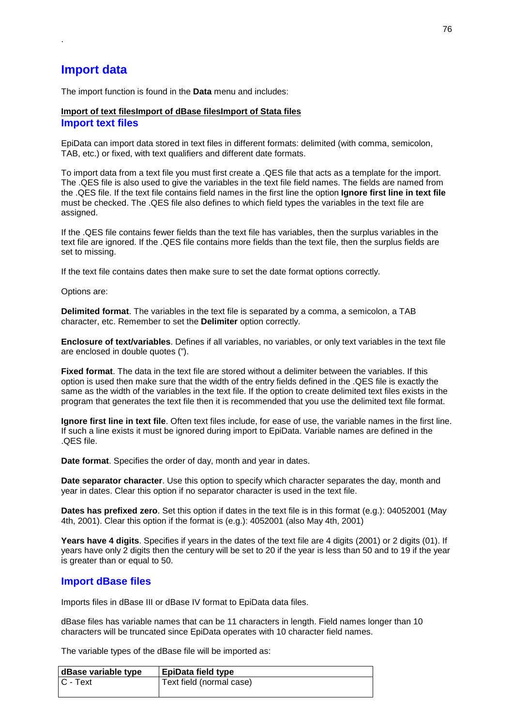## **Import data**

.

The import function is found in the **Data** menu and includes:

#### **Import of text filesImport of dBase filesImport of Stata files Import text files**

EpiData can import data stored in text files in different formats: delimited (with comma, semicolon, TAB, etc.) or fixed, with text qualifiers and different date formats.

To import data from a text file you must first create a .QES file that acts as a template for the import. The .QES file is also used to give the variables in the text file field names. The fields are named from the .QES file. If the text file contains field names in the first line the option **Ignore first line in text file** must be checked. The .QES file also defines to which field types the variables in the text file are assigned.

If the .QES file contains fewer fields than the text file has variables, then the surplus variables in the text file are ignored. If the .QES file contains more fields than the text file, then the surplus fields are set to missing.

If the text file contains dates then make sure to set the date format options correctly.

Options are:

**Delimited format**. The variables in the text file is separated by a comma, a semicolon, a TAB character, etc. Remember to set the **Delimiter** option correctly.

**Enclosure of text/variables**. Defines if all variables, no variables, or only text variables in the text file are enclosed in double quotes (").

**Fixed format**. The data in the text file are stored without a delimiter between the variables. If this option is used then make sure that the width of the entry fields defined in the .QES file is exactly the same as the width of the variables in the text file. If the option to create delimited text files exists in the program that generates the text file then it is recommended that you use the delimited text file format.

**Ignore first line in text file**. Often text files include, for ease of use, the variable names in the first line. If such a line exists it must be ignored during import to EpiData. Variable names are defined in the .QES file.

**Date format**. Specifies the order of day, month and year in dates.

**Date separator character**. Use this option to specify which character separates the day, month and year in dates. Clear this option if no separator character is used in the text file.

**Dates has prefixed zero**. Set this option if dates in the text file is in this format (e.g.): 04052001 (May 4th, 2001). Clear this option if the format is (e.g.): 4052001 (also May 4th, 2001)

**Years have 4 digits**. Specifies if years in the dates of the text file are 4 digits (2001) or 2 digits (01). If years have only 2 digits then the century will be set to 20 if the year is less than 50 and to 19 if the year is greater than or equal to 50.

#### **Import dBase files**

Imports files in dBase III or dBase IV format to EpiData data files.

dBase files has variable names that can be 11 characters in length. Field names longer than 10 characters will be truncated since EpiData operates with 10 character field names.

The variable types of the dBase file will be imported as:

| dBase variable type | EpiData field type       |
|---------------------|--------------------------|
| $C - Text$          | Text field (normal case) |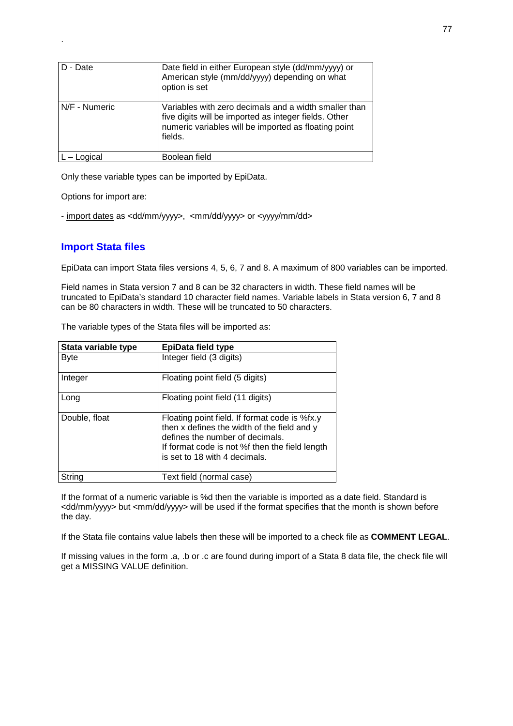| D - Date      | Date field in either European style (dd/mm/yyyy) or<br>American style (mm/dd/yyyy) depending on what<br>option is set                                                             |
|---------------|-----------------------------------------------------------------------------------------------------------------------------------------------------------------------------------|
| N/F - Numeric | Variables with zero decimals and a width smaller than<br>five digits will be imported as integer fields. Other<br>numeric variables will be imported as floating point<br>fields. |
| – Logical     | Boolean field                                                                                                                                                                     |

Only these variable types can be imported by EpiData.

Options for import are:

.

- import dates as <dd/mm/yyyy>, <mm/dd/yyyy> or <yyyy/mm/dd>

### **Import Stata files**

EpiData can import Stata files versions 4, 5, 6, 7 and 8. A maximum of 800 variables can be imported.

Field names in Stata version 7 and 8 can be 32 characters in width. These field names will be truncated to EpiData's standard 10 character field names. Variable labels in Stata version 6, 7 and 8 can be 80 characters in width. These will be truncated to 50 characters.

The variable types of the Stata files will be imported as:

| Stata variable type | <b>EpiData field type</b>                                                                                                                                                                                          |
|---------------------|--------------------------------------------------------------------------------------------------------------------------------------------------------------------------------------------------------------------|
| <b>Byte</b>         | Integer field (3 digits)                                                                                                                                                                                           |
| Integer             | Floating point field (5 digits)                                                                                                                                                                                    |
| Long                | Floating point field (11 digits)                                                                                                                                                                                   |
| Double, float       | Floating point field. If format code is %fx.y<br>then x defines the width of the field and y<br>defines the number of decimals.<br>If format code is not %f then the field length<br>is set to 18 with 4 decimals. |
| Strina              | Text field (normal case)                                                                                                                                                                                           |

If the format of a numeric variable is %d then the variable is imported as a date field. Standard is <dd/mm/yyyy> but <mm/dd/yyyy> will be used if the format specifies that the month is shown before the day.

If the Stata file contains value labels then these will be imported to a check file as **COMMENT LEGAL**.

If missing values in the form .a, .b or .c are found during import of a Stata 8 data file, the check file will get a MISSING VALUE definition.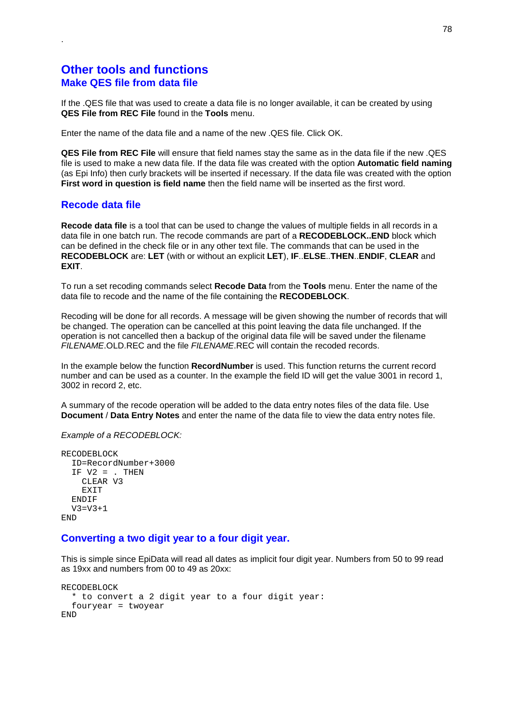### **Other tools and functions Make QES file from data file**

If the .QES file that was used to create a data file is no longer available, it can be created by using **QES File from REC File** found in the **Tools** menu.

Enter the name of the data file and a name of the new .QES file. Click OK.

**QES File from REC File** will ensure that field names stay the same as in the data file if the new .QES file is used to make a new data file. If the data file was created with the option **Automatic field naming** (as Epi Info) then curly brackets will be inserted if necessary. If the data file was created with the option **First word in question is field name** then the field name will be inserted as the first word.

### **Recode data file**

.

**Recode data file** is a tool that can be used to change the values of multiple fields in all records in a data file in one batch run. The recode commands are part of a **RECODEBLOCK..END** block which can be defined in the check file or in any other text file. The commands that can be used in the **RECODEBLOCK** are: **LET** (with or without an explicit **LET**), **IF**..**ELSE**..**THEN**..**ENDIF**, **CLEAR** and **EXIT**.

To run a set recoding commands select **Recode Data** from the **Tools** menu. Enter the name of the data file to recode and the name of the file containing the **RECODEBLOCK**.

Recoding will be done for all records. A message will be given showing the number of records that will be changed. The operation can be cancelled at this point leaving the data file unchanged. If the operation is not cancelled then a backup of the original data file will be saved under the filename *FILENAME*.OLD.REC and the file *FILENAME*.REC will contain the recoded records.

In the example below the function **RecordNumber** is used. This function returns the current record number and can be used as a counter. In the example the field ID will get the value 3001 in record 1, 3002 in record 2, etc.

A summary of the recode operation will be added to the data entry notes files of the data file. Use **Document** / **Data Entry Notes** and enter the name of the data file to view the data entry notes file.

#### *Example of a RECODEBLOCK:*

```
RECODEBLOCK
  ID=RecordNumber+3000
  IF V2 = . THEN
    CLEAR V3
    EXIT
  ENDIF
  V3 = V3 + 1END
```
#### **Converting a two digit year to a four digit year.**

This is simple since EpiData will read all dates as implicit four digit year. Numbers from 50 to 99 read as 19xx and numbers from 00 to 49 as 20xx:

```
RECODEBLOCK
  * to convert a 2 digit year to a four digit year:
  fouryear = twoyear
END
```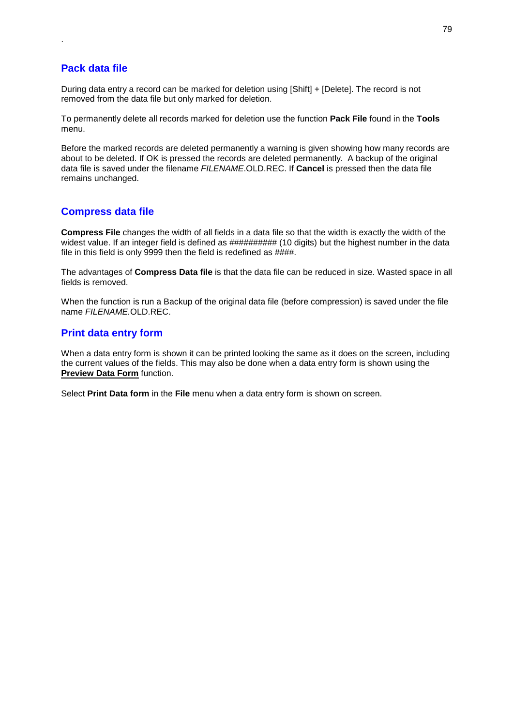### **Pack data file**

.

During data entry a record can be marked for deletion using [Shift] + [Delete]. The record is not removed from the data file but only marked for deletion.

To permanently delete all records marked for deletion use the function **Pack File** found in the **Tools** menu.

Before the marked records are deleted permanently a warning is given showing how many records are about to be deleted. If OK is pressed the records are deleted permanently. A backup of the original data file is saved under the filename *FILENAME*.OLD.REC. If **Cancel** is pressed then the data file remains unchanged.

### **Compress data file**

**Compress File** changes the width of all fields in a data file so that the width is exactly the width of the widest value. If an integer field is defined as  $\# \# \# \# \# \# \# \# \# \{10 \}$  digits) but the highest number in the data file in this field is only 9999 then the field is redefined as  $\# \# \#$ .

The advantages of **Compress Data file** is that the data file can be reduced in size. Wasted space in all fields is removed.

When the function is run a Backup of the original data file (before compression) is saved under the file name *FILENAME.*OLD.REC.

### **Print data entry form**

When a data entry form is shown it can be printed looking the same as it does on the screen, including the current values of the fields. This may also be done when a data entry form is shown using the **Preview Data Form** function.

Select **Print Data form** in the **File** menu when a data entry form is shown on screen.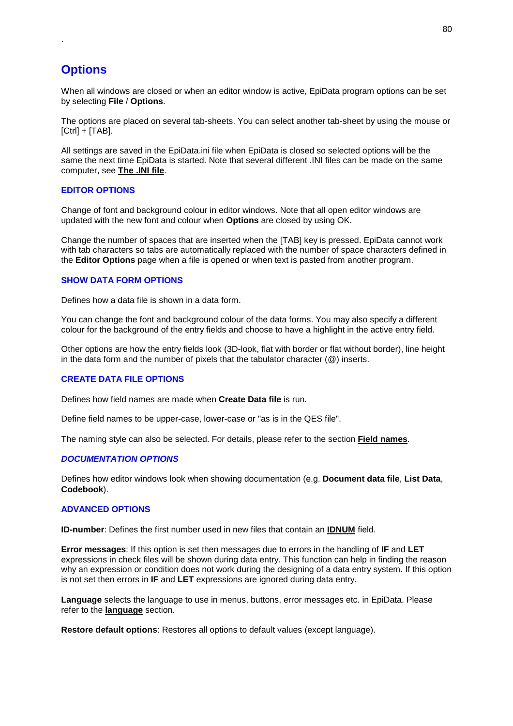# **Options**

.

When all windows are closed or when an editor window is active, EpiData program options can be set by selecting **File** / **Options**.

The options are placed on several tab-sheets. You can select another tab-sheet by using the mouse or  $[Ctrl] + [TAB]$ .

All settings are saved in the EpiData.ini file when EpiData is closed so selected options will be the same the next time EpiData is started. Note that several different .INI files can be made on the same computer, see **The .INI file**.

#### **EDITOR OPTIONS**

Change of font and background colour in editor windows. Note that all open editor windows are updated with the new font and colour when **Options** are closed by using OK.

Change the number of spaces that are inserted when the [TAB] key is pressed. EpiData cannot work with tab characters so tabs are automatically replaced with the number of space characters defined in the **Editor Options** page when a file is opened or when text is pasted from another program.

#### **SHOW DATA FORM OPTIONS**

Defines how a data file is shown in a data form.

You can change the font and background colour of the data forms. You may also specify a different colour for the background of the entry fields and choose to have a highlight in the active entry field.

Other options are how the entry fields look (3D-look, flat with border or flat without border), line height in the data form and the number of pixels that the tabulator character (@) inserts.

#### **CREATE DATA FILE OPTIONS**

Defines how field names are made when **Create Data file** is run.

Define field names to be upper-case, lower-case or "as is in the QES file".

The naming style can also be selected. For details, please refer to the section **Field names**.

#### *DOCUMENTATION OPTIONS*

Defines how editor windows look when showing documentation (e.g. **Document data file**, **List Data**, **Codebook**).

#### **ADVANCED OPTIONS**

**ID-number**: Defines the first number used in new files that contain an **IDNUM** field.

**Error messages**: If this option is set then messages due to errors in the handling of **IF** and **LET** expressions in check files will be shown during data entry. This function can help in finding the reason why an expression or condition does not work during the designing of a data entry system. If this option is not set then errors in **IF** and **LET** expressions are ignored during data entry.

**Language** selects the language to use in menus, buttons, error messages etc. in EpiData. Please refer to the **language** section.

**Restore default options**: Restores all options to default values (except language).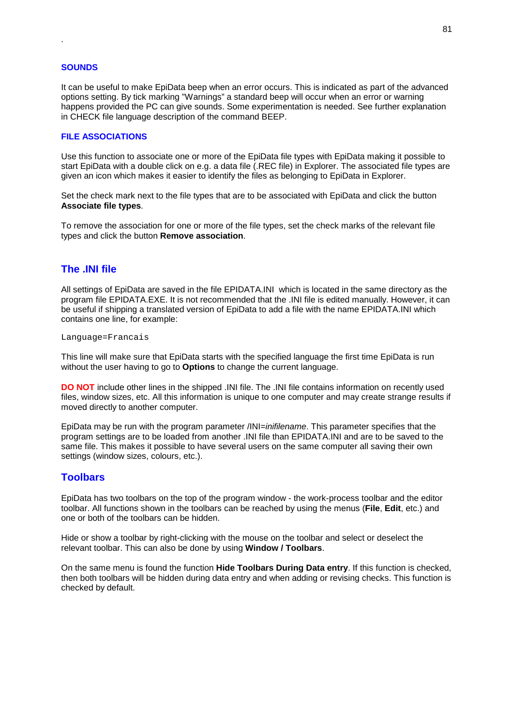#### **SOUNDS**

.

It can be useful to make EpiData beep when an error occurs. This is indicated as part of the advanced options setting. By tick marking "Warnings" a standard beep will occur when an error or warning happens provided the PC can give sounds. Some experimentation is needed. See further explanation in CHECK file language description of the command BEEP.

#### **FILE ASSOCIATIONS**

Use this function to associate one or more of the EpiData file types with EpiData making it possible to start EpiData with a double click on e.g. a data file (.REC file) in Explorer. The associated file types are given an icon which makes it easier to identify the files as belonging to EpiData in Explorer.

Set the check mark next to the file types that are to be associated with EpiData and click the button **Associate file types**.

To remove the association for one or more of the file types, set the check marks of the relevant file types and click the button **Remove association**.

### **The .INI file**

All settings of EpiData are saved in the file EPIDATA.INI which is located in the same directory as the program file EPIDATA.EXE. It is not recommended that the .INI file is edited manually. However, it can be useful if shipping a translated version of EpiData to add a file with the name EPIDATA.INI which contains one line, for example:

Language=Francais

This line will make sure that EpiData starts with the specified language the first time EpiData is run without the user having to go to **Options** to change the current language.

**DO NOT** include other lines in the shipped .INI file. The .INI file contains information on recently used files, window sizes, etc. All this information is unique to one computer and may create strange results if moved directly to another computer.

EpiData may be run with the program parameter /INI=*inifilename*. This parameter specifies that the program settings are to be loaded from another .INI file than EPIDATA.INI and are to be saved to the same file. This makes it possible to have several users on the same computer all saving their own settings (window sizes, colours, etc.).

#### **Toolbars**

EpiData has two toolbars on the top of the program window - the work-process toolbar and the editor toolbar. All functions shown in the toolbars can be reached by using the menus (**File**, **Edit**, etc.) and one or both of the toolbars can be hidden.

Hide or show a toolbar by right-clicking with the mouse on the toolbar and select or deselect the relevant toolbar. This can also be done by using **Window / Toolbars**.

On the same menu is found the function **Hide Toolbars During Data entry**. If this function is checked, then both toolbars will be hidden during data entry and when adding or revising checks. This function is checked by default.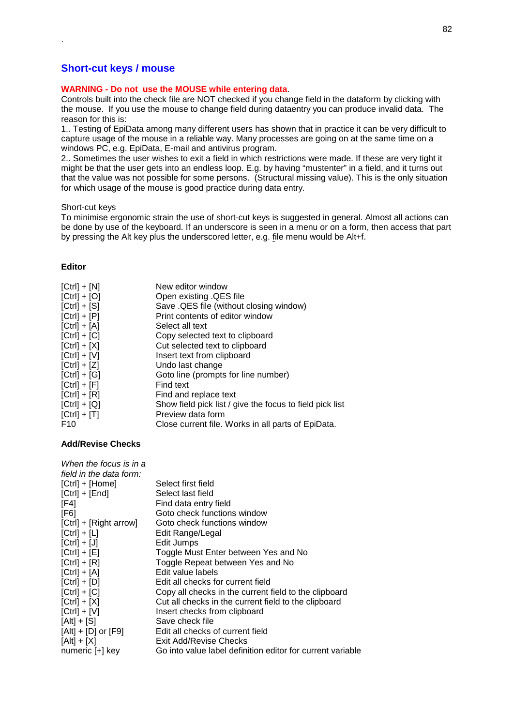### **Short-cut keys / mouse**

#### **WARNING - Do not use the MOUSE while entering data**.

Controls built into the check file are NOT checked if you change field in the dataform by clicking with the mouse. If you use the mouse to change field during dataentry you can produce invalid data. The reason for this is:

1.. Testing of EpiData among many different users has shown that in practice it can be very difficult to capture usage of the mouse in a reliable way. Many processes are going on at the same time on a windows PC, e.g. EpiData, E-mail and antivirus program.

2.. Sometimes the user wishes to exit a field in which restrictions were made. If these are very tight it might be that the user gets into an endless loop. E.g. by having "mustenter" in a field, and it turns out that the value was not possible for some persons. (Structural missing value). This is the only situation for which usage of the mouse is good practice during data entry.

#### Short-cut keys

To minimise ergonomic strain the use of short-cut keys is suggested in general. Almost all actions can be done by use of the keyboard. If an underscore is seen in a menu or on a form, then access that part by pressing the Alt key plus the underscored letter, e.g. file menu would be Alt+f.

#### **Editor**

.

| $[Ctrl] + [N]$ | New editor window                                        |
|----------------|----------------------------------------------------------|
| $[Ctrl] + [O]$ | Open existing .QES file                                  |
| $[Ctrl] + [S]$ | Save . QES file (without closing window)                 |
| $[Ctrl] + [P]$ | Print contents of editor window                          |
| $[Ctrl] + [A]$ | Select all text                                          |
| $[Ctrl] + [C]$ | Copy selected text to clipboard                          |
| $[Ctrl] + [X]$ | Cut selected text to clipboard                           |
| $[Ctrl] + [V]$ | Insert text from clipboard                               |
| $[Ctrl] + [Z]$ | Undo last change                                         |
| $[Ctrl] + [G]$ | Goto line (prompts for line number)                      |
| $[Ctrl] + [F]$ | Find text                                                |
| $[Ctrl] + [R]$ | Find and replace text                                    |
| $[Ctrl] + [Q]$ | Show field pick list / give the focus to field pick list |
| $[Ctrl] + [T]$ | Preview data form                                        |
| F10            | Close current file. Works in all parts of EpiData.       |

#### **Add/Revise Checks**

| When the focus is in a  |                                                            |
|-------------------------|------------------------------------------------------------|
| field in the data form: |                                                            |
| $[Ctrl] + [Home]$       | Select first field                                         |
| $[Ctrl] + [End]$        | Select last field                                          |
| [FA]                    | Find data entry field                                      |
| [F6]                    | Goto check functions window                                |
| [Ctrl] + [Right arrow]  | Goto check functions window                                |
| $[Ctrl] + [L]$          | Edit Range/Legal                                           |
| $[Ctrl] + [J]$          | Edit Jumps                                                 |
| $[Ctrl] + [E]$          | Toggle Must Enter between Yes and No                       |
| $[Ctrl] + [R]$          | Toggle Repeat between Yes and No                           |
| $[Ctrl] + [A]$          | Edit value labels                                          |
| $[Ctrl] + [D]$          | Edit all checks for current field                          |
| $[Ctrl] + [C]$          | Copy all checks in the current field to the clipboard      |
| $[Ctrl] + [X]$          | Cut all checks in the current field to the clipboard       |
| $[Ctrl] + [V]$          | Insert checks from clipboard                               |
| $[Alt] + [S]$           | Save check file                                            |
| $[Alt] + [D]$ or $[F9]$ | Edit all checks of current field                           |
| $[Alt] + [X]$           | Exit Add/Revise Checks                                     |
| numeric [+] key         | Go into value label definition editor for current variable |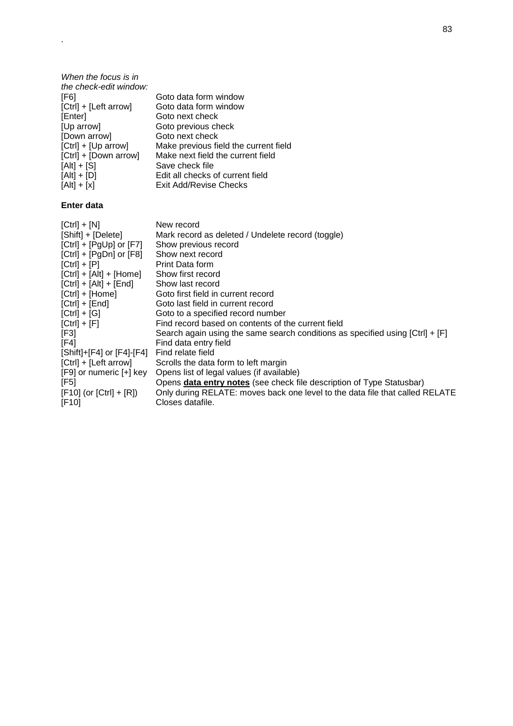| When the focus is in   |                                       |
|------------------------|---------------------------------------|
| the check-edit window: |                                       |
| [F6]                   | Goto data form window                 |
| [Ctrl] + [Left arrow]  | Goto data form window                 |
| [Enter]                | Goto next check                       |
| [Up arrow]             | Goto previous check                   |
| [Down arrow]           | Goto next check                       |
| $[Ctrl] + [Up arrow]$  | Make previous field the current field |
| [Ctrl] + [Down arrow]  | Make next field the current field     |
| $[Alt] + [S]$          | Save check file                       |
| $[Alt] + [D]$          | Edit all checks of current field      |
| $[Alt] + [x]$          | Exit Add/Revise Checks                |
|                        |                                       |

### **Enter data**

.

| $[Ctrl] + [N]$<br>[Shift] + [Delete] | New record<br>Mark record as deleted / Undelete record (toggle)                 |
|--------------------------------------|---------------------------------------------------------------------------------|
| $[Ctrl] + [PgUp]$ or $[F7]$          | Show previous record                                                            |
| $[Ctrl] + [PgDn]$ or $[F8]$          | Show next record                                                                |
| $[Ctrl] + [P]$                       | Print Data form                                                                 |
| $[Ctrl] + [Alt] + [Home]$            | Show first record                                                               |
| $[Ctrl] + [Alt] + [End]$             | Show last record                                                                |
| [Ctrl] + [Home]                      | Goto first field in current record                                              |
| $[Ctrl] + [End]$                     | Goto last field in current record                                               |
| $[Ctrl] + [G]$                       | Goto to a specified record number                                               |
| $[Ctrl] + [F]$                       | Find record based on contents of the current field                              |
| [F3]                                 | Search again using the same search conditions as specified using $[Ctr1] + [F]$ |
| [F4]                                 | Find data entry field                                                           |
| [Shift]+[F4] or [F4]-[F4]            | Find relate field                                                               |
| [Ctrl] + [Left arrow]                | Scrolls the data form to left margin                                            |
| [F9] or numeric [+] key              | Opens list of legal values (if available)                                       |
| [F5]                                 | Opens data entry notes (see check file description of Type Statusbar)           |
| $[F10]$ (or $[Ctrl] + [R]$ )         | Only during RELATE: moves back one level to the data file that called RELATE    |
| [F10]                                | Closes datafile.                                                                |
|                                      |                                                                                 |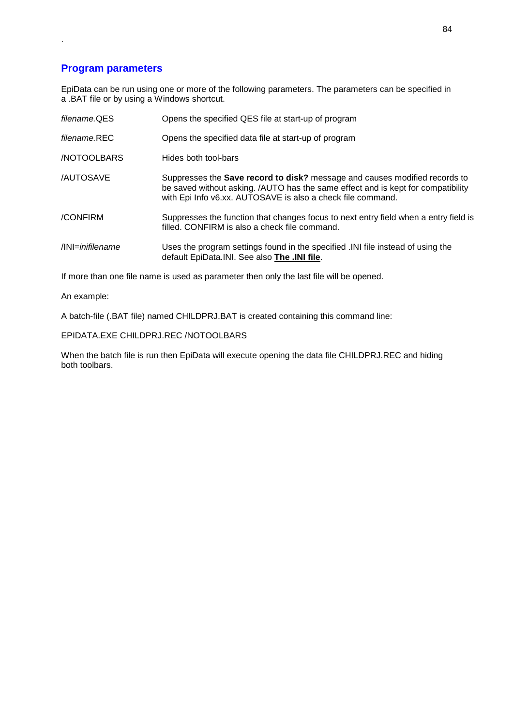### **Program parameters**

.

EpiData can be run using one or more of the following parameters. The parameters can be specified in a .BAT file or by using a Windows shortcut.

| filename.QES               | Opens the specified QES file at start-up of program                                                                                                                                                                                  |
|----------------------------|--------------------------------------------------------------------------------------------------------------------------------------------------------------------------------------------------------------------------------------|
| filename REC               | Opens the specified data file at start-up of program                                                                                                                                                                                 |
| <b>NOTOOLBARS</b>          | Hides both tool-bars                                                                                                                                                                                                                 |
| <b>/AUTOSAVE</b>           | Suppresses the <b>Save record to disk?</b> message and causes modified records to<br>be saved without asking. /AUTO has the same effect and is kept for compatibility<br>with Epi Info v6.xx. AUTOSAVE is also a check file command. |
| /CONFIRM                   | Suppresses the function that changes focus to next entry field when a entry field is<br>filled. CONFIRM is also a check file command.                                                                                                |
| $\sqrt{N}$ lNI=inifilename | Uses the program settings found in the specified . NI file instead of using the<br>default EpiData. INI. See also The . INI file.                                                                                                    |

If more than one file name is used as parameter then only the last file will be opened.

An example:

A batch-file (.BAT file) named CHILDPRJ.BAT is created containing this command line:

EPIDATA.EXE CHILDPRJ.REC /NOTOOLBARS

When the batch file is run then EpiData will execute opening the data file CHILDPRJ.REC and hiding both toolbars.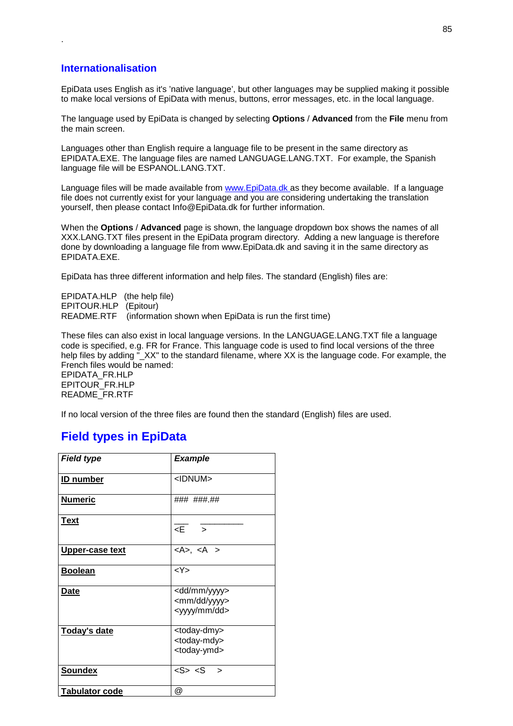### **Internationalisation**

.

EpiData uses English as it's 'native language', but other languages may be supplied making it possible to make local versions of EpiData with menus, buttons, error messages, etc. in the local language.

The language used by EpiData is changed by selecting **Options** / **Advanced** from the **File** menu from the main screen.

Languages other than English require a language file to be present in the same directory as EPIDATA.EXE. The language files are named LANGUAGE.LANG.TXT. For example, the Spanish language file will be ESPANOL.LANG.TXT.

Language files will be made available from www.EpiData.dk as they become available. If a language file does not currently exist for your language and you are considering undertaking the translation yourself, then please contact Info@EpiData.dk for further information.

When the **Options** / **Advanced** page is shown, the language dropdown box shows the names of all XXX.LANG.TXT files present in the EpiData program directory. Adding a new language is therefore done by downloading a language file from www.EpiData.dk and saving it in the same directory as EPIDATA.EXE.

EpiData has three different information and help files. The standard (English) files are:

EPIDATA.HLP (the help file) EPITOUR.HLP (Epitour)<br>README.RTF (informat  $\hat{r}$  (information shown when EpiData is run the first time)

These files can also exist in local language versions. In the LANGUAGE.LANG.TXT file a language code is specified, e.g. FR for France. This language code is used to find local versions of the three help files by adding "<sub>XX"</sub> to the standard filename, where XX is the language code. For example, the French files would be named:

EPIDATA\_FR.HLP EPITOUR\_FR.HLP README\_FR.RTF

If no local version of the three files are found then the standard (English) files are used.

### **Field types in EpiData**

| <b>Field type</b>     | <b>Example</b>                                                                    |
|-----------------------|-----------------------------------------------------------------------------------|
| <b>ID</b> number      | <idnum></idnum>                                                                   |
| <b>Numeric</b>        | ### ### ##                                                                        |
| <b>Text</b>           | $\epsilon$ = $\epsilon$                                                           |
| Upper-case text       | $<$ A>, $<$ A >                                                                   |
| <b>Boolean</b>        | < Y >                                                                             |
| Date                  | <dd mm="" yyyy=""><br/><mm dd="" yyyy=""><br/><yyyy dd="" mm=""></yyyy></mm></dd> |
| Today's date          | <today-dmy><br/><today-mdy><br/><today-ymd></today-ymd></today-mdy></today-dmy>   |
| <b>Soundex</b>        | $<$ S> $<$ S >                                                                    |
| <b>Tabulator code</b> | @                                                                                 |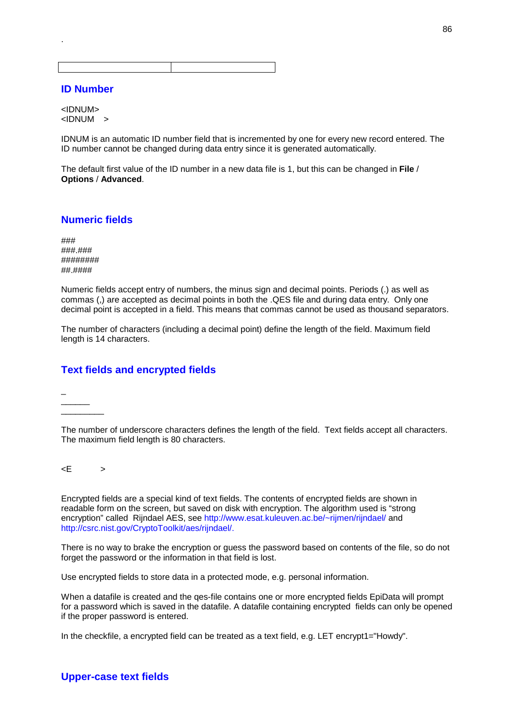### **ID Number**

.

<IDNUM> <IDNUM >

IDNUM is an automatic ID number field that is incremented by one for every new record entered. The ID number cannot be changed during data entry since it is generated automatically.

The default first value of the ID number in a new data file is 1, but this can be changed in **File** / **Options** / **Advanced**.

### **Numeric fields**

### ###.### ######## ##.####

Numeric fields accept entry of numbers, the minus sign and decimal points. Periods (.) as well as commas (,) are accepted as decimal points in both the .QES file and during data entry. Only one decimal point is accepted in a field. This means that commas cannot be used as thousand separators.

The number of characters (including a decimal point) define the length of the field. Maximum field length is 14 characters.

### **Text fields and encrypted fields**

 $\overline{a}$  $\overline{\phantom{a}}$  $\overline{\phantom{a}}$ 

The number of underscore characters defines the length of the field. Text fields accept all characters. The maximum field length is 80 characters.

 $\lt E$  >

Encrypted fields are a special kind of text fields. The contents of encrypted fields are shown in readable form on the screen, but saved on disk with encryption. The algorithm used is "strong encryption" called Rijndael AES, see http://www.esat.kuleuven.ac.be/~rijmen/rijndael/ and http://csrc.nist.gov/CryptoToolkit/aes/rijndael/.

There is no way to brake the encryption or guess the password based on contents of the file, so do not forget the password or the information in that field is lost.

Use encrypted fields to store data in a protected mode, e.g. personal information.

When a datafile is created and the qes-file contains one or more encrypted fields EpiData will prompt for a password which is saved in the datafile. A datafile containing encrypted fields can only be opened if the proper password is entered.

In the checkfile, a encrypted field can be treated as a text field, e.g. LET encrypt1="Howdy".

### **Upper-case text fields**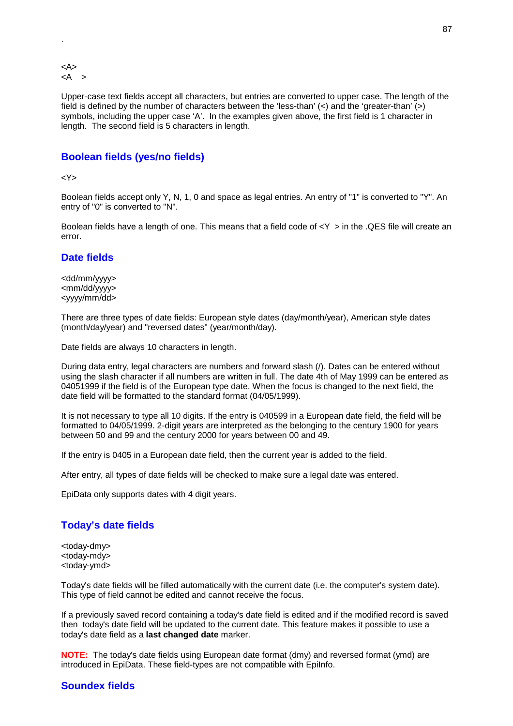<A>  $<$ A >

.

Upper-case text fields accept all characters, but entries are converted to upper case. The length of the field is defined by the number of characters between the 'less-than'  $\langle \langle \rangle$  and the 'greater-than'  $\langle \rangle$ ) symbols, including the upper case 'A'. In the examples given above, the first field is 1 character in length. The second field is 5 characters in length.

### **Boolean fields (yes/no fields)**

#### <Y>

Boolean fields accept only Y, N, 1, 0 and space as legal entries. An entry of "1" is converted to "Y". An entry of "0" is converted to "N".

Boolean fields have a length of one. This means that a field code of  $\langle Y \rangle$  in the .QES file will create an error.

### **Date fields**

<dd/mm/yyyy> <mm/dd/yyyy> <yyyy/mm/dd>

There are three types of date fields: European style dates (day/month/year), American style dates (month/day/year) and "reversed dates" (year/month/day).

Date fields are always 10 characters in length.

During data entry, legal characters are numbers and forward slash (/). Dates can be entered without using the slash character if all numbers are written in full. The date 4th of May 1999 can be entered as 04051999 if the field is of the European type date. When the focus is changed to the next field, the date field will be formatted to the standard format (04/05/1999).

It is not necessary to type all 10 digits. If the entry is 040599 in a European date field, the field will be formatted to 04/05/1999. 2-digit years are interpreted as the belonging to the century 1900 for years between 50 and 99 and the century 2000 for years between 00 and 49.

If the entry is 0405 in a European date field, then the current year is added to the field.

After entry, all types of date fields will be checked to make sure a legal date was entered.

EpiData only supports dates with 4 digit years.

#### **Today's date fields**

<today-dmy> <today-mdy> <today-ymd>

Today's date fields will be filled automatically with the current date (i.e. the computer's system date). This type of field cannot be edited and cannot receive the focus.

If a previously saved record containing a today's date field is edited and if the modified record is saved then today's date field will be updated to the current date. This feature makes it possible to use a today's date field as a **last changed date** marker.

**NOTE:** The today's date fields using European date format (dmy) and reversed format (ymd) are introduced in EpiData. These field-types are not compatible with EpiInfo.

### **Soundex fields**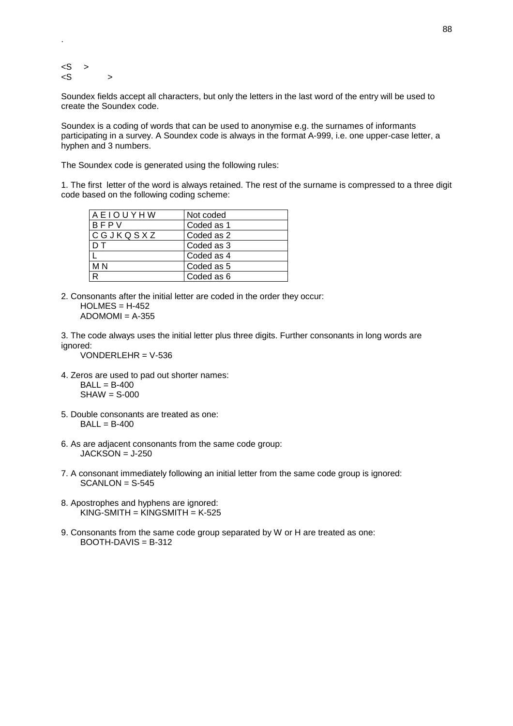$<$ S >  $\langle S \rangle$  >

.

Soundex fields accept all characters, but only the letters in the last word of the entry will be used to create the Soundex code.

Soundex is a coding of words that can be used to anonymise e.g. the surnames of informants participating in a survey. A Soundex code is always in the format A-999, i.e. one upper-case letter, a hyphen and 3 numbers.

The Soundex code is generated using the following rules:

1. The first letter of the word is always retained. The rest of the surname is compressed to a three digit code based on the following coding scheme:

| AEIOUYHW | Not coded  |
|----------|------------|
| BFPV     | Coded as 1 |
| CGJKQSXZ | Coded as 2 |
| D T      | Coded as 3 |
|          | Coded as 4 |
| M N      | Coded as 5 |
| R        | Coded as 6 |

2. Consonants after the initial letter are coded in the order they occur:  $HOLMES = H-452$  $ADOMOMI = A-355$ 

3. The code always uses the initial letter plus three digits. Further consonants in long words are ignored:

VONDERLEHR = V-536

- 4. Zeros are used to pad out shorter names:  $BALL = B-400$  $SHAW = S-000$
- 5. Double consonants are treated as one:  $BALL = B-400$
- 6. As are adjacent consonants from the same code group:  $JACKSON = J-250$
- 7. A consonant immediately following an initial letter from the same code group is ignored:  $SCANLON = S-545$
- 8. Apostrophes and hyphens are ignored:  $KING-SMITH = KINGSMITH = K-525$
- 9. Consonants from the same code group separated by W or H are treated as one: BOOTH-DAVIS = B-312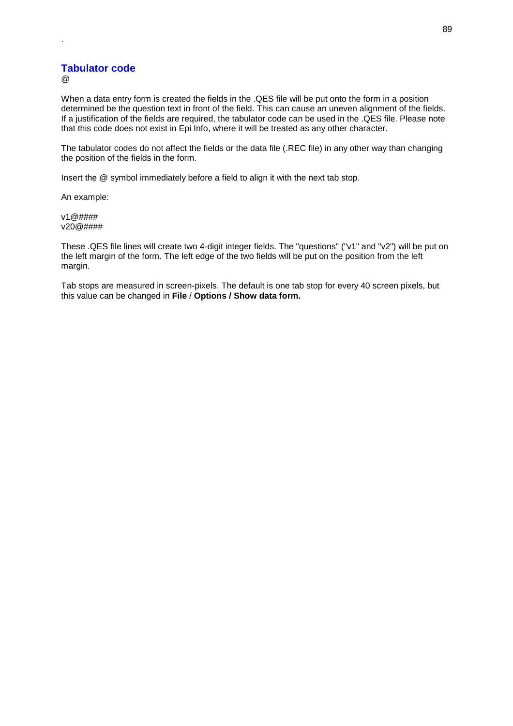### **Tabulator code**

@

.

When a data entry form is created the fields in the .QES file will be put onto the form in a position determined be the question text in front of the field. This can cause an uneven alignment of the fields. If a justification of the fields are required, the tabulator code can be used in the .QES file. Please note that this code does not exist in Epi Info, where it will be treated as any other character.

The tabulator codes do not affect the fields or the data file (.REC file) in any other way than changing the position of the fields in the form.

Insert the @ symbol immediately before a field to align it with the next tab stop.

An example:

v1@#### v20@####

These .QES file lines will create two 4-digit integer fields. The "questions" ("v1" and "v2") will be put on the left margin of the form. The left edge of the two fields will be put on the position from the left margin.

Tab stops are measured in screen-pixels. The default is one tab stop for every 40 screen pixels, but this value can be changed in **File** / **Options / Show data form.**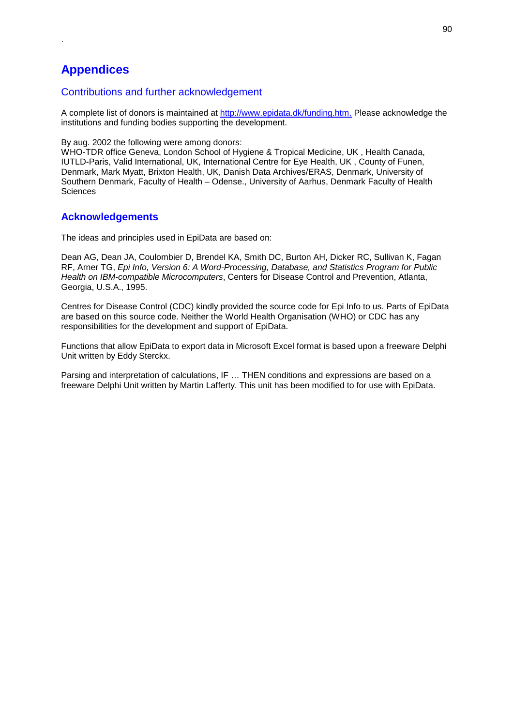# **Appendices**

.

### Contributions and further acknowledgement

A complete list of donors is maintained at http://www.epidata.dk/funding.htm. Please acknowledge the institutions and funding bodies supporting the development.

By aug. 2002 the following were among donors:

WHO-TDR office Geneva, London School of Hygiene & Tropical Medicine, UK , Health Canada, IUTLD-Paris, Valid International, UK, International Centre for Eye Health, UK , County of Funen, Denmark, Mark Myatt, Brixton Health, UK, Danish Data Archives/ERAS, Denmark, University of Southern Denmark, Faculty of Health – Odense., University of Aarhus, Denmark Faculty of Health **Sciences** 

### **Acknowledgements**

The ideas and principles used in EpiData are based on:

Dean AG, Dean JA, Coulombier D, Brendel KA, Smith DC, Burton AH, Dicker RC, Sullivan K, Fagan RF, Arner TG, *Epi Info, Version 6: A Word-Processing, Database, and Statistics Program for Public Health on IBM-compatible Microcomputers*, Centers for Disease Control and Prevention, Atlanta, Georgia, U.S.A., 1995.

Centres for Disease Control (CDC) kindly provided the source code for Epi Info to us. Parts of EpiData are based on this source code. Neither the World Health Organisation (WHO) or CDC has any responsibilities for the development and support of EpiData.

Functions that allow EpiData to export data in Microsoft Excel format is based upon a freeware Delphi Unit written by Eddy Sterckx.

Parsing and interpretation of calculations, IF … THEN conditions and expressions are based on a freeware Delphi Unit written by Martin Lafferty. This unit has been modified to for use with EpiData.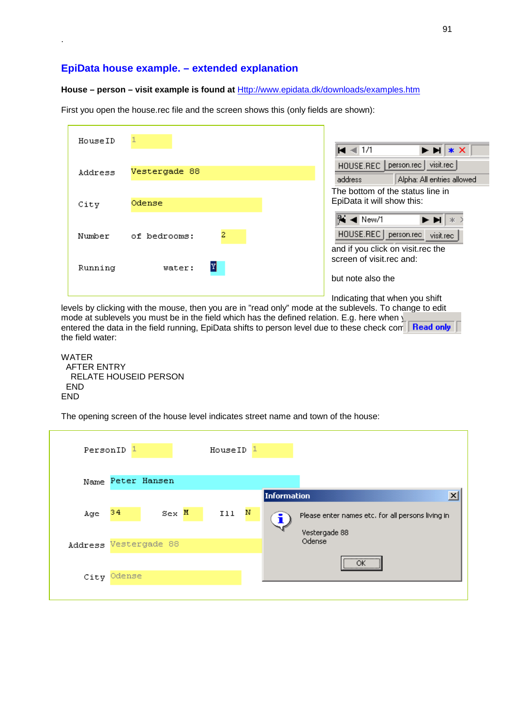### **EpiData house example. – extended explanation**

.

### **House – person – visit example is found at** Http://www.epidata.dk/downloads/examples.htm

First you open the house.rec file and the screen shows this (only fields are shown):

| HouseID |                   | $\blacksquare$ -4 1/1<br>$\blacktriangleright$ $\blacktriangleright$ $\blacktriangleright$ $\blacktriangleright$ $\blacktriangleright$ $\blacktriangleright$ |
|---------|-------------------|--------------------------------------------------------------------------------------------------------------------------------------------------------------|
| Address | Vestergade 88     | visit.rec<br>person.rec<br>HOUSE.REC<br>Alpha: All entries allowed<br>address<br>The bottom of the status line in                                            |
| City    | Odense            | EpiData it will show this:<br>Ni ◀ New/1                                                                                                                     |
| Number  | 2<br>of bedrooms: | HOUSE.REC<br>person.rec<br>visit.rec<br>and if you click on visit.rec the<br>screen of visit.rec and:                                                        |
| Running | Y<br>water:       | but note also the                                                                                                                                            |
|         |                   | Indicating that when you shift                                                                                                                               |

levels by clicking with the mouse, then you are in "read only" mode at the sublevels. To change to edit mode at sublevels you must be in the field which has the defined relation. E.g. here when  $\sqrt{ }$ entered the data in the field running, EpiData shifts to person level due to these check completed only the field water:

WATER AFTER ENTRY RELATE HOUSEID PERSON END END

The opening screen of the house level indicates street name and town of the house:

|                       | PersonID <sup>1</sup> |         | HouseID |   |                    |                                                   |
|-----------------------|-----------------------|---------|---------|---|--------------------|---------------------------------------------------|
|                       | Name Peter Hansen     |         |         |   |                    |                                                   |
|                       |                       |         |         |   | <b>Information</b> | $\overline{\mathbf{x}}$                           |
| Age                   | 34                    | $Sex$ M | Ill     | N |                    | Please enter names etc. for all persons living in |
|                       |                       |         |         |   |                    | Vestergade 88                                     |
| Address Vestergade 88 |                       |         |         |   |                    | Odense                                            |
|                       |                       |         |         |   |                    | <br>ОК<br><u> \</u>                               |
|                       | City Odense           |         |         |   |                    |                                                   |
|                       |                       |         |         |   |                    |                                                   |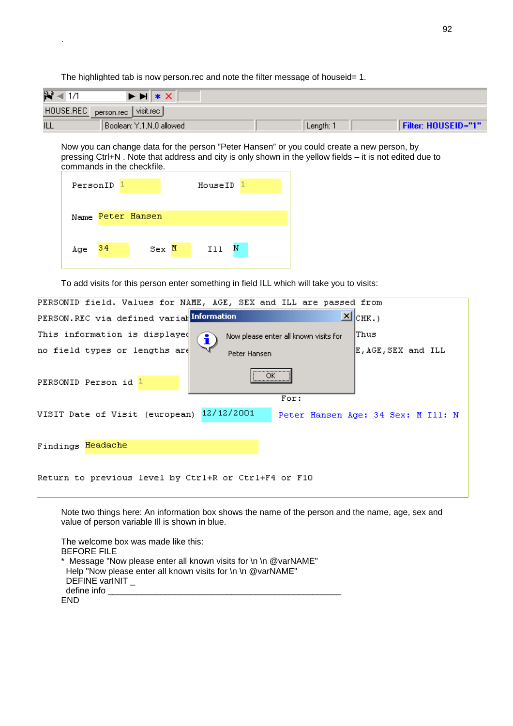$R = 1/1$  $*$   $\times$ E EL HOUSE.REC person.rec visit.rec **ILL** Filter: HOUSEID="1" Boolean: Y,1,N,0 allowed Length: 1

Now you can change data for the person "Peter Hansen" or you could create a new person, by pressing Ctrl+N . Note that address and city is only shown in the yellow fields – it is not edited due to commands in the checkfile.

|            | PersonID <sub>1</sub> |                   | HouseID <sup>1</sup> |   |  |
|------------|-----------------------|-------------------|----------------------|---|--|
|            |                       | Name Peter Hansen |                      |   |  |
| $Age = 34$ |                       | Sex M             | I11                  | Ν |  |

.

To add visits for this person enter something in field ILL which will take you to visits:

The highlighted tab is now person.rec and note the filter message of houseid= 1.

| PERSONID field. Values for NAME, AGE, SEX and ILL are passed from               |                                    |
|---------------------------------------------------------------------------------|------------------------------------|
| PERSON.REC via defined varialInformation                                        | $\mathbb{Z}$ $ _{\text{CHK.}}$     |
| This information is displayed<br>Now please enter all known visits for<br>. i ) | lThus                              |
| no field types or lengths are<br>Peter Hansen                                   | E, AGE, SEX and ILL                |
| <br>ОК<br>PERSONID Person id 1<br>                                              |                                    |
| For:                                                                            |                                    |
| 12/12/2001<br>VISIT Date of Visit (european)                                    | Peter Hansen Age: 34 Sex: M Ill: N |
|                                                                                 |                                    |
| Findings Headache                                                               |                                    |
|                                                                                 |                                    |
| Return to previous level by Ctrl+R or Ctrl+F4 or F10                            |                                    |
|                                                                                 |                                    |

Note two things here: An information box shows the name of the person and the name, age, sex and value of person variable Ill is shown in blue.

The welcome box was made like this: BEFORE FILE \* Message "Now please enter all known visits for \n \n @varNAME" Help "Now please enter all known visits for \n \n @varNAME" DEFINE varINIT define info \_\_\_\_\_\_\_\_\_\_\_\_\_\_\_\_\_\_\_\_\_\_\_\_\_\_\_\_\_\_\_\_\_\_\_\_\_\_\_\_\_\_\_\_\_\_\_\_\_ END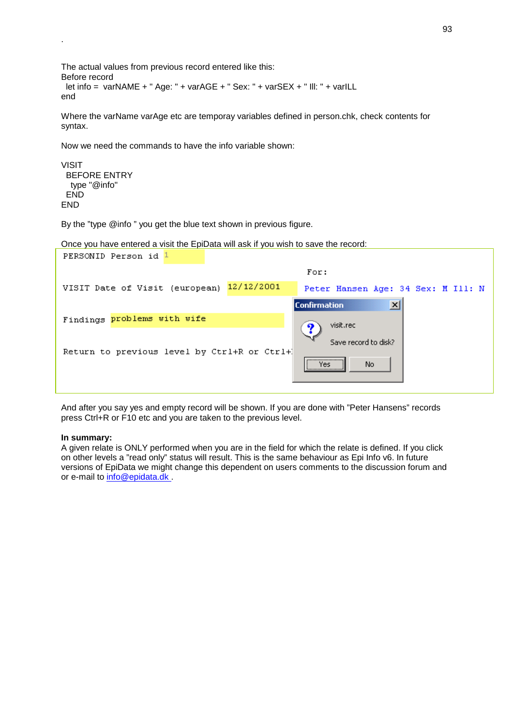```
The actual values from previous record entered like this: 
Before record 
  let info = varNAME + " Age: " + varAGE + " Sex: " + varSEX + " Ill: " + varILL 
end
```
Where the varName varAge etc are temporay variables defined in person.chk, check contents for syntax.

Now we need the commands to have the info variable shown:

```
VISIT 
 BEFORE ENTRY 
  type "@info" 
  END 
FND
```
.

By the "type @info " you get the blue text shown in previous figure.

Once you have entered a visit the EpiData will ask if you wish to save the record:

| PERSONID Person id 1                         |                                              |
|----------------------------------------------|----------------------------------------------|
|                                              | For:                                         |
| 12/12/2001<br>VISIT Date of Visit (european) | Peter Hansen Age: 34 Sex: M Ill: N           |
|                                              | $\vert x \vert$<br><b>Confirmation</b>       |
| Findings problems with wife                  | visit.rec                                    |
| Return to previous level by Ctrl+R or Ctrl+1 | Save record to disk?<br><br>Yes:<br>No.<br>\ |

And after you say yes and empty record will be shown. If you are done with "Peter Hansens" records press Ctrl+R or F10 etc and you are taken to the previous level.

#### **In summary:**

A given relate is ONLY performed when you are in the field for which the relate is defined. If you click on other levels a "read only" status will result. This is the same behaviour as Epi Info v6. In future versions of EpiData we might change this dependent on users comments to the discussion forum and or e-mail to info@epidata.dk .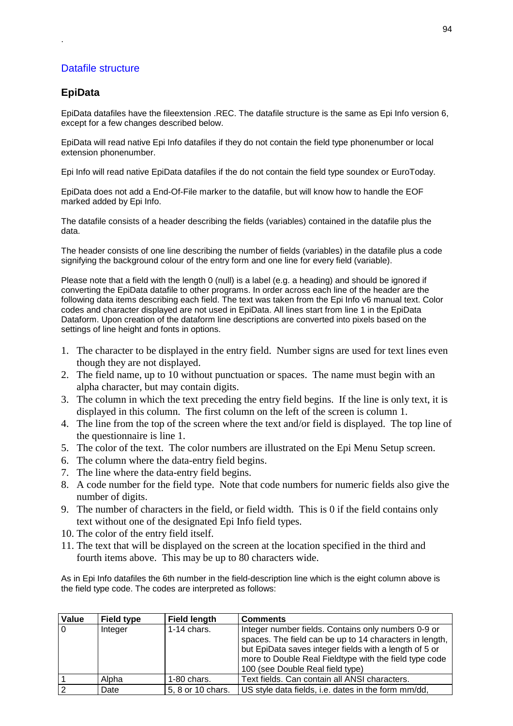### Datafile structure

### **EpiData**

.

EpiData datafiles have the fileextension .REC. The datafile structure is the same as Epi Info version 6, except for a few changes described below.

EpiData will read native Epi Info datafiles if they do not contain the field type phonenumber or local extension phonenumber.

Epi Info will read native EpiData datafiles if the do not contain the field type soundex or EuroToday.

EpiData does not add a End-Of-File marker to the datafile, but will know how to handle the EOF marked added by Epi Info.

The datafile consists of a header describing the fields (variables) contained in the datafile plus the data.

The header consists of one line describing the number of fields (variables) in the datafile plus a code signifying the background colour of the entry form and one line for every field (variable).

Please note that a field with the length 0 (null) is a label (e.g. a heading) and should be ignored if converting the EpiData datafile to other programs. In order across each line of the header are the following data items describing each field. The text was taken from the Epi Info v6 manual text. Color codes and character displayed are not used in EpiData. All lines start from line 1 in the EpiData Dataform. Upon creation of the dataform line descriptions are converted into pixels based on the settings of line height and fonts in options.

- 1. The character to be displayed in the entry field. Number signs are used for text lines even though they are not displayed.
- 2. The field name, up to 10 without punctuation or spaces. The name must begin with an alpha character, but may contain digits.
- 3. The column in which the text preceding the entry field begins. If the line is only text, it is displayed in this column. The first column on the left of the screen is column 1.
- 4. The line from the top of the screen where the text and/or field is displayed. The top line of the questionnaire is line 1.
- 5. The color of the text. The color numbers are illustrated on the Epi Menu Setup screen.
- 6. The column where the data-entry field begins.
- 7. The line where the data-entry field begins.
- 8. A code number for the field type. Note that code numbers for numeric fields also give the number of digits.
- 9. The number of characters in the field, or field width. This is 0 if the field contains only text without one of the designated Epi Info field types.
- 10. The color of the entry field itself.
- 11. The text that will be displayed on the screen at the location specified in the third and fourth items above. This may be up to 80 characters wide.

As in Epi Info datafiles the 6th number in the field-description line which is the eight column above is the field type code. The codes are interpreted as follows:

| Value          | <b>Field type</b> | <b>Field length</b> | <b>Comments</b>                                                                                                                                                                                                                                                        |
|----------------|-------------------|---------------------|------------------------------------------------------------------------------------------------------------------------------------------------------------------------------------------------------------------------------------------------------------------------|
| $\Omega$       | Integer           | $1-14$ chars.       | Integer number fields. Contains only numbers 0-9 or<br>spaces. The field can be up to 14 characters in length,<br>but EpiData saves integer fields with a length of 5 or<br>more to Double Real Fieldtype with the field type code<br>100 (see Double Real field type) |
|                | Alpha             | $1-80$ chars.       | Text fields. Can contain all ANSI characters.                                                                                                                                                                                                                          |
| $\overline{2}$ | Date              | 5, 8 or 10 chars.   | US style data fields, i.e. dates in the form mm/dd,                                                                                                                                                                                                                    |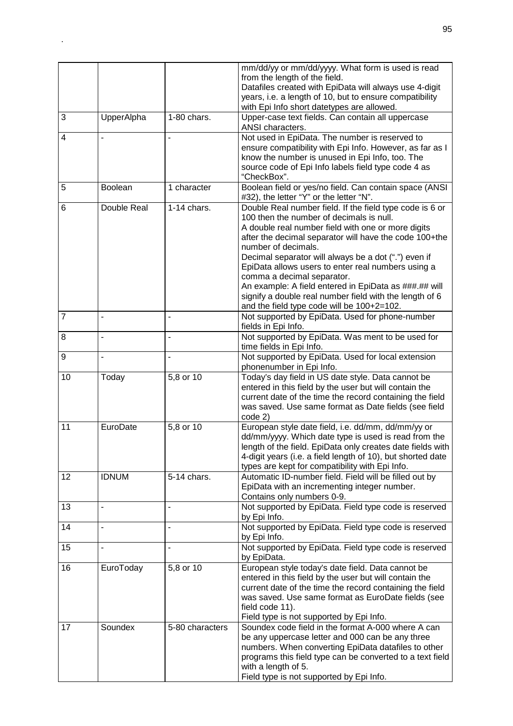|                |                |                 | mm/dd/yy or mm/dd/yyyy. What form is used is read<br>from the length of the field.<br>Datafiles created with EpiData will always use 4-digit<br>years, i.e. a length of 10, but to ensure compatibility<br>with Epi Info short datetypes are allowed.                                                                                                                                                                                                                                                                                                     |
|----------------|----------------|-----------------|-----------------------------------------------------------------------------------------------------------------------------------------------------------------------------------------------------------------------------------------------------------------------------------------------------------------------------------------------------------------------------------------------------------------------------------------------------------------------------------------------------------------------------------------------------------|
| 3              | UpperAlpha     | 1-80 chars.     | Upper-case text fields. Can contain all uppercase<br>ANSI characters.                                                                                                                                                                                                                                                                                                                                                                                                                                                                                     |
| 4              |                |                 | Not used in EpiData. The number is reserved to<br>ensure compatibility with Epi Info. However, as far as I<br>know the number is unused in Epi Info, too. The<br>source code of Epi Info labels field type code 4 as<br>"CheckBox".                                                                                                                                                                                                                                                                                                                       |
| 5              | Boolean        | 1 character     | Boolean field or yes/no field. Can contain space (ANSI<br>#32), the letter "Y" or the letter "N".                                                                                                                                                                                                                                                                                                                                                                                                                                                         |
| 6              | Double Real    | $1-14$ chars.   | Double Real number field. If the field type code is 6 or<br>100 then the number of decimals is null.<br>A double real number field with one or more digits<br>after the decimal separator will have the code 100+the<br>number of decimals.<br>Decimal separator will always be a dot (".") even if<br>EpiData allows users to enter real numbers using a<br>comma a decimal separator.<br>An example: A field entered in EpiData as ###.## will<br>signify a double real number field with the length of 6<br>and the field type code will be 100+2=102. |
| $\overline{7}$ | L,             | $\overline{a}$  | Not supported by EpiData. Used for phone-number<br>fields in Epi Info.                                                                                                                                                                                                                                                                                                                                                                                                                                                                                    |
| 8              | ä,             | ۰               | Not supported by EpiData. Was ment to be used for<br>time fields in Epi Info.                                                                                                                                                                                                                                                                                                                                                                                                                                                                             |
| 9              | $\overline{a}$ |                 | Not supported by EpiData. Used for local extension<br>phonenumber in Epi Info.                                                                                                                                                                                                                                                                                                                                                                                                                                                                            |
| 10             | Today          | 5,8 or 10       | Today's day field in US date style. Data cannot be<br>entered in this field by the user but will contain the<br>current date of the time the record containing the field<br>was saved. Use same format as Date fields (see field<br>code 2)                                                                                                                                                                                                                                                                                                               |
| 11             | EuroDate       | 5,8 or 10       | European style date field, i.e. dd/mm, dd/mm/yy or<br>dd/mm/yyyy. Which date type is used is read from the<br>length of the field. EpiData only creates date fields with<br>4-digit years (i.e. a field length of 10), but shorted date<br>types are kept for compatibility with Epi Info.                                                                                                                                                                                                                                                                |
| 12             | <b>IDNUM</b>   | 5-14 chars.     | Automatic ID-number field. Field will be filled out by<br>EpiData with an incrementing integer number.<br>Contains only numbers 0-9.                                                                                                                                                                                                                                                                                                                                                                                                                      |
| 13             | $\overline{a}$ | $\blacksquare$  | Not supported by EpiData. Field type code is reserved<br>by Epi Info.                                                                                                                                                                                                                                                                                                                                                                                                                                                                                     |
| 14             | ÷,             | ÷,              | Not supported by EpiData. Field type code is reserved<br>by Epi Info.                                                                                                                                                                                                                                                                                                                                                                                                                                                                                     |
| 15             | L,             | ÷,              | Not supported by EpiData. Field type code is reserved<br>by EpiData.                                                                                                                                                                                                                                                                                                                                                                                                                                                                                      |
| 16             | EuroToday      | 5,8 or 10       | European style today's date field. Data cannot be<br>entered in this field by the user but will contain the<br>current date of the time the record containing the field<br>was saved. Use same format as EuroDate fields (see<br>field code 11).<br>Field type is not supported by Epi Info.                                                                                                                                                                                                                                                              |
| 17             | Soundex        | 5-80 characters | Soundex code field in the format A-000 where A can<br>be any uppercase letter and 000 can be any three<br>numbers. When converting EpiData datafiles to other<br>programs this field type can be converted to a text field<br>with a length of 5.<br>Field type is not supported by Epi Info.                                                                                                                                                                                                                                                             |

.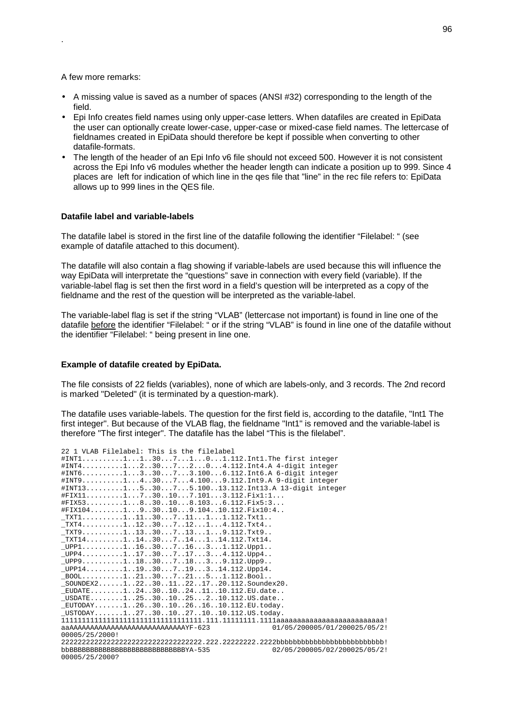#### A few more remarks:

.

- A missing value is saved as a number of spaces (ANSI #32) corresponding to the length of the field.
- Epi Info creates field names using only upper-case letters. When datafiles are created in EpiData the user can optionally create lower-case, upper-case or mixed-case field names. The lettercase of fieldnames created in EpiData should therefore be kept if possible when converting to other datafile-formats.
- The length of the header of an Epi Info v6 file should not exceed 500. However it is not consistent across the Epi Info v6 modules whether the header length can indicate a position up to 999. Since 4 places are left for indication of which line in the qes file that "line" in the rec file refers to: EpiData allows up to 999 lines in the QES file.

#### **Datafile label and variable-labels**

The datafile label is stored in the first line of the datafile following the identifier "Filelabel: " (see example of datafile attached to this document).

The datafile will also contain a flag showing if variable-labels are used because this will influence the way EpiData will interpretate the "questions" save in connection with every field (variable). If the variable-label flag is set then the first word in a field's question will be interpreted as a copy of the fieldname and the rest of the question will be interpreted as the variable-label.

The variable-label flag is set if the string "VLAB" (lettercase not important) is found in line one of the datafile before the identifier "Filelabel: " or if the string "VLAB" is found in line one of the datafile without the identifier "Filelabel: " being present in line one.

#### **Example of datafile created by EpiData.**

The file consists of 22 fields (variables), none of which are labels-only, and 3 records. The 2nd record is marked "Deleted" (it is terminated by a question-mark).

The datafile uses variable-labels. The question for the first field is, according to the datafile, "Int1 The first integer". But because of the VLAB flag, the fieldname "Int1" is removed and the variable-label is therefore "The first integer". The datafile has the label "This is the filelabel".

| 22 1 VLAB Filelabel: This is the filelabel                                                                                        |
|-----------------------------------------------------------------------------------------------------------------------------------|
| #INT111307101.112.Int1.The first integer                                                                                          |
| #INT412307204.112.Int4.A 4-digit integer                                                                                          |
| #INT6133073.1006.112.Int6.A 6-digit integer                                                                                       |
| #INT9143074.1009.112.Int9.A 9-digit integer                                                                                       |
| #INT13153075.10013.112.Int13.A 13-digit integer                                                                                   |
| $#$ FIX111730107.1013.112.Fix1:1                                                                                                  |
| $#$ FIX531830108.1036.112.Fix5:3                                                                                                  |
| $\texttt{\#FIX104}$ 1930109.10410.112.Fix10:4                                                                                     |
| $_TXT111113071111112.Txt1$                                                                                                        |
| $_TXT4$ 1123071214.112. $Txt4$                                                                                                    |
| $_TXT9$ 1133071319.112.Txt9                                                                                                       |
| $TXT141111430714114.112.Txt14.$                                                                                                   |
| $LUPP1$ 1163071631.112.Upp1                                                                                                       |
| $\_$ UPP $4.\dots\dots\dots1.\dots17.\dots30\dots7.\dots17\dots3\dots4.\112.\mathtt{Upp4}.\,.$                                    |
| $LUPP9$ 1183071839.112.Upp9                                                                                                       |
| $UPP14$ 11930719314.112.Upp14.                                                                                                    |
| $\_$ BOO $1 \ldots \ldots \ldots 1 \ldots 21 \ldots 30 \ldots 7 \ldots 21 \ldots 5 \ldots 1 \ldots 112 \ldots$ Boo $1 \ldots$     |
| $\_ \texttt{SOUNDEX2} \dots \dots 1 \dots 22 \dots 30 \dots 11 \dots 22 \dots 17 \dots 20 \dots 112 \dots \texttt{Soundex20} \,.$ |
| $EUDATE$ 1243010241110.112.EU.date                                                                                                |
| $USDATE$ 125301025210.112.US.date                                                                                                 |
| $EUTODAY$ 1263010261610.112. $EU.$ today.                                                                                         |
| $\_$ USTODAY $\ldots\ldots\ldots1\ldots27\ldots30\ldots10\ldots27\ldots10\ldots10\ldots112\ldots$ US.today.                       |
|                                                                                                                                   |
| aaAAAAAAAAAAAAAAAAAAAAAAAAAAAAYF-623<br>01/05/200005/01/200025/05/2!                                                              |
| 00005/25/2000!                                                                                                                    |
|                                                                                                                                   |
| 02/05/200005/02/200025/05/2!<br>bbBBBBBBBBBBBBBBBBBBBBBBBBBBBYA-535                                                               |
| 00005/25/2000?                                                                                                                    |
|                                                                                                                                   |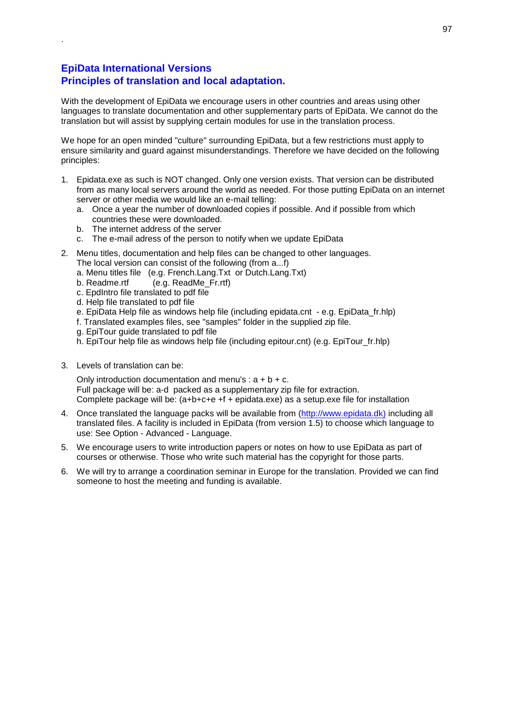### **EpiData International Versions Principles of translation and local adaptation.**

.

With the development of EpiData we encourage users in other countries and areas using other languages to translate documentation and other supplementary parts of EpiData. We cannot do the translation but will assist by supplying certain modules for use in the translation process.

We hope for an open minded "culture" surrounding EpiData, but a few restrictions must apply to ensure similarity and guard against misunderstandings. Therefore we have decided on the following principles:

- 1. Epidata.exe as such is NOT changed. Only one version exists. That version can be distributed from as many local servers around the world as needed. For those putting EpiData on an internet server or other media we would like an e-mail telling:
	- a. Once a year the number of downloaded copies if possible. And if possible from which countries these were downloaded.
	- b. The internet address of the server
	- c. The e-mail adress of the person to notify when we update EpiData
- 2. Menu titles, documentation and help files can be changed to other languages. The local version can consist of the following (from a...f)
	- a. Menu titles file (e.g. French.Lang.Txt or Dutch.Lang.Txt)
	- b. Readme.rtf (e.g. ReadMe\_Fr.rtf)
	- c. EpdIntro file translated to pdf file
	- d. Help file translated to pdf file
	- e. EpiData Help file as windows help file (including epidata.cnt e.g. EpiData\_fr.hlp)
	- f. Translated examples files, see "samples" folder in the supplied zip file.
	- g. EpiTour guide translated to pdf file
	- h. EpiTour help file as windows help file (including epitour.cnt) (e.g. EpiTour fr.hlp)
- 3. Levels of translation can be:

Only introduction documentation and menu's :  $a + b + c$ . Full package will be: a-d packed as a supplementary zip file for extraction. Complete package will be: (a+b+c+e +f + epidata.exe) as a setup.exe file for installation

- 4. Once translated the language packs will be available from (http://www.epidata.dk) including all translated files. A facility is included in EpiData (from version 1.5) to choose which language to use: See Option - Advanced - Language.
- 5. We encourage users to write introduction papers or notes on how to use EpiData as part of courses or otherwise. Those who write such material has the copyright for those parts.
- 6. We will try to arrange a coordination seminar in Europe for the translation. Provided we can find someone to host the meeting and funding is available.